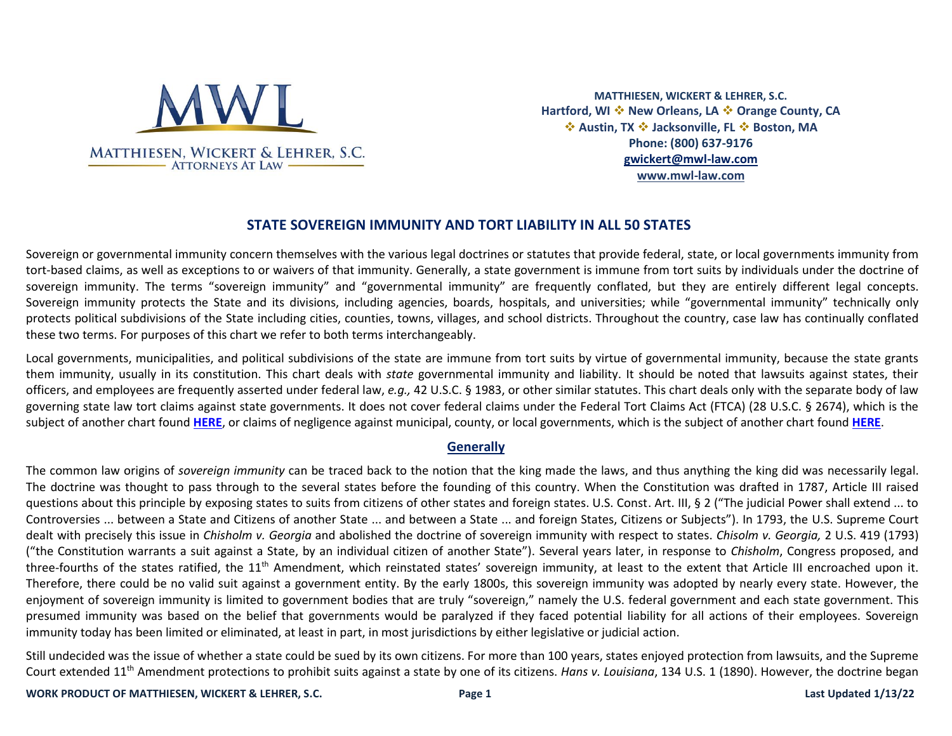

**MATTHIESEN, WICKERT & LEHRER, S.C. Hartford, WI** ❖ **New Orleans, LA** ❖ **Orange County, CA**  ❖ **Austin, TX** ❖ **Jacksonville, FL** ❖ **Boston, MA Phone: (800) 637-9176 [gwickert@mwl-law.com](mailto:gwickert@mwl-law.com) [www.mwl-law.com](http://www.mwl-law.com/)**

# **STATE SOVEREIGN IMMUNITY AND TORT LIABILITY IN ALL 50 STATES**

Sovereign or governmental immunity concern themselves with the various legal doctrines or statutes that provide federal, state, or local governments immunity from tort-based claims, as well as exceptions to or waivers of that immunity. Generally, a state government is immune from tort suits by individuals under the doctrine of sovereign immunity. The terms "sovereign immunity" and "governmental immunity" are frequently conflated, but they are entirely different legal concepts. Sovereign immunity protects the State and its divisions, including agencies, boards, hospitals, and universities; while "governmental immunity" technically only protects political subdivisions of the State including cities, counties, towns, villages, and school districts. Throughout the country, case law has continually conflated these two terms. For purposes of this chart we refer to both terms interchangeably.

Local governments, municipalities, and political subdivisions of the state are immune from tort suits by virtue of governmental immunity, because the state grants them immunity, usually in its constitution. This chart deals with *state* governmental immunity and liability. It should be noted that lawsuits against states, their officers, and employees are frequently asserted under federal law, *e.g.,* 42 U.S.C. § 1983, or other similar statutes. This chart deals only with the separate body of law governing state law tort claims against state governments. It does not cover federal claims under the Federal Tort Claims Act (FTCA) (28 U.S.C. § 2674), which is the subject of another chart found **[HERE](https://www.mwl-law.com/wp-content/uploads/2013/03/FEDERAL-STATE-GOVERNMENTAL-LIABILITY-AND-TORT-CLAIMS-CHART-00212512.pdf)**, or claims of negligence against municipal, county, or local governments, which is the subject of another chart found **[HERE](https://www.mwl-law.com/wp-content/uploads/2013/03/MUNICIPAL-COUNTY-LOCAL-GOVERNMENTAL-LIABILITY-CHART-00212510.pdf)**.

#### **Generally**

The common law origins of *sovereign immunity* can be traced back to the notion that the king made the laws, and thus anything the king did was necessarily legal. The doctrine was thought to pass through to the several states before the founding of this country. When the Constitution was drafted in 1787, Article III raised questions about this principle by exposing states to suits from citizens of other states and foreign states. U.S. Const. Art. III, § 2 ("The judicial Power shall extend ... to Controversies ... between a State and Citizens of another State ... and between a State ... and foreign States, Citizens or Subjects"). In 1793, the U.S. Supreme Court dealt with precisely this issue in *Chisholm v. Georgia* and abolished the doctrine of sovereign immunity with respect to states. *Chisolm v. Georgia,* 2 U.S. 419 (1793) ("the Constitution warrants a suit against a State, by an individual citizen of another State"). Several years later, in response to *Chisholm*, Congress proposed, and three-fourths of the states ratified, the 11<sup>th</sup> Amendment, which reinstated states' sovereign immunity, at least to the extent that Article III encroached upon it. Therefore, there could be no valid suit against a government entity. By the early 1800s, this sovereign immunity was adopted by nearly every state. However, the enjoyment of sovereign immunity is limited to government bodies that are truly "sovereign," namely the U.S. federal government and each state government. This presumed immunity was based on the belief that governments would be paralyzed if they faced potential liability for all actions of their employees. Sovereign immunity today has been limited or eliminated, at least in part, in most jurisdictions by either legislative or judicial action.

Still undecided was the issue of whether a state could be sued by its own citizens. For more than 100 years, states enjoyed protection from lawsuits, and the Supreme Court extended 11th Amendment protections to prohibit suits against a state by one of its citizens. *Hans v. Louisiana*, 134 U.S. 1 (1890). However, the doctrine began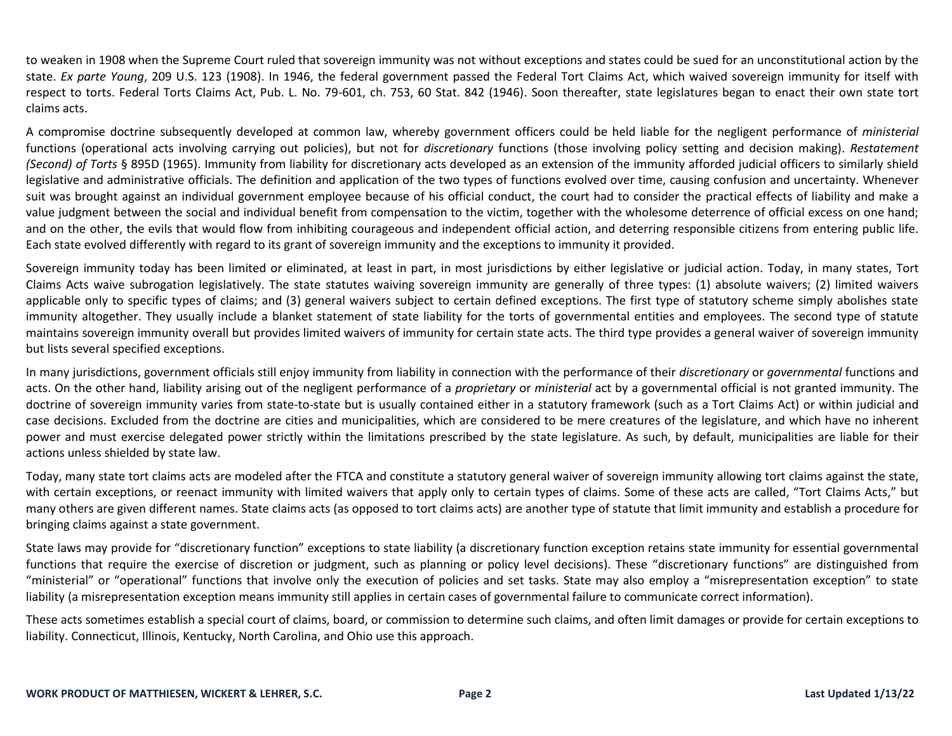to weaken in 1908 when the Supreme Court ruled that sovereign immunity was not without exceptions and states could be sued for an unconstitutional action by the state. *Ex parte Young*, 209 U.S. 123 (1908). In 1946, the federal government passed the Federal Tort Claims Act, which waived sovereign immunity for itself with respect to torts. Federal Torts Claims Act, Pub. L. No. 79-601, ch. 753, 60 Stat. 842 (1946). Soon thereafter, state legislatures began to enact their own state tort claims acts.

A compromise doctrine subsequently developed at common law, whereby government officers could be held liable for the negligent performance of *ministerial* functions (operational acts involving carrying out policies), but not for *discretionary* functions (those involving policy setting and decision making). *Restatement (Second) of Torts* § 895D (1965). Immunity from liability for discretionary acts developed as an extension of the immunity afforded judicial officers to similarly shield legislative and administrative officials. The definition and application of the two types of functions evolved over time, causing confusion and uncertainty. Whenever suit was brought against an individual government employee because of his official conduct, the court had to consider the practical effects of liability and make a value judgment between the social and individual benefit from compensation to the victim, together with the wholesome deterrence of official excess on one hand; and on the other, the evils that would flow from inhibiting courageous and independent official action, and deterring responsible citizens from entering public life. Each state evolved differently with regard to its grant of sovereign immunity and the exceptions to immunity it provided.

Sovereign immunity today has been limited or eliminated, at least in part, in most jurisdictions by either legislative or judicial action. Today, in many states, Tort Claims Acts waive subrogation legislatively. The state statutes waiving sovereign immunity are generally of three types: (1) absolute waivers; (2) limited waivers applicable only to specific types of claims; and (3) general waivers subject to certain defined exceptions. The first type of statutory scheme simply abolishes state immunity altogether. They usually include a blanket statement of state liability for the torts of governmental entities and employees. The second type of statute maintains sovereign immunity overall but provides limited waivers of immunity for certain state acts. The third type provides a general waiver of sovereign immunity but lists several specified exceptions.

In many jurisdictions, government officials still enjoy immunity from liability in connection with the performance of their *discretionary* or *governmental* functions and acts. On the other hand, liability arising out of the negligent performance of a *proprietary* or *ministerial* act by a governmental official is not granted immunity. The doctrine of sovereign immunity varies from state-to-state but is usually contained either in a statutory framework (such as a Tort Claims Act) or within judicial and case decisions. Excluded from the doctrine are cities and municipalities, which are considered to be mere creatures of the legislature, and which have no inherent power and must exercise delegated power strictly within the limitations prescribed by the state legislature. As such, by default, municipalities are liable for their actions unless shielded by state law.

Today, many state tort claims acts are modeled after the FTCA and constitute a statutory general waiver of sovereign immunity allowing tort claims against the state, with certain exceptions, or reenact immunity with limited waivers that apply only to certain types of claims. Some of these acts are called, "Tort Claims Acts," but many others are given different names. State claims acts (as opposed to tort claims acts) are another type of statute that limit immunity and establish a procedure for bringing claims against a state government.

State laws may provide for "discretionary function" exceptions to state liability (a discretionary function exception retains state immunity for essential governmental functions that require the exercise of discretion or judgment, such as planning or policy level decisions). These "discretionary functions" are distinguished from "ministerial" or "operational" functions that involve only the execution of policies and set tasks. State may also employ a "misrepresentation exception" to state liability (a misrepresentation exception means immunity still applies in certain cases of governmental failure to communicate correct information).

These acts sometimes establish a special court of claims, board, or commission to determine such claims, and often limit damages or provide for certain exceptions to liability. Connecticut, Illinois, Kentucky, North Carolina, and Ohio use this approach.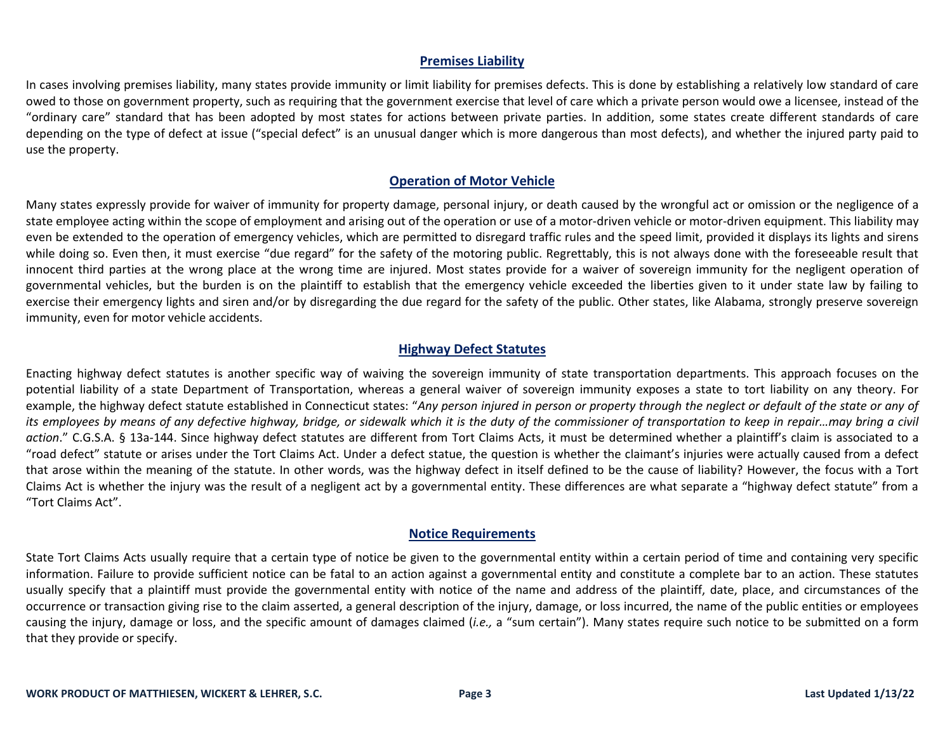### **Premises Liability**

In cases involving premises liability, many states provide immunity or limit liability for premises defects. This is done by establishing a relatively low standard of care owed to those on government property, such as requiring that the government exercise that level of care which a private person would owe a licensee, instead of the "ordinary care" standard that has been adopted by most states for actions between private parties. In addition, some states create different standards of care depending on the type of defect at issue ("special defect" is an unusual danger which is more dangerous than most defects), and whether the injured party paid to use the property.

### **Operation of Motor Vehicle**

Many states expressly provide for waiver of immunity for property damage, personal injury, or death caused by the wrongful act or omission or the negligence of a state employee acting within the scope of employment and arising out of the operation or use of a motor-driven vehicle or motor-driven equipment. This liability may even be extended to the operation of emergency vehicles, which are permitted to disregard traffic rules and the speed limit, provided it displays its lights and sirens while doing so. Even then, it must exercise "due regard" for the safety of the motoring public. Regrettably, this is not always done with the foreseeable result that innocent third parties at the wrong place at the wrong time are injured. Most states provide for a waiver of sovereign immunity for the negligent operation of governmental vehicles, but the burden is on the plaintiff to establish that the emergency vehicle exceeded the liberties given to it under state law by failing to exercise their emergency lights and siren and/or by disregarding the due regard for the safety of the public. Other states, like Alabama, strongly preserve sovereign immunity, even for motor vehicle accidents.

## **Highway Defect Statutes**

Enacting highway defect statutes is another specific way of waiving the sovereign immunity of state transportation departments. This approach focuses on the potential liability of a state Department of Transportation, whereas a general waiver of sovereign immunity exposes a state to tort liability on any theory. For example, the highway defect statute established in Connecticut states: "*Any person injured in person or property through the neglect or default of the state or any of its employees by means of any defective highway, bridge, or sidewalk which it is the duty of the commissioner of transportation to keep in repair…may bring a civil action*." C.G.S.A. § 13a-144. Since highway defect statutes are different from Tort Claims Acts, it must be determined whether a plaintiff's claim is associated to a "road defect" statute or arises under the Tort Claims Act. Under a defect statue, the question is whether the claimant's injuries were actually caused from a defect that arose within the meaning of the statute. In other words, was the highway defect in itself defined to be the cause of liability? However, the focus with a Tort Claims Act is whether the injury was the result of a negligent act by a governmental entity. These differences are what separate a "highway defect statute" from a "Tort Claims Act".

#### **Notice Requirements**

State Tort Claims Acts usually require that a certain type of notice be given to the governmental entity within a certain period of time and containing very specific information. Failure to provide sufficient notice can be fatal to an action against a governmental entity and constitute a complete bar to an action. These statutes usually specify that a plaintiff must provide the governmental entity with notice of the name and address of the plaintiff, date, place, and circumstances of the occurrence or transaction giving rise to the claim asserted, a general description of the injury, damage, or loss incurred, the name of the public entities or employees causing the injury, damage or loss, and the specific amount of damages claimed (*i.e.,* a "sum certain"). Many states require such notice to be submitted on a form that they provide or specify.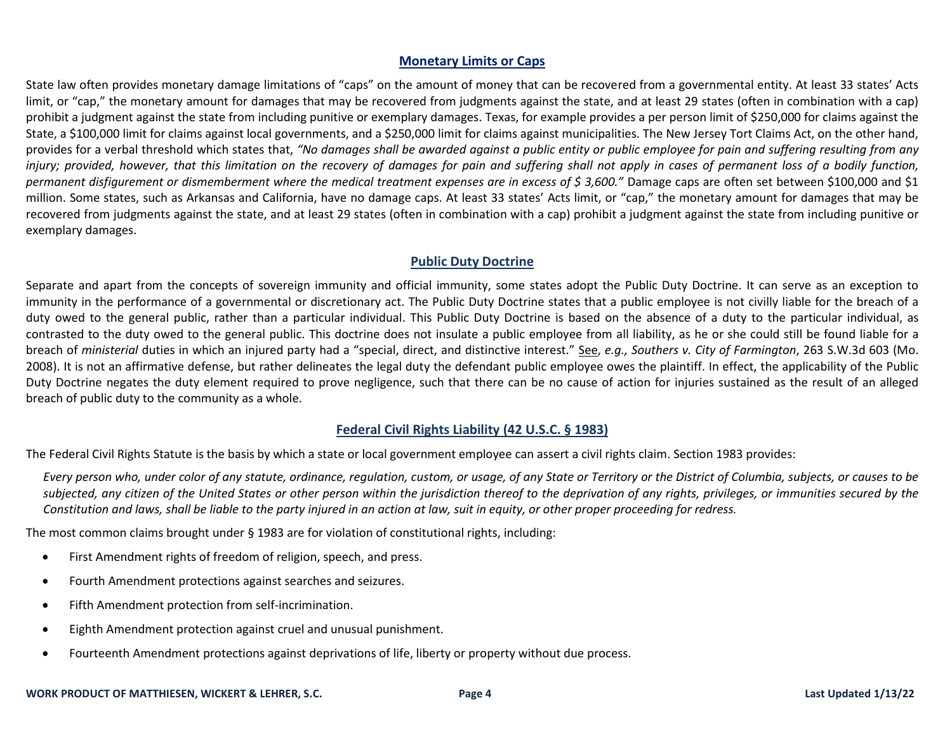## **Monetary Limits or Caps**

State law often provides monetary damage limitations of "caps" on the amount of money that can be recovered from a governmental entity. At least 33 states' Acts limit, or "cap," the monetary amount for damages that may be recovered from judgments against the state, and at least 29 states (often in combination with a cap) prohibit a judgment against the state from including punitive or exemplary damages. Texas, for example provides a per person limit of \$250,000 for claims against the State, a \$100,000 limit for claims against local governments, and a \$250,000 limit for claims against municipalities. The New Jersey Tort Claims Act, on the other hand, provides for a verbal threshold which states that, *"No damages shall be awarded against a public entity or public employee for pain and suffering resulting from any*  injury; provided, however, that this limitation on the recovery of damages for pain and suffering shall not apply in cases of permanent loss of a bodily function, *permanent disfigurement or dismemberment where the medical treatment expenses are in excess of \$ 3,600."* Damage caps are often set between \$100,000 and \$1 million. Some states, such as Arkansas and California, have no damage caps. At least 33 states' Acts limit, or "cap," the monetary amount for damages that may be recovered from judgments against the state, and at least 29 states (often in combination with a cap) prohibit a judgment against the state from including punitive or exemplary damages.

# **Public Duty Doctrine**

Separate and apart from the concepts of sovereign immunity and official immunity, some states adopt the Public Duty Doctrine. It can serve as an exception to immunity in the performance of a governmental or discretionary act. The Public Duty Doctrine states that a public employee is not civilly liable for the breach of a duty owed to the general public, rather than a particular individual. This Public Duty Doctrine is based on the absence of a duty to the particular individual, as contrasted to the duty owed to the general public. This doctrine does not insulate a public employee from all liability, as he or she could still be found liable for a breach of *ministerial* duties in which an injured party had a "special, direct, and distinctive interest." See, *e.g., Southers v. City of Farmington*, 263 S.W.3d 603 (Mo. 2008). It is not an affirmative defense, but rather delineates the legal duty the defendant public employee owes the plaintiff. In effect, the applicability of the Public Duty Doctrine negates the duty element required to prove negligence, such that there can be no cause of action for injuries sustained as the result of an alleged breach of public duty to the community as a whole.

# **Federal Civil Rights Liability (42 U.S.C. § 1983)**

The Federal Civil Rights Statute is the basis by which a state or local government employee can assert a civil rights claim. Section 1983 provides:

*Every person who, under color of any statute, ordinance, regulation, custom, or usage, of any State or Territory or the District of Columbia, subjects, or causes to be*  subjected, any citizen of the United States or other person within the jurisdiction thereof to the deprivation of any rights, privileges, or immunities secured by the *Constitution and laws, shall be liable to the party injured in an action at law, suit in equity, or other proper proceeding for redress.*

The most common claims brought under § 1983 are for violation of constitutional rights, including:

- First Amendment rights of freedom of religion, speech, and press.
- Fourth Amendment protections against searches and seizures.
- Fifth Amendment protection from self-incrimination.
- Eighth Amendment protection against cruel and unusual punishment.
- Fourteenth Amendment protections against deprivations of life, liberty or property without due process.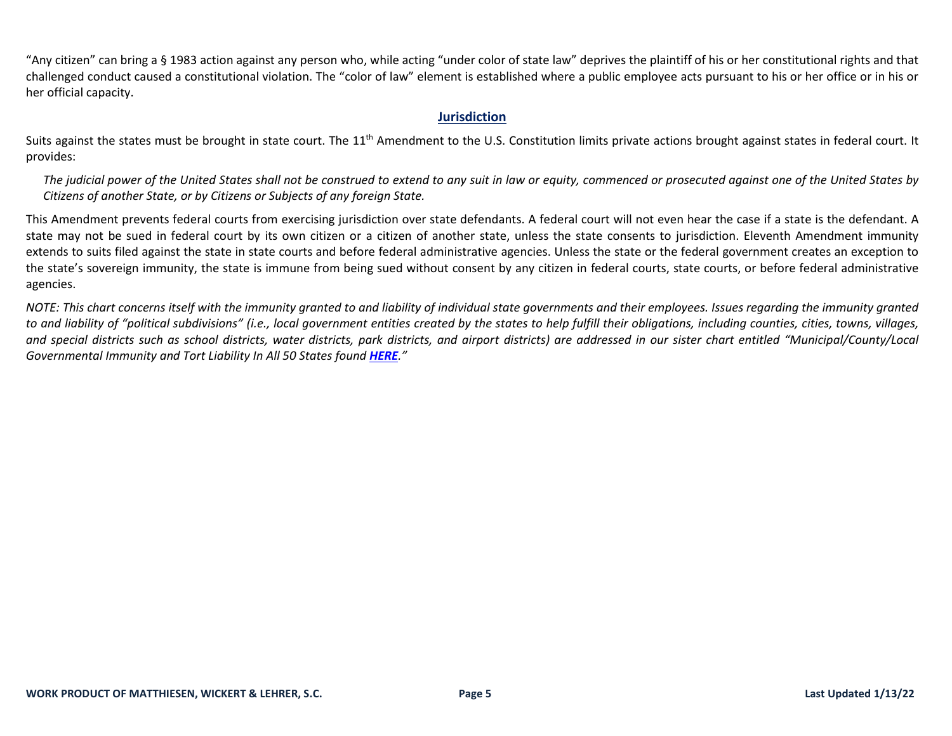"Any citizen" can bring a § 1983 action against any person who, while acting "under color of state law" deprives the plaintiff of his or her constitutional rights and that challenged conduct caused a constitutional violation. The "color of law" element is established where a public employee acts pursuant to his or her office or in his or her official capacity.

### **Jurisdiction**

Suits against the states must be brought in state court. The 11<sup>th</sup> Amendment to the U.S. Constitution limits private actions brought against states in federal court. It provides:

*The judicial power of the United States shall not be construed to extend to any suit in law or equity, commenced or prosecuted against one of the United States by Citizens of another State, or by Citizens or Subjects of any foreign State.*

This Amendment prevents federal courts from exercising jurisdiction over state defendants. A federal court will not even hear the case if a state is the defendant. A state may not be sued in federal court by its own citizen or a citizen of another state, unless the state consents to jurisdiction. Eleventh Amendment immunity extends to suits filed against the state in state courts and before federal administrative agencies. Unless the state or the federal government creates an exception to the state's sovereign immunity, the state is immune from being sued without consent by any citizen in federal courts, state courts, or before federal administrative agencies.

*NOTE: This chart concerns itself with the immunity granted to and liability of individual state governments and their employees. Issues regarding the immunity granted to and liability of "political subdivisions" (i.e., local government entities created by the states to help fulfill their obligations, including counties, cities, towns, villages,*  and special districts such as school districts, water districts, park districts, and airport districts) are addressed in our sister chart entitled "Municipal/County/Local *Governmental Immunity and Tort Liability In All 50 States found [HERE](https://www.mwl-law.com/wp-content/uploads/2013/03/MUNICIPAL-COUNTY-LOCAL-GOVERNMENTAL-LIABILITY-CHART-00212510.pdf)."*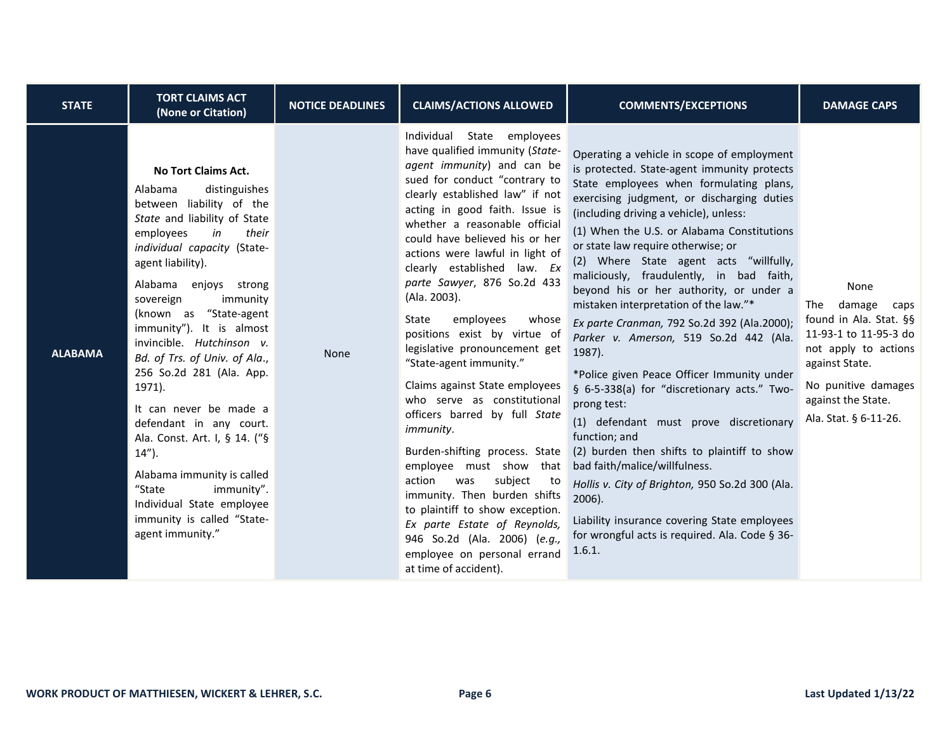| <b>STATE</b>   | <b>TORT CLAIMS ACT</b><br>(None or Citation)                                                                                                                                                                                                                                                                                                                                                                                                                                                                                                                                                                                                          | <b>NOTICE DEADLINES</b> | <b>CLAIMS/ACTIONS ALLOWED</b>                                                                                                                                                                                                                                                                                                                                                                                                                                                                                                                                                                                                                                                                                                                                                                                                                                                                                             | <b>COMMENTS/EXCEPTIONS</b>                                                                                                                                                                                                                                                                                                                                                                                                                                                                                                                                                                                                                                                                                                                                                                                                                                                                                                                                                                                                       | <b>DAMAGE CAPS</b>                                                                                                                                                                               |
|----------------|-------------------------------------------------------------------------------------------------------------------------------------------------------------------------------------------------------------------------------------------------------------------------------------------------------------------------------------------------------------------------------------------------------------------------------------------------------------------------------------------------------------------------------------------------------------------------------------------------------------------------------------------------------|-------------------------|---------------------------------------------------------------------------------------------------------------------------------------------------------------------------------------------------------------------------------------------------------------------------------------------------------------------------------------------------------------------------------------------------------------------------------------------------------------------------------------------------------------------------------------------------------------------------------------------------------------------------------------------------------------------------------------------------------------------------------------------------------------------------------------------------------------------------------------------------------------------------------------------------------------------------|----------------------------------------------------------------------------------------------------------------------------------------------------------------------------------------------------------------------------------------------------------------------------------------------------------------------------------------------------------------------------------------------------------------------------------------------------------------------------------------------------------------------------------------------------------------------------------------------------------------------------------------------------------------------------------------------------------------------------------------------------------------------------------------------------------------------------------------------------------------------------------------------------------------------------------------------------------------------------------------------------------------------------------|--------------------------------------------------------------------------------------------------------------------------------------------------------------------------------------------------|
| <b>ALABAMA</b> | <b>No Tort Claims Act.</b><br>Alabama<br>distinguishes<br>between liability of the<br>State and liability of State<br>their<br>employees<br>in<br>individual capacity (State-<br>agent liability).<br>Alabama enjoys strong<br>immunity<br>sovereign<br>(known as "State-agent<br>immunity"). It is almost<br>invincible. Hutchinson v.<br>Bd. of Trs. of Univ. of Ala.,<br>256 So.2d 281 (Ala. App.<br>1971).<br>It can never be made a<br>defendant in any court.<br>Ala. Const. Art. I, § 14. ("§<br>$14$ ").<br>Alabama immunity is called<br>"State<br>immunity".<br>Individual State employee<br>immunity is called "State-<br>agent immunity." | None                    | Individual State employees<br>have qualified immunity (State-<br>agent immunity) and can be<br>sued for conduct "contrary to<br>clearly established law" if not<br>acting in good faith. Issue is<br>whether a reasonable official<br>could have believed his or her<br>actions were lawful in light of<br>clearly established law. Ex<br>parte Sawyer, 876 So.2d 433<br>(Ala. 2003).<br>employees<br>State<br>whose<br>positions exist by virtue of<br>legislative pronouncement get<br>"State-agent immunity."<br>Claims against State employees<br>who serve as constitutional<br>officers barred by full State<br>immunity.<br>Burden-shifting process. State<br>employee must show that<br>subject<br>action<br>was<br>to<br>immunity. Then burden shifts<br>to plaintiff to show exception.<br>Ex parte Estate of Reynolds,<br>946 So.2d (Ala. 2006) (e.g.,<br>employee on personal errand<br>at time of accident). | Operating a vehicle in scope of employment<br>is protected. State-agent immunity protects<br>State employees when formulating plans,<br>exercising judgment, or discharging duties<br>(including driving a vehicle), unless:<br>(1) When the U.S. or Alabama Constitutions<br>or state law require otherwise; or<br>(2) Where State agent acts "willfully,<br>maliciously, fraudulently, in bad faith,<br>beyond his or her authority, or under a<br>mistaken interpretation of the law."*<br>Ex parte Cranman, 792 So.2d 392 (Ala.2000);<br>Parker v. Amerson, 519 So.2d 442 (Ala.<br>1987).<br>*Police given Peace Officer Immunity under<br>§ 6-5-338(a) for "discretionary acts." Two-<br>prong test:<br>(1) defendant must prove discretionary<br>function; and<br>(2) burden then shifts to plaintiff to show<br>bad faith/malice/willfulness.<br>Hollis v. City of Brighton, 950 So.2d 300 (Ala.<br>$2006$ ).<br>Liability insurance covering State employees<br>for wrongful acts is required. Ala. Code § 36-<br>1.6.1. | None<br>damage<br>The<br>caps<br>found in Ala. Stat. §§<br>11-93-1 to 11-95-3 do<br>not apply to actions<br>against State.<br>No punitive damages<br>against the State.<br>Ala. Stat. § 6-11-26. |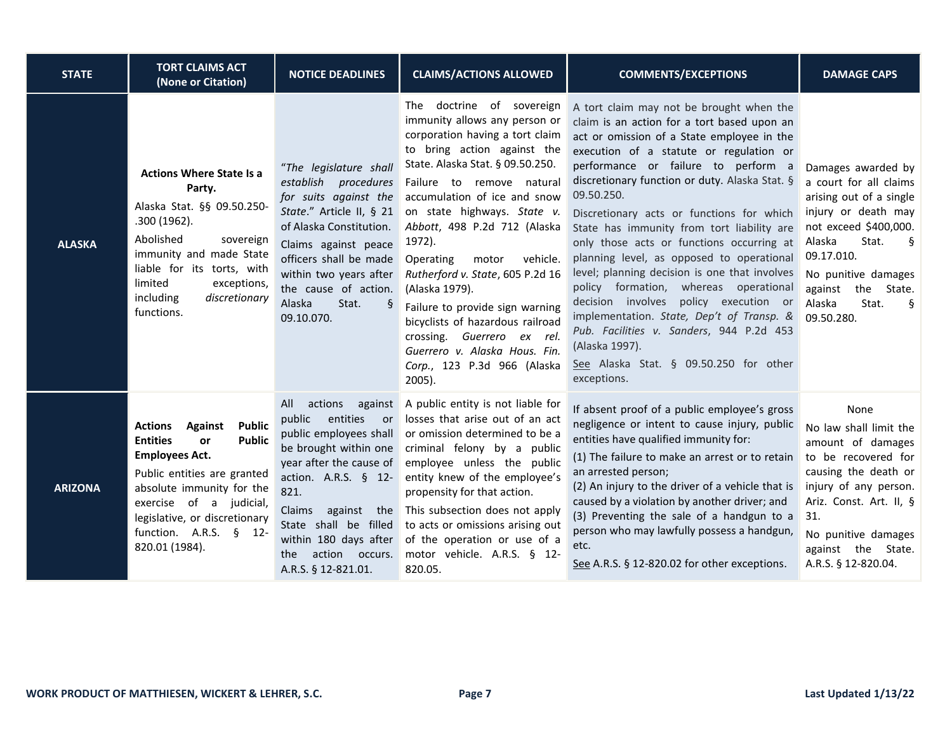| <b>STATE</b>   | <b>TORT CLAIMS ACT</b><br>(None or Citation)                                                                                                                                                                                                                                                    | <b>NOTICE DEADLINES</b>                                                                                                                                                                                                                                                                          | <b>CLAIMS/ACTIONS ALLOWED</b>                                                                                                                                                                                                                                                                                                                                                                                                                                                                                                                                                       | <b>COMMENTS/EXCEPTIONS</b>                                                                                                                                                                                                                                                                                                                                                                                                                                                                                                                                                                                                                                                                                                                                                          | <b>DAMAGE CAPS</b>                                                                                                                                                                                                                                  |
|----------------|-------------------------------------------------------------------------------------------------------------------------------------------------------------------------------------------------------------------------------------------------------------------------------------------------|--------------------------------------------------------------------------------------------------------------------------------------------------------------------------------------------------------------------------------------------------------------------------------------------------|-------------------------------------------------------------------------------------------------------------------------------------------------------------------------------------------------------------------------------------------------------------------------------------------------------------------------------------------------------------------------------------------------------------------------------------------------------------------------------------------------------------------------------------------------------------------------------------|-------------------------------------------------------------------------------------------------------------------------------------------------------------------------------------------------------------------------------------------------------------------------------------------------------------------------------------------------------------------------------------------------------------------------------------------------------------------------------------------------------------------------------------------------------------------------------------------------------------------------------------------------------------------------------------------------------------------------------------------------------------------------------------|-----------------------------------------------------------------------------------------------------------------------------------------------------------------------------------------------------------------------------------------------------|
| <b>ALASKA</b>  | <b>Actions Where State Is a</b><br>Party.<br>Alaska Stat. §§ 09.50.250-<br>.300 (1962).<br>Abolished<br>sovereign<br>immunity and made State<br>liable for its torts, with<br>limited<br>exceptions,<br>discretionary<br>including<br>functions.                                                | "The legislature shall<br>establish procedures<br>for suits against the<br>State." Article II, § 21<br>of Alaska Constitution.<br>Claims against peace<br>officers shall be made<br>within two years after<br>the cause of action.<br>Alaska<br>Stat.<br>09.10.070.                              | The doctrine of sovereign<br>immunity allows any person or<br>corporation having a tort claim<br>to bring action against the<br>State. Alaska Stat. § 09.50.250.<br>Failure<br>to remove natural<br>accumulation of ice and snow<br>on state highways. State v.<br>Abbott, 498 P.2d 712 (Alaska<br>1972).<br>vehicle.<br>Operating<br>motor<br>Rutherford v. State, 605 P.2d 16<br>(Alaska 1979).<br>Failure to provide sign warning<br>bicyclists of hazardous railroad<br>crossing. Guerrero ex rel.<br>Guerrero v. Alaska Hous. Fin.<br>Corp., 123 P.3d 966 (Alaska<br>$2005$ ). | A tort claim may not be brought when the<br>claim is an action for a tort based upon an<br>act or omission of a State employee in the<br>execution of a statute or regulation or<br>performance or failure to perform a<br>discretionary function or duty. Alaska Stat. §<br>09.50.250.<br>Discretionary acts or functions for which<br>State has immunity from tort liability are<br>only those acts or functions occurring at<br>planning level, as opposed to operational<br>level; planning decision is one that involves<br>policy formation, whereas operational<br>decision involves policy execution or<br>implementation. State, Dep't of Transp. &<br>Pub. Facilities v. Sanders, 944 P.2d 453<br>(Alaska 1997).<br>See Alaska Stat. § 09.50.250 for other<br>exceptions. | Damages awarded by<br>a court for all claims<br>arising out of a single<br>injury or death may<br>not exceed \$400,000.<br>Alaska<br>Stat.<br>ş<br>09.17.010.<br>No punitive damages<br>the State.<br>against<br>Stat.<br>Alaska<br>ş<br>09.50.280. |
| <b>ARIZONA</b> | <b>Public</b><br><b>Actions</b><br><b>Against</b><br><b>Entities</b><br><b>Public</b><br><b>or</b><br><b>Employees Act.</b><br>Public entities are granted<br>absolute immunity for the<br>exercise of a judicial,<br>legislative, or discretionary<br>function. A.R.S. § 12-<br>820.01 (1984). | All<br>actions<br>against<br>entities<br>public<br>or<br>public employees shall<br>be brought within one<br>year after the cause of<br>action. A.R.S. $§$ 12-<br>821.<br>Claims<br>against the<br>State shall be filled<br>within 180 days after<br>action occurs.<br>the<br>A.R.S. § 12-821.01. | A public entity is not liable for<br>losses that arise out of an act<br>or omission determined to be a<br>criminal felony by a public<br>employee unless the public<br>entity knew of the employee's<br>propensity for that action.<br>This subsection does not apply<br>to acts or omissions arising out<br>of the operation or use of a<br>motor vehicle. A.R.S. § 12-<br>820.05.                                                                                                                                                                                                 | If absent proof of a public employee's gross<br>negligence or intent to cause injury, public<br>entities have qualified immunity for:<br>(1) The failure to make an arrest or to retain<br>an arrested person;<br>(2) An injury to the driver of a vehicle that is<br>caused by a violation by another driver; and<br>(3) Preventing the sale of a handgun to a<br>person who may lawfully possess a handgun,<br>etc.<br>See A.R.S. § 12-820.02 for other exceptions.                                                                                                                                                                                                                                                                                                               | None<br>No law shall limit the<br>amount of damages<br>to be recovered for<br>causing the death or<br>injury of any person.<br>Ariz. Const. Art. II, §<br>31.<br>No punitive damages<br>against the State.<br>A.R.S. § 12-820.04.                   |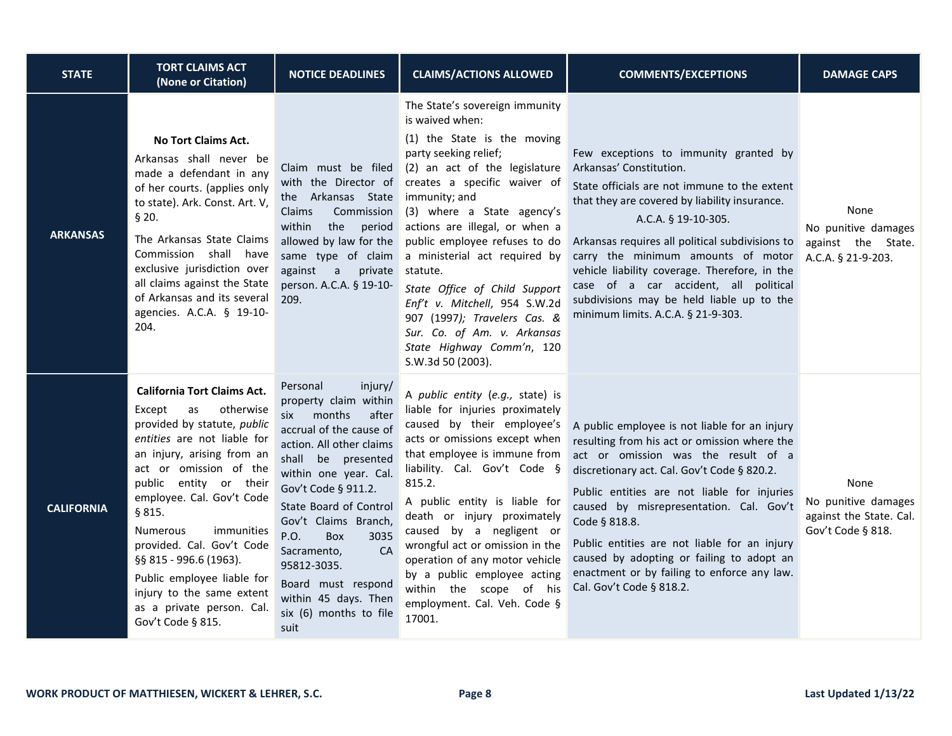| <b>STATE</b>      | <b>TORT CLAIMS ACT</b><br>(None or Citation)                                                                                                                                                                                                                                                                                                                                                                                                                | <b>NOTICE DEADLINES</b>                                                                                                                                                                                                                                                                                                                                                                                 | <b>CLAIMS/ACTIONS ALLOWED</b>                                                                                                                                                                                                                                                                                                                                                                                                                                                                                                            | <b>COMMENTS/EXCEPTIONS</b>                                                                                                                                                                                                                                                                                                                                                                                                                                             | <b>DAMAGE CAPS</b>                                                          |
|-------------------|-------------------------------------------------------------------------------------------------------------------------------------------------------------------------------------------------------------------------------------------------------------------------------------------------------------------------------------------------------------------------------------------------------------------------------------------------------------|---------------------------------------------------------------------------------------------------------------------------------------------------------------------------------------------------------------------------------------------------------------------------------------------------------------------------------------------------------------------------------------------------------|------------------------------------------------------------------------------------------------------------------------------------------------------------------------------------------------------------------------------------------------------------------------------------------------------------------------------------------------------------------------------------------------------------------------------------------------------------------------------------------------------------------------------------------|------------------------------------------------------------------------------------------------------------------------------------------------------------------------------------------------------------------------------------------------------------------------------------------------------------------------------------------------------------------------------------------------------------------------------------------------------------------------|-----------------------------------------------------------------------------|
| <b>ARKANSAS</b>   | <b>No Tort Claims Act.</b><br>Arkansas shall never be<br>made a defendant in any<br>of her courts. (applies only<br>to state). Ark. Const. Art. V,<br>§ 20.<br>The Arkansas State Claims<br>Commission shall have<br>exclusive jurisdiction over<br>all claims against the State<br>of Arkansas and its several<br>agencies. A.C.A. § 19-10-<br>204.                                                                                                        | the Arkansas State immunity; and<br>Commission<br>Claims<br>within<br>the<br>period<br>allowed by law for the<br>same type of claim<br>against a<br>private statute.<br>person. A.C.A. § 19-10-<br>209.                                                                                                                                                                                                 | The State's sovereign immunity<br>is waived when:<br>(1) the State is the moving<br>party seeking relief;<br>Claim must be filed (2) an act of the legislature<br>with the Director of creates a specific waiver of<br>(3) where a State agency's<br>actions are illegal, or when a<br>public employee refuses to do<br>a ministerial act required by<br>State Office of Child Support<br>Enf't v. Mitchell, 954 S.W.2d<br>907 (1997); Travelers Cas. &<br>Sur. Co. of Am. v. Arkansas<br>State Highway Comm'n, 120<br>S.W.3d 50 (2003). | Few exceptions to immunity granted by<br>Arkansas' Constitution.<br>State officials are not immune to the extent<br>that they are covered by liability insurance.<br>A.C.A. § 19-10-305.<br>Arkansas requires all political subdivisions to<br>carry the minimum amounts of motor<br>vehicle liability coverage. Therefore, in the<br>case of a car accident, all political<br>subdivisions may be held liable up to the<br>minimum limits. A.C.A. § 21-9-303.         | None<br>No punitive damages<br>against the State.<br>A.C.A. § 21-9-203.     |
| <b>CALIFORNIA</b> | <b>California Tort Claims Act.</b><br>otherwise<br>Except<br>as<br>provided by statute, public<br>entities are not liable for<br>an injury, arising from an<br>act or omission of the<br>public entity or their<br>employee. Cal. Gov't Code<br>§ 815.<br><b>Numerous</b><br>immunities<br>provided. Cal. Gov't Code<br>§§ 815 - 996.6 (1963).<br>Public employee liable for<br>injury to the same extent<br>as a private person. Cal.<br>Gov't Code § 815. | Personal<br>injury/<br>property claim within<br>months<br>six<br>after<br>accrual of the cause of<br>action. All other claims<br>shall be presented<br>within one year. Cal.<br>Gov't Code § 911.2.<br>State Board of Control<br>Gov't Claims Branch,<br>P.O.<br>3035<br><b>Box</b><br>CA<br>Sacramento,<br>95812-3035.<br>Board must respond<br>within 45 days. Then<br>six (6) months to file<br>suit | A public entity (e.g., state) is<br>liable for injuries proximately<br>caused by their employee's<br>acts or omissions except when<br>that employee is immune from<br>liability. Cal. Gov't Code §<br>815.2.<br>A public entity is liable for<br>death or injury proximately<br>caused by a negligent or<br>wrongful act or omission in the<br>operation of any motor vehicle<br>by a public employee acting<br>within the scope of his<br>employment. Cal. Veh. Code §<br>17001.                                                        | A public employee is not liable for an injury<br>resulting from his act or omission where the<br>act or omission was the result of a<br>discretionary act. Cal. Gov't Code § 820.2.<br>Public entities are not liable for injuries<br>caused by misrepresentation. Cal. Gov't<br>Code § 818.8.<br>Public entities are not liable for an injury<br>caused by adopting or failing to adopt an<br>enactment or by failing to enforce any law.<br>Cal. Gov't Code § 818.2. | None<br>No punitive damages<br>against the State. Cal.<br>Gov't Code § 818. |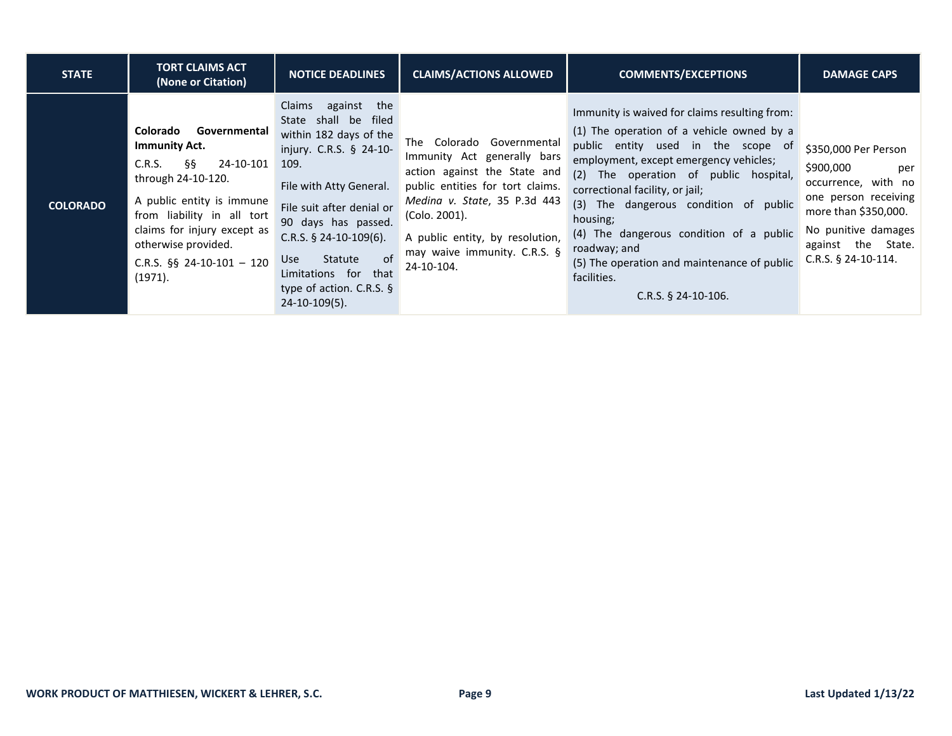| <b>STATE</b>    | <b>TORT CLAIMS ACT</b><br>(None or Citation)                                                                                                                                                                                                                   | <b>NOTICE DEADLINES</b>                                                                                                                                                                                                                                                                                                         | <b>CLAIMS/ACTIONS ALLOWED</b>                                                                                                                                                                                                                                     | <b>COMMENTS/EXCEPTIONS</b>                                                                                                                                                                                                                                                                                                                                                                                                                                    | <b>DAMAGE CAPS</b>                                                                                                                                                                    |
|-----------------|----------------------------------------------------------------------------------------------------------------------------------------------------------------------------------------------------------------------------------------------------------------|---------------------------------------------------------------------------------------------------------------------------------------------------------------------------------------------------------------------------------------------------------------------------------------------------------------------------------|-------------------------------------------------------------------------------------------------------------------------------------------------------------------------------------------------------------------------------------------------------------------|---------------------------------------------------------------------------------------------------------------------------------------------------------------------------------------------------------------------------------------------------------------------------------------------------------------------------------------------------------------------------------------------------------------------------------------------------------------|---------------------------------------------------------------------------------------------------------------------------------------------------------------------------------------|
| <b>COLORADO</b> | Colorado<br>Governmental<br><b>Immunity Act.</b><br>§§<br>24-10-101<br>C.R.S.<br>through 24-10-120.<br>A public entity is immune<br>from liability in all tort<br>claims for injury except as<br>otherwise provided.<br>C.R.S. $\S$ 24-10-101 - 120<br>(1971). | against<br>Claims<br>the<br>State shall be filed<br>within 182 days of the<br>injury. C.R.S. § 24-10-<br>109.<br>File with Atty General.<br>File suit after denial or<br>90 days has passed.<br>C.R.S. $§$ 24-10-109(6).<br>of<br>Statute<br>Use<br>Limitations for that<br>type of action. C.R.S. $\S$<br>$24 - 10 - 109(5)$ . | Colorado Governmental<br>The<br>Immunity Act generally bars<br>action against the State and<br>public entities for tort claims.<br>Medina v. State, 35 P.3d 443<br>(Colo. 2001).<br>A public entity, by resolution,<br>may waive immunity. C.R.S. §<br>24-10-104. | Immunity is waived for claims resulting from:<br>(1) The operation of a vehicle owned by a<br>public entity used in the scope of<br>employment, except emergency vehicles;<br>(2) The operation of public hospital,<br>correctional facility, or jail;<br>(3) The dangerous condition of public<br>housing;<br>(4) The dangerous condition of a public<br>roadway; and<br>(5) The operation and maintenance of public<br>facilities.<br>$C.R.S.$ § 24-10-106. | \$350,000 Per Person<br>\$900,000<br>per<br>occurrence, with no<br>one person receiving<br>more than \$350,000.<br>No punitive damages<br>against the State.<br>$C.R.S.$ § 24-10-114. |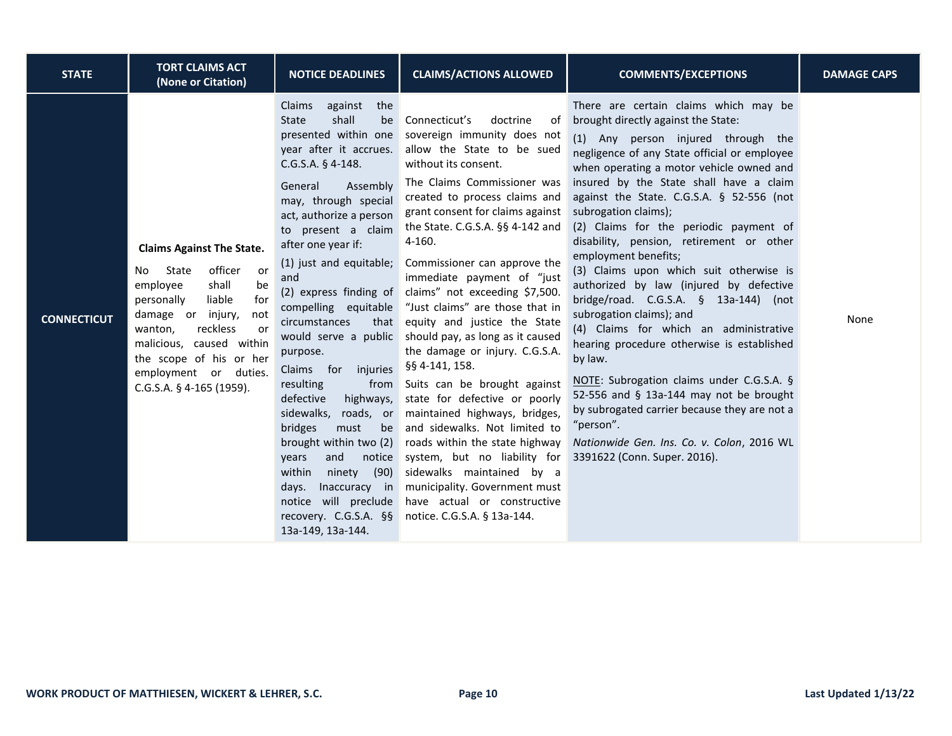| <b>STATE</b>       | <b>TORT CLAIMS ACT</b><br>(None or Citation)                                                                                                                                                                                                                                                    | <b>NOTICE DEADLINES</b>                                                                                                                                                                                                                                                                                                                                                                                                                                                                                                                                                                                                                                                                    | <b>CLAIMS/ACTIONS ALLOWED</b>                                                                                                                                                                                                                                                                                                                                                                                                                                                                                                                                                                                                                                                                                                                                                                                                                                                             | <b>COMMENTS/EXCEPTIONS</b>                                                                                                                                                                                                                                                                                                                                                                                                                                                                                                                                                                                                                                                                                                                                                                                                                                                                                                                    | <b>DAMAGE CAPS</b> |
|--------------------|-------------------------------------------------------------------------------------------------------------------------------------------------------------------------------------------------------------------------------------------------------------------------------------------------|--------------------------------------------------------------------------------------------------------------------------------------------------------------------------------------------------------------------------------------------------------------------------------------------------------------------------------------------------------------------------------------------------------------------------------------------------------------------------------------------------------------------------------------------------------------------------------------------------------------------------------------------------------------------------------------------|-------------------------------------------------------------------------------------------------------------------------------------------------------------------------------------------------------------------------------------------------------------------------------------------------------------------------------------------------------------------------------------------------------------------------------------------------------------------------------------------------------------------------------------------------------------------------------------------------------------------------------------------------------------------------------------------------------------------------------------------------------------------------------------------------------------------------------------------------------------------------------------------|-----------------------------------------------------------------------------------------------------------------------------------------------------------------------------------------------------------------------------------------------------------------------------------------------------------------------------------------------------------------------------------------------------------------------------------------------------------------------------------------------------------------------------------------------------------------------------------------------------------------------------------------------------------------------------------------------------------------------------------------------------------------------------------------------------------------------------------------------------------------------------------------------------------------------------------------------|--------------------|
| <b>CONNECTICUT</b> | <b>Claims Against The State.</b><br>officer<br>State<br>No<br>or<br>employee<br>shall<br>be<br>for<br>liable<br>personally<br>damage or injury,<br>not<br>reckless<br>wanton,<br>or<br>malicious, caused within<br>the scope of his or her<br>employment or duties.<br>C.G.S.A. § 4-165 (1959). | against<br>the<br>Claims<br>shall<br><b>State</b><br>be<br>presented within one<br>year after it accrues.<br>$C.G.S.A. § 4-148.$<br>Assembly<br>General<br>may, through special<br>act, authorize a person<br>to present a claim<br>after one year if:<br>(1) just and equitable;<br>and<br>compelling equitable<br>circumstances<br>that<br>would serve a public<br>purpose.<br>Claims for<br>injuries<br>resulting<br>from<br>defective<br>highways,<br>sidewalks,<br>roads, or<br>bridges<br>must<br>be<br>brought within two (2)<br>and<br>notice<br>years<br>within<br>(90)<br>ninety<br>Inaccuracy in<br>days.<br>notice will preclude<br>recovery. C.G.S.A. §§<br>13a-149, 13a-144. | doctrine<br>Connecticut's<br>of<br>sovereign immunity does not<br>allow the State to be sued<br>without its consent.<br>The Claims Commissioner was<br>created to process claims and<br>grant consent for claims against<br>the State. C.G.S.A. §§ 4-142 and<br>4-160.<br>Commissioner can approve the<br>immediate payment of "just<br>(2) express finding of claims" not exceeding \$7,500.<br>"Just claims" are those that in<br>equity and justice the State<br>should pay, as long as it caused<br>the damage or injury. C.G.S.A.<br>§§ 4-141, 158.<br>Suits can be brought against<br>state for defective or poorly<br>maintained highways, bridges,<br>and sidewalks. Not limited to<br>roads within the state highway<br>system, but no liability for<br>sidewalks maintained by a<br>municipality. Government must<br>have actual or constructive<br>notice. C.G.S.A. § 13a-144. | There are certain claims which may be<br>brought directly against the State:<br>(1) Any person injured through the<br>negligence of any State official or employee<br>when operating a motor vehicle owned and<br>insured by the State shall have a claim<br>against the State. C.G.S.A. § 52-556 (not<br>subrogation claims);<br>(2) Claims for the periodic payment of<br>disability, pension, retirement or other<br>employment benefits;<br>(3) Claims upon which suit otherwise is<br>authorized by law (injured by defective<br>bridge/road. C.G.S.A. § 13a-144) (not<br>subrogation claims); and<br>(4) Claims for which an administrative<br>hearing procedure otherwise is established<br>by law.<br>NOTE: Subrogation claims under C.G.S.A. §<br>52-556 and § 13a-144 may not be brought<br>by subrogated carrier because they are not a<br>"person".<br>Nationwide Gen. Ins. Co. v. Colon, 2016 WL<br>3391622 (Conn. Super. 2016). | None               |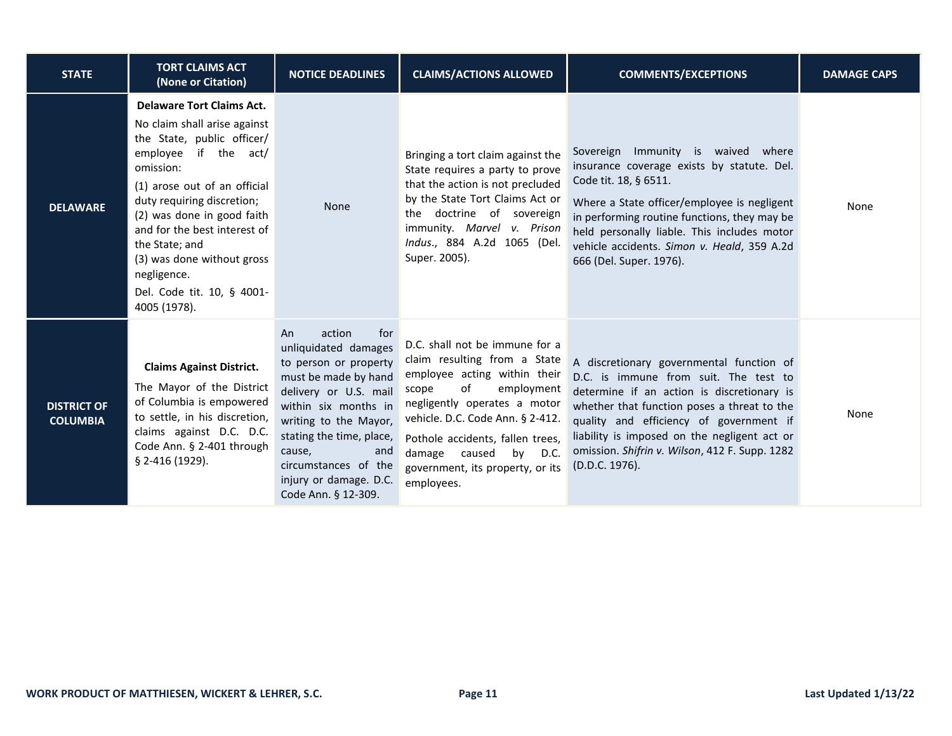| <b>STATE</b>                          | <b>TORT CLAIMS ACT</b><br>(None or Citation)                                                                                                                                                                                                                                                                                                                                    | <b>NOTICE DEADLINES</b>                                                                                                                                                                                                                                                                      | <b>CLAIMS/ACTIONS ALLOWED</b>                                                                                                                                                                                                                                                                                        | <b>COMMENTS/EXCEPTIONS</b>                                                                                                                                                                                                                                                                                                                    | <b>DAMAGE CAPS</b> |
|---------------------------------------|---------------------------------------------------------------------------------------------------------------------------------------------------------------------------------------------------------------------------------------------------------------------------------------------------------------------------------------------------------------------------------|----------------------------------------------------------------------------------------------------------------------------------------------------------------------------------------------------------------------------------------------------------------------------------------------|----------------------------------------------------------------------------------------------------------------------------------------------------------------------------------------------------------------------------------------------------------------------------------------------------------------------|-----------------------------------------------------------------------------------------------------------------------------------------------------------------------------------------------------------------------------------------------------------------------------------------------------------------------------------------------|--------------------|
| <b>DELAWARE</b>                       | <b>Delaware Tort Claims Act.</b><br>No claim shall arise against<br>the State, public officer/<br>employee<br>if the act/<br>omission:<br>(1) arose out of an official<br>duty requiring discretion;<br>(2) was done in good faith<br>and for the best interest of<br>the State; and<br>(3) was done without gross<br>negligence.<br>Del. Code tit. 10, § 4001-<br>4005 (1978). | <b>None</b>                                                                                                                                                                                                                                                                                  | Bringing a tort claim against the<br>State requires a party to prove<br>that the action is not precluded<br>by the State Tort Claims Act or<br>the doctrine of sovereign<br>immunity. Marvel v. Prison<br>Indus., 884 A.2d 1065 (Del.<br>Super. 2005).                                                               | Sovereign Immunity is waived where<br>insurance coverage exists by statute. Del.<br>Code tit. 18, § 6511.<br>Where a State officer/employee is negligent<br>in performing routine functions, they may be<br>held personally liable. This includes motor<br>vehicle accidents. Simon v. Heald, 359 A.2d<br>666 (Del. Super. 1976).             | None               |
| <b>DISTRICT OF</b><br><b>COLUMBIA</b> | <b>Claims Against District.</b><br>The Mayor of the District<br>of Columbia is empowered<br>to settle, in his discretion,<br>claims against D.C. D.C.<br>Code Ann. § 2-401 through<br>§ 2-416 (1929).                                                                                                                                                                           | action<br>for<br>An<br>unliquidated damages<br>to person or property<br>must be made by hand<br>delivery or U.S. mail<br>within six months in<br>writing to the Mayor,<br>stating the time, place,<br>cause,<br>and<br>circumstances of the<br>injury or damage. D.C.<br>Code Ann. § 12-309. | D.C. shall not be immune for a<br>claim resulting from a State<br>employee acting within their<br>of<br>employment<br>scope<br>negligently operates a motor<br>vehicle. D.C. Code Ann. § 2-412.<br>Pothole accidents, fallen trees,<br>damage<br>caused<br>by D.C.<br>government, its property, or its<br>employees. | A discretionary governmental function of<br>D.C. is immune from suit. The test to<br>determine if an action is discretionary is<br>whether that function poses a threat to the<br>quality and efficiency of government if<br>liability is imposed on the negligent act or<br>omission. Shifrin v. Wilson, 412 F. Supp. 1282<br>(D.D.C. 1976). | None               |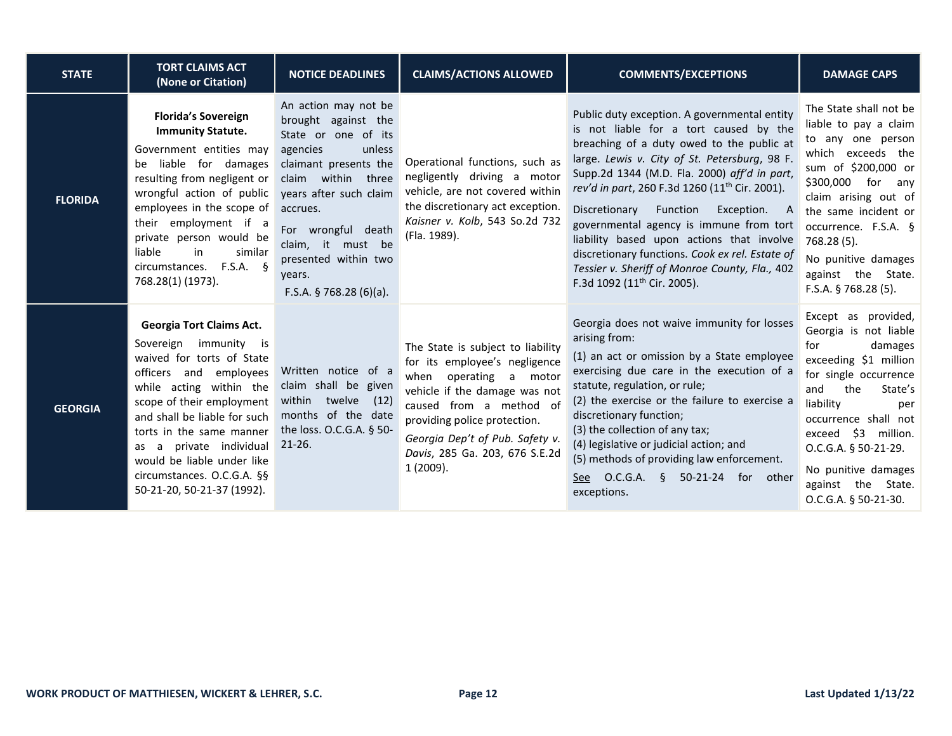| <b>STATE</b>   | <b>TORT CLAIMS ACT</b><br>(None or Citation)                                                                                                                                                                                                                                                                                                             | <b>NOTICE DEADLINES</b>                                                                                                                                                                                                                                                                | <b>CLAIMS/ACTIONS ALLOWED</b>                                                                                                                                                                                                                                             | <b>COMMENTS/EXCEPTIONS</b>                                                                                                                                                                                                                                                                                                                                                                                                                                                                                                                                                           | <b>DAMAGE CAPS</b>                                                                                                                                                                                                                                                                                        |
|----------------|----------------------------------------------------------------------------------------------------------------------------------------------------------------------------------------------------------------------------------------------------------------------------------------------------------------------------------------------------------|----------------------------------------------------------------------------------------------------------------------------------------------------------------------------------------------------------------------------------------------------------------------------------------|---------------------------------------------------------------------------------------------------------------------------------------------------------------------------------------------------------------------------------------------------------------------------|--------------------------------------------------------------------------------------------------------------------------------------------------------------------------------------------------------------------------------------------------------------------------------------------------------------------------------------------------------------------------------------------------------------------------------------------------------------------------------------------------------------------------------------------------------------------------------------|-----------------------------------------------------------------------------------------------------------------------------------------------------------------------------------------------------------------------------------------------------------------------------------------------------------|
| <b>FLORIDA</b> | <b>Florida's Sovereign</b><br><b>Immunity Statute.</b><br>Government entities may<br>liable for damages<br>be<br>resulting from negligent or<br>wrongful action of public<br>employees in the scope of<br>their employment if a<br>private person would be<br>liable<br>in<br>similar<br>circumstances. F.S.A. §<br>768.28(1) (1973).                    | An action may not be<br>brought against the<br>State or one of its<br>agencies<br>unless<br>claimant presents the<br>claim within three<br>years after such claim<br>accrues.<br>For wrongful death<br>claim, it must be<br>presented within two<br>years.<br>F.S.A. $$768.28(6)(a)$ . | Operational functions, such as<br>negligently driving a motor<br>vehicle, are not covered within<br>the discretionary act exception.<br>Kaisner v. Kolb, 543 So.2d 732<br>(Fla. 1989).                                                                                    | Public duty exception. A governmental entity<br>is not liable for a tort caused by the<br>breaching of a duty owed to the public at<br>large. Lewis v. City of St. Petersburg, 98 F.<br>Supp.2d 1344 (M.D. Fla. 2000) aff'd in part,<br>rev'd in part, 260 F.3d 1260 (11 <sup>th</sup> Cir. 2001).<br>Discretionary Function<br>Exception. A<br>governmental agency is immune from tort<br>liability based upon actions that involve<br>discretionary functions. Cook ex rel. Estate of<br>Tessier v. Sheriff of Monroe County, Fla., 402<br>F.3d 1092 (11 <sup>th</sup> Cir. 2005). | The State shall not be<br>liable to pay a claim<br>to any one person<br>which exceeds the<br>sum of \$200,000 or<br>\$300,000 for<br>any<br>claim arising out of<br>the same incident or<br>occurrence. F.S.A. §<br>768.28 (5).<br>No punitive damages<br>against the State.<br>F.S.A. § 768.28 (5).      |
| <b>GEORGIA</b> | <b>Georgia Tort Claims Act.</b><br>Sovereign immunity is<br>waived for torts of State<br>officers and employees<br>while acting within the<br>scope of their employment<br>and shall be liable for such<br>torts in the same manner<br>as a private individual<br>would be liable under like<br>circumstances. O.C.G.A. §§<br>50-21-20, 50-21-37 (1992). | Written notice of a<br>claim shall be given<br>within twelve<br>(12)<br>months of the date<br>the loss. O.C.G.A. § 50-<br>$21 - 26.$                                                                                                                                                   | The State is subject to liability<br>for its employee's negligence<br>when operating a motor<br>vehicle if the damage was not<br>caused from a method of<br>providing police protection.<br>Georgia Dep't of Pub. Safety v.<br>Davis, 285 Ga. 203, 676 S.E.2d<br>1(2009). | Georgia does not waive immunity for losses<br>arising from:<br>(1) an act or omission by a State employee<br>exercising due care in the execution of a<br>statute, regulation, or rule;<br>(2) the exercise or the failure to exercise a<br>discretionary function;<br>(3) the collection of any tax;<br>(4) legislative or judicial action; and<br>(5) methods of providing law enforcement.<br>See O.C.G.A. § 50-21-24 for other<br>exceptions.                                                                                                                                    | Except as provided,<br>Georgia is not liable<br>for<br>damages<br>exceeding \$1 million<br>for single occurrence<br>the<br>State's<br>and<br>liability<br>per<br>occurrence shall not<br>exceed \$3 million.<br>O.C.G.A. § 50-21-29.<br>No punitive damages<br>against the State.<br>O.C.G.A. § 50-21-30. |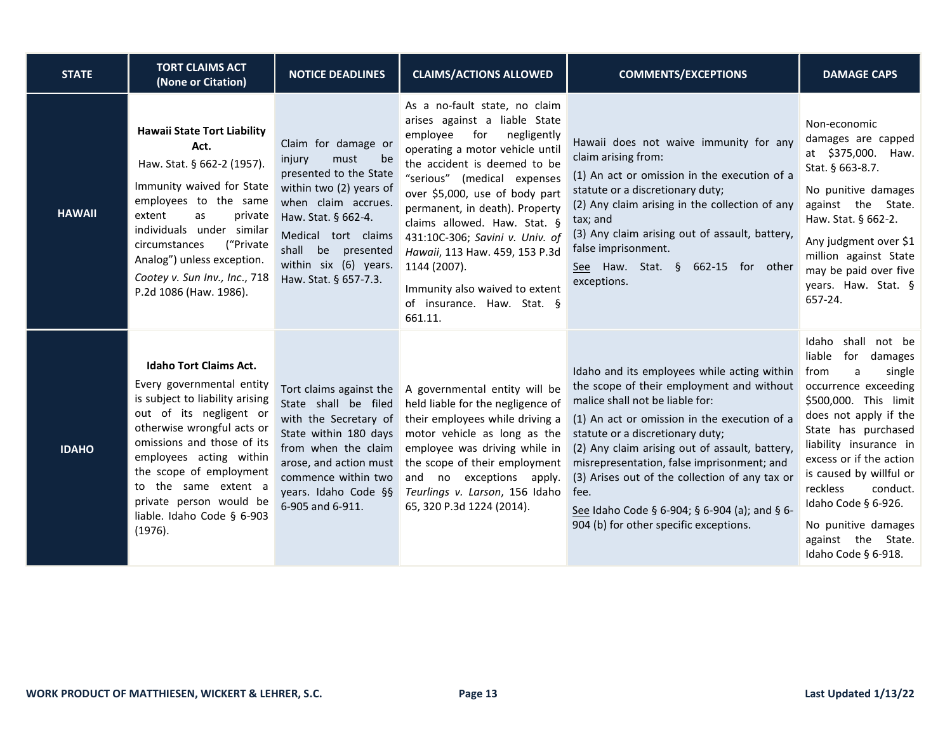| <b>STATE</b>  | <b>TORT CLAIMS ACT</b><br>(None or Citation)                                                                                                                                                                                                                                                                                           | <b>NOTICE DEADLINES</b>                                                                                                                                                                                                                          | <b>CLAIMS/ACTIONS ALLOWED</b>                                                                                                                                                                                                                                                                                                                                                                                                                                          | <b>COMMENTS/EXCEPTIONS</b>                                                                                                                                                                                                                                                                                                                                                                                                                                           | <b>DAMAGE CAPS</b>                                                                                                                                                                                                                                                                                                                                                        |
|---------------|----------------------------------------------------------------------------------------------------------------------------------------------------------------------------------------------------------------------------------------------------------------------------------------------------------------------------------------|--------------------------------------------------------------------------------------------------------------------------------------------------------------------------------------------------------------------------------------------------|------------------------------------------------------------------------------------------------------------------------------------------------------------------------------------------------------------------------------------------------------------------------------------------------------------------------------------------------------------------------------------------------------------------------------------------------------------------------|----------------------------------------------------------------------------------------------------------------------------------------------------------------------------------------------------------------------------------------------------------------------------------------------------------------------------------------------------------------------------------------------------------------------------------------------------------------------|---------------------------------------------------------------------------------------------------------------------------------------------------------------------------------------------------------------------------------------------------------------------------------------------------------------------------------------------------------------------------|
| <b>HAWAII</b> | <b>Hawaii State Tort Liability</b><br>Act.<br>Haw. Stat. § 662-2 (1957).<br>Immunity waived for State<br>employees to the same<br>extent<br>as<br>private<br>individuals under similar<br>("Private<br>circumstances<br>Analog") unless exception.<br>Cootey v. Sun Inv., Inc., 718<br>P.2d 1086 (Haw. 1986).                          | Claim for damage or<br>must<br>be<br>injury<br>presented to the State<br>within two (2) years of<br>when claim accrues.<br>Haw. Stat. § 662-4.<br>Medical tort claims<br>shall be<br>presented<br>within six (6) years.<br>Haw. Stat. § 657-7.3. | As a no-fault state, no claim<br>arises against a liable State<br>employee<br>for<br>negligently<br>operating a motor vehicle until<br>the accident is deemed to be<br>"serious" (medical expenses<br>over \$5,000, use of body part<br>permanent, in death). Property<br>claims allowed. Haw. Stat. §<br>431:10C-306; Savini v. Univ. of<br>Hawaii, 113 Haw. 459, 153 P.3d<br>1144 (2007).<br>Immunity also waived to extent<br>of insurance. Haw. Stat. §<br>661.11. | Hawaii does not waive immunity for any<br>claim arising from:<br>(1) An act or omission in the execution of a<br>statute or a discretionary duty;<br>(2) Any claim arising in the collection of any<br>tax; and<br>(3) Any claim arising out of assault, battery,<br>false imprisonment.<br>See Haw. Stat. § 662-15 for other<br>exceptions.                                                                                                                         | Non-economic<br>damages are capped<br>at \$375,000. Haw.<br>Stat. § 663-8.7.<br>No punitive damages<br>against the State.<br>Haw. Stat. § 662-2.<br>Any judgment over \$1<br>million against State<br>may be paid over five<br>years. Haw. Stat. §<br>657-24.                                                                                                             |
| <b>IDAHO</b>  | <b>Idaho Tort Claims Act.</b><br>Every governmental entity<br>is subject to liability arising<br>out of its negligent or<br>otherwise wrongful acts or<br>omissions and those of its<br>employees acting within<br>the scope of employment<br>to the same extent a<br>private person would be<br>liable. Idaho Code § 6-903<br>(1976). | Tort claims against the<br>State shall be filed<br>with the Secretary of<br>State within 180 days<br>from when the claim<br>arose, and action must<br>commence within two<br>years. Idaho Code §§<br>6-905 and 6-911.                            | A governmental entity will be<br>held liable for the negligence of<br>their employees while driving a<br>motor vehicle as long as the<br>employee was driving while in<br>the scope of their employment<br>and no exceptions apply.<br>Teurlings v. Larson, 156 Idaho<br>65, 320 P.3d 1224 (2014).                                                                                                                                                                     | Idaho and its employees while acting within<br>the scope of their employment and without<br>malice shall not be liable for:<br>(1) An act or omission in the execution of a<br>statute or a discretionary duty;<br>(2) Any claim arising out of assault, battery,<br>misrepresentation, false imprisonment; and<br>(3) Arises out of the collection of any tax or<br>fee.<br>See Idaho Code § 6-904; § 6-904 (a); and § 6-<br>904 (b) for other specific exceptions. | shall not be<br>Idaho<br>liable<br>for damages<br>single<br>from<br>a<br>occurrence exceeding<br>\$500,000. This limit<br>does not apply if the<br>State has purchased<br>liability insurance in<br>excess or if the action<br>is caused by willful or<br>reckless<br>conduct.<br>Idaho Code § 6-926.<br>No punitive damages<br>against the State.<br>Idaho Code § 6-918. |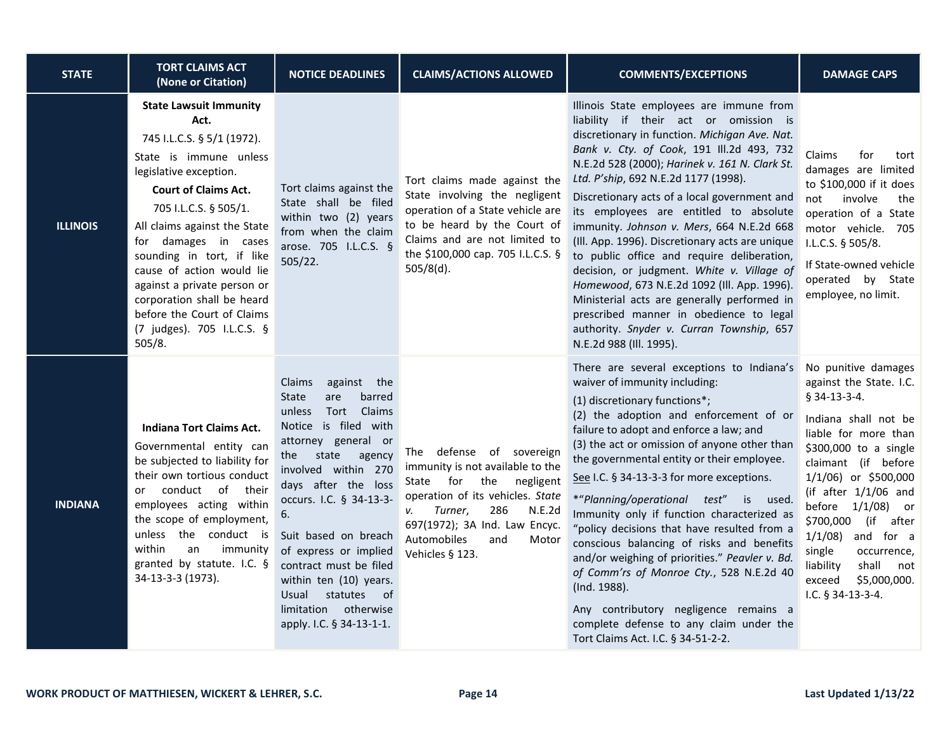| <b>STATE</b>    | <b>TORT CLAIMS ACT</b><br>(None or Citation)                                                                                                                                                                                                                                                                                                                                                                                         | <b>NOTICE DEADLINES</b>                                                                                                                                                                                                                                                                                                                                                                                                     | <b>CLAIMS/ACTIONS ALLOWED</b>                                                                                                                                                                                                                       | <b>COMMENTS/EXCEPTIONS</b>                                                                                                                                                                                                                                                                                                                                                                                                                                                                                                                                                                                                                                                                                                                                                                 | <b>DAMAGE CAPS</b>                                                                                                                                                                                                                                                                                                                                                 |
|-----------------|--------------------------------------------------------------------------------------------------------------------------------------------------------------------------------------------------------------------------------------------------------------------------------------------------------------------------------------------------------------------------------------------------------------------------------------|-----------------------------------------------------------------------------------------------------------------------------------------------------------------------------------------------------------------------------------------------------------------------------------------------------------------------------------------------------------------------------------------------------------------------------|-----------------------------------------------------------------------------------------------------------------------------------------------------------------------------------------------------------------------------------------------------|--------------------------------------------------------------------------------------------------------------------------------------------------------------------------------------------------------------------------------------------------------------------------------------------------------------------------------------------------------------------------------------------------------------------------------------------------------------------------------------------------------------------------------------------------------------------------------------------------------------------------------------------------------------------------------------------------------------------------------------------------------------------------------------------|--------------------------------------------------------------------------------------------------------------------------------------------------------------------------------------------------------------------------------------------------------------------------------------------------------------------------------------------------------------------|
| <b>ILLINOIS</b> | <b>State Lawsuit Immunity</b><br>Act.<br>745 I.L.C.S. § 5/1 (1972).<br>State is immune unless<br>legislative exception.<br><b>Court of Claims Act.</b><br>705 I.L.C.S. § 505/1.<br>All claims against the State<br>for damages in cases<br>sounding in tort, if like<br>cause of action would lie<br>against a private person or<br>corporation shall be heard<br>before the Court of Claims<br>(7 judges). 705 I.L.C.S. §<br>505/8. | Tort claims against the<br>State shall be filed<br>within two (2) years<br>from when the claim<br>arose. 705 I.L.C.S. §<br>505/22.                                                                                                                                                                                                                                                                                          | Tort claims made against the<br>State involving the negligent<br>operation of a State vehicle are<br>to be heard by the Court of<br>Claims and are not limited to<br>the \$100,000 cap. 705 I.L.C.S. §<br>$505/8(d)$ .                              | Illinois State employees are immune from<br>liability if their act or omission is<br>discretionary in function. Michigan Ave. Nat.<br>Bank v. Cty. of Cook, 191 Ill.2d 493, 732<br>N.E.2d 528 (2000); Harinek v. 161 N. Clark St.<br>Ltd. P'ship, 692 N.E.2d 1177 (1998).<br>Discretionary acts of a local government and<br>its employees are entitled to absolute<br>immunity. Johnson v. Mers, 664 N.E.2d 668<br>(III. App. 1996). Discretionary acts are unique<br>to public office and require deliberation,<br>decision, or judgment. White v. Village of<br>Homewood, 673 N.E.2d 1092 (Ill. App. 1996).<br>Ministerial acts are generally performed in<br>prescribed manner in obedience to legal<br>authority. Snyder v. Curran Township, 657<br>N.E.2d 988 (Ill. 1995).           | Claims<br>for<br>tort<br>damages are limited<br>to \$100,000 if it does<br>not<br>involve<br>the<br>operation of a State<br>motor vehicle. 705<br>I.L.C.S. § 505/8.<br>If State-owned vehicle<br>operated by State<br>employee, no limit.                                                                                                                          |
| <b>INDIANA</b>  | Indiana Tort Claims Act.<br>Governmental entity can<br>be subjected to liability for<br>their own tortious conduct<br>conduct of their<br>or<br>employees acting within<br>the scope of employment,<br>unless the conduct is<br>within<br>immunity<br>an<br>granted by statute. I.C. §<br>34-13-3-3 (1973).                                                                                                                          | Claims<br>against the<br>are<br>barred<br><b>State</b><br>Tort Claims<br>unless<br>Notice is filed with<br>attorney general or<br>state<br>agency<br>the<br>involved within 270<br>days after the loss<br>occurs. I.C. § 34-13-3-<br>6.<br>Suit based on breach<br>of express or implied<br>contract must be filed<br>within ten (10) years.<br>statutes of<br>Usual<br>otherwise<br>limitation<br>apply. I.C. § 34-13-1-1. | The defense of sovereign<br>immunity is not available to the<br>State for the<br>negligent<br>operation of its vehicles. State<br>286<br>Turner,<br>N.E.2d<br>v.<br>697(1972); 3A Ind. Law Encyc.<br>Automobiles<br>and<br>Motor<br>Vehicles § 123. | There are several exceptions to Indiana's No punitive damages<br>waiver of immunity including:<br>(1) discretionary functions*;<br>(2) the adoption and enforcement of or<br>failure to adopt and enforce a law; and<br>(3) the act or omission of anyone other than<br>the governmental entity or their employee.<br>See I.C. § 34-13-3-3 for more exceptions.<br>*"Planning/operational test" is used.<br>Immunity only if function characterized as<br>"policy decisions that have resulted from a<br>conscious balancing of risks and benefits<br>and/or weighing of priorities." Peavler v. Bd.<br>of Comm'rs of Monroe Cty., 528 N.E.2d 40<br>(Ind. 1988).<br>Any contributory negligence remains a<br>complete defense to any claim under the<br>Tort Claims Act. I.C. § 34-51-2-2. | against the State. I.C.<br>§ 34-13-3-4.<br>Indiana shall not be<br>liable for more than<br>\$300,000 to a single<br>claimant (if before<br>1/1/06) or \$500,000<br>(if after $1/1/06$ and<br>before 1/1/08) or<br>\$700,000 (if<br>after<br>$1/1/08$ ) and for a<br>occurrence,<br>single<br>shall not<br>liability<br>\$5,000,000.<br>exceed<br>I.C. § 34-13-3-4. |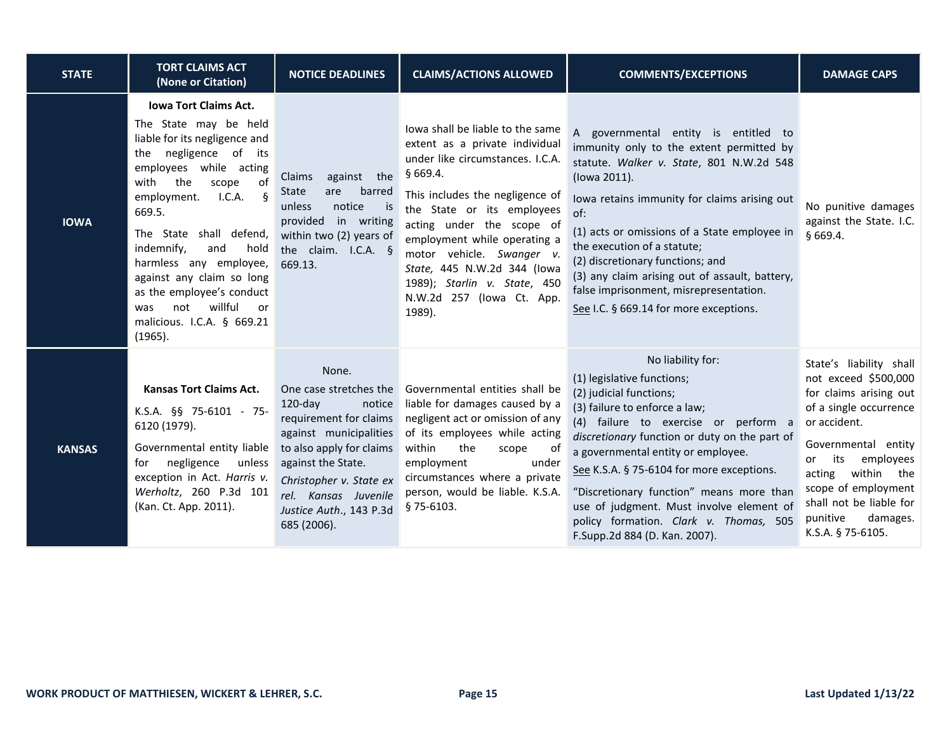| <b>STATE</b>  | <b>TORT CLAIMS ACT</b><br>(None or Citation)                                                                                                                                                                                                                                                                                                                                                                                                | <b>NOTICE DEADLINES</b>                                                                                                                                                                                                                                    | <b>CLAIMS/ACTIONS ALLOWED</b>                                                                                                                                                                                                                                                                                                                                                      | <b>COMMENTS/EXCEPTIONS</b>                                                                                                                                                                                                                                                                                                                                                                                                                                   | <b>DAMAGE CAPS</b>                                                                                                                                                                                                                                                                       |
|---------------|---------------------------------------------------------------------------------------------------------------------------------------------------------------------------------------------------------------------------------------------------------------------------------------------------------------------------------------------------------------------------------------------------------------------------------------------|------------------------------------------------------------------------------------------------------------------------------------------------------------------------------------------------------------------------------------------------------------|------------------------------------------------------------------------------------------------------------------------------------------------------------------------------------------------------------------------------------------------------------------------------------------------------------------------------------------------------------------------------------|--------------------------------------------------------------------------------------------------------------------------------------------------------------------------------------------------------------------------------------------------------------------------------------------------------------------------------------------------------------------------------------------------------------------------------------------------------------|------------------------------------------------------------------------------------------------------------------------------------------------------------------------------------------------------------------------------------------------------------------------------------------|
| <b>IOWA</b>   | <b>Iowa Tort Claims Act.</b><br>The State may be held<br>liable for its negligence and<br>negligence of its<br>the<br>employees while acting<br>the<br>of<br>with<br>scope<br>employment.<br>LCA.<br>$\delta$<br>669.5.<br>The State shall defend,<br>indemnify,<br>and<br>hold<br>harmless any employee,<br>against any claim so long<br>as the employee's conduct<br>willful<br>not<br>was<br>or<br>malicious. I.C.A. § 669.21<br>(1965). | Claims<br>against the<br>barred<br>State<br>are<br>notice<br>unless<br>is is<br>provided in writing<br>within two (2) years of<br>the claim. I.C.A. §<br>669.13.                                                                                           | lowa shall be liable to the same<br>extent as a private individual<br>under like circumstances. I.C.A.<br>§669.4.<br>This includes the negligence of<br>the State or its employees<br>acting under the scope of<br>employment while operating a<br>motor vehicle. Swanger v.<br>State, 445 N.W.2d 344 (lowa<br>1989); Starlin v. State, 450<br>N.W.2d 257 (lowa Ct. App.<br>1989). | A governmental entity is entitled to<br>immunity only to the extent permitted by<br>statute. Walker v. State, 801 N.W.2d 548<br>(lowa 2011).<br>lowa retains immunity for claims arising out<br>of:<br>(1) acts or omissions of a State employee in<br>the execution of a statute;<br>(2) discretionary functions; and<br>(3) any claim arising out of assault, battery,<br>false imprisonment, misrepresentation.<br>See I.C. § 669.14 for more exceptions. | No punitive damages<br>against the State. I.C.<br>§669.4.                                                                                                                                                                                                                                |
| <b>KANSAS</b> | Kansas Tort Claims Act.<br>K.S.A. §§ 75-6101 - 75-<br>6120 (1979).<br>Governmental entity liable<br>negligence<br>unless<br>for<br>exception in Act. Harris v.<br>Werholtz, 260 P.3d 101<br>(Kan. Ct. App. 2011).                                                                                                                                                                                                                           | None.<br>One case stretches the<br>$120$ -day<br>notice<br>requirement for claims<br>against municipalities<br>to also apply for claims<br>against the State.<br>Christopher v. State ex<br>rel. Kansas Juvenile<br>Justice Auth., 143 P.3d<br>685 (2006). | Governmental entities shall be<br>liable for damages caused by a<br>negligent act or omission of any<br>of its employees while acting<br>within<br>the<br>scope<br>0t<br>employment<br>under<br>circumstances where a private<br>person, would be liable. K.S.A.<br>§75-6103.                                                                                                      | No liability for:<br>(1) legislative functions;<br>(2) judicial functions;<br>(3) failure to enforce a law;<br>(4) failure to exercise or perform a<br>discretionary function or duty on the part of<br>a governmental entity or employee.<br>See K.S.A. § 75-6104 for more exceptions.<br>"Discretionary function" means more than<br>use of judgment. Must involve element of<br>policy formation. Clark v. Thomas, 505<br>F.Supp.2d 884 (D. Kan. 2007).   | State's liability shall<br>not exceed \$500,000<br>for claims arising out<br>of a single occurrence<br>or accident.<br>Governmental entity<br>its<br>employees<br>or<br>acting within the<br>scope of employment<br>shall not be liable for<br>punitive<br>damages.<br>K.S.A. § 75-6105. |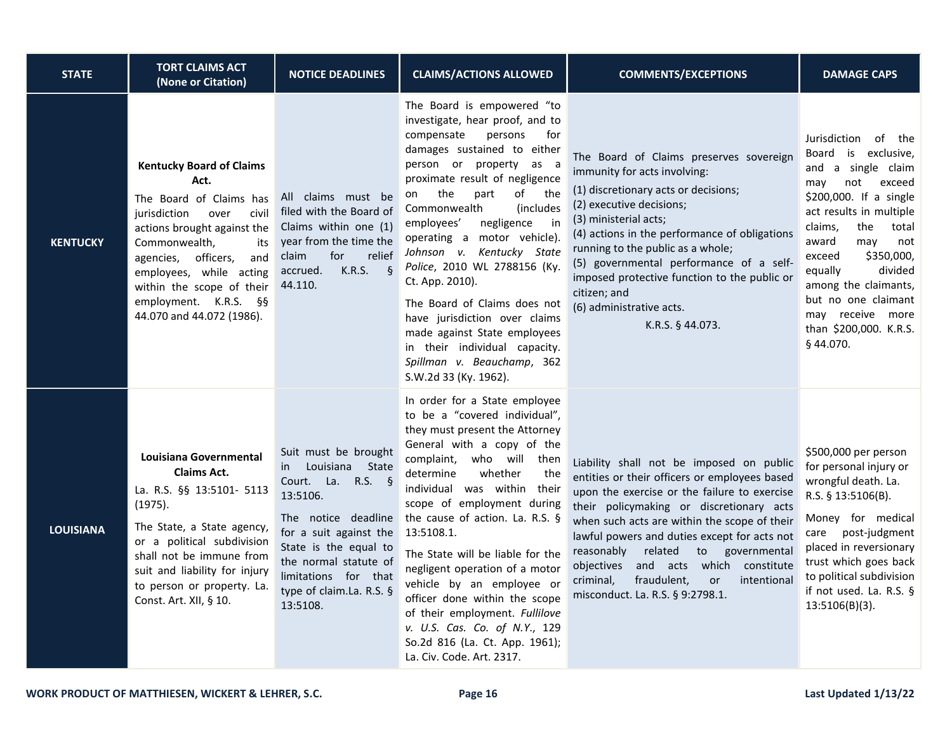| <b>STATE</b>     | <b>TORT CLAIMS ACT</b><br>(None or Citation)                                                                                                                                                                                                                                                              | <b>NOTICE DEADLINES</b>                                                                                                                                                                                                                           | <b>CLAIMS/ACTIONS ALLOWED</b>                                                                                                                                                                                                                                                                                                                                                                                                                                                                                                                                                                       | <b>COMMENTS/EXCEPTIONS</b>                                                                                                                                                                                                                                                                                                                                                                                                                                        | <b>DAMAGE CAPS</b>                                                                                                                                                                                                                                                                                                                                         |
|------------------|-----------------------------------------------------------------------------------------------------------------------------------------------------------------------------------------------------------------------------------------------------------------------------------------------------------|---------------------------------------------------------------------------------------------------------------------------------------------------------------------------------------------------------------------------------------------------|-----------------------------------------------------------------------------------------------------------------------------------------------------------------------------------------------------------------------------------------------------------------------------------------------------------------------------------------------------------------------------------------------------------------------------------------------------------------------------------------------------------------------------------------------------------------------------------------------------|-------------------------------------------------------------------------------------------------------------------------------------------------------------------------------------------------------------------------------------------------------------------------------------------------------------------------------------------------------------------------------------------------------------------------------------------------------------------|------------------------------------------------------------------------------------------------------------------------------------------------------------------------------------------------------------------------------------------------------------------------------------------------------------------------------------------------------------|
| <b>KENTUCKY</b>  | <b>Kentucky Board of Claims</b><br>Act.<br>The Board of Claims has<br>jurisdiction<br>over<br>civil<br>actions brought against the<br>Commonwealth,<br>its<br>officers,<br>and<br>agencies,<br>employees, while acting<br>within the scope of their<br>employment. K.R.S. §§<br>44.070 and 44.072 (1986). | All claims must be<br>filed with the Board of<br>Claims within one (1)<br>year from the time the<br>relief<br>claim<br>for<br>K.R.S.<br>$-\xi$<br>accrued.<br>44.110.                                                                             | The Board is empowered "to<br>investigate, hear proof, and to<br>compensate<br>persons<br>for<br>damages sustained to either<br>person or property as a<br>proximate result of negligence<br>the<br>of<br>part<br>the<br>on<br>Commonwealth<br>(includes)<br>negligence<br>in<br>employees'<br>operating a motor vehicle).<br>Johnson v. Kentucky State<br>Police, 2010 WL 2788156 (Ky.<br>Ct. App. 2010).<br>The Board of Claims does not<br>have jurisdiction over claims<br>made against State employees<br>in their individual capacity.<br>Spillman v. Beauchamp, 362<br>S.W.2d 33 (Ky. 1962). | The Board of Claims preserves sovereign<br>immunity for acts involving:<br>(1) discretionary acts or decisions;<br>(2) executive decisions;<br>(3) ministerial acts;<br>(4) actions in the performance of obligations<br>running to the public as a whole;<br>(5) governmental performance of a self-<br>imposed protective function to the public or<br>citizen; and<br>(6) administrative acts.<br>K.R.S. § 44.073.                                             | of the<br>Jurisdiction<br>Board is exclusive,<br>and a single claim<br>exceed<br>not<br>may<br>\$200,000. If a single<br>act results in multiple<br>claims,<br>the<br>total<br>award<br>may<br>not<br>\$350,000,<br>exceed<br>divided<br>equally<br>among the claimants,<br>but no one claimant<br>may receive more<br>than \$200,000. K.R.S.<br>§ 44.070. |
| <b>LOUISIANA</b> | Louisiana Governmental<br><b>Claims Act.</b><br>La. R.S. §§ 13:5101- 5113<br>(1975).<br>The State, a State agency,<br>or a political subdivision<br>shall not be immune from<br>suit and liability for injury<br>to person or property. La.<br>Const. Art. XII, § 10.                                     | Suit must be brought<br>Louisiana State<br>in<br>Court. La. R.S. §<br>13:5106.<br>The notice deadline<br>for a suit against the<br>State is the equal to<br>the normal statute of<br>limitations for that<br>type of claim.La. R.S. §<br>13:5108. | In order for a State employee<br>to be a "covered individual",<br>they must present the Attorney<br>General with a copy of the<br>complaint, who will then<br>determine<br>whether<br>the<br>individual was within their<br>scope of employment during<br>the cause of action. La. R.S. §<br>13:5108.1.<br>The State will be liable for the<br>negligent operation of a motor<br>vehicle by an employee or<br>officer done within the scope<br>of their employment. Fullilove<br>v. U.S. Cas. Co. of N.Y., 129<br>So.2d 816 (La. Ct. App. 1961);<br>La. Civ. Code. Art. 2317.                       | Liability shall not be imposed on public<br>entities or their officers or employees based<br>upon the exercise or the failure to exercise<br>their policymaking or discretionary acts<br>when such acts are within the scope of their<br>lawful powers and duties except for acts not<br>reasonably<br>related<br>to<br>governmental<br>objectives and acts which constitute<br>criminal,<br>fraudulent,<br>intentional<br>or<br>misconduct. La. R.S. § 9:2798.1. | \$500,000 per person<br>for personal injury or<br>wrongful death. La.<br>R.S. § 13:5106(B).<br>Money for medical<br>care post-judgment<br>placed in reversionary<br>trust which goes back<br>to political subdivision<br>if not used. La. R.S. §<br>$13:5106(B)(3)$ .                                                                                      |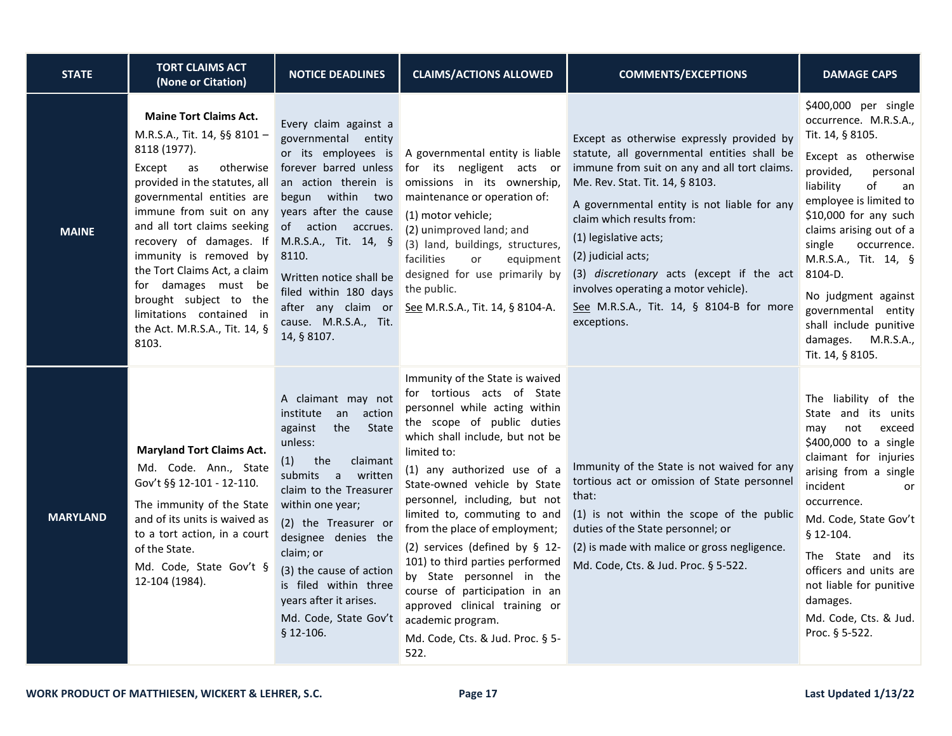| <b>STATE</b>    | <b>TORT CLAIMS ACT</b><br>(None or Citation)                                                                                                                                                                                                                                                                                                                                                                                                   | <b>NOTICE DEADLINES</b>                                                                                                                                                                                                                                                                                                                                            | <b>CLAIMS/ACTIONS ALLOWED</b>                                                                                                                                                                                                                                                                                                                                                                                                                                                                                                                                                        | <b>COMMENTS/EXCEPTIONS</b>                                                                                                                                                                                                                                                                                                                                                                                                                             | <b>DAMAGE CAPS</b>                                                                                                                                                                                                                                                                                                                                                                                     |
|-----------------|------------------------------------------------------------------------------------------------------------------------------------------------------------------------------------------------------------------------------------------------------------------------------------------------------------------------------------------------------------------------------------------------------------------------------------------------|--------------------------------------------------------------------------------------------------------------------------------------------------------------------------------------------------------------------------------------------------------------------------------------------------------------------------------------------------------------------|--------------------------------------------------------------------------------------------------------------------------------------------------------------------------------------------------------------------------------------------------------------------------------------------------------------------------------------------------------------------------------------------------------------------------------------------------------------------------------------------------------------------------------------------------------------------------------------|--------------------------------------------------------------------------------------------------------------------------------------------------------------------------------------------------------------------------------------------------------------------------------------------------------------------------------------------------------------------------------------------------------------------------------------------------------|--------------------------------------------------------------------------------------------------------------------------------------------------------------------------------------------------------------------------------------------------------------------------------------------------------------------------------------------------------------------------------------------------------|
| <b>MAINE</b>    | <b>Maine Tort Claims Act.</b><br>M.R.S.A., Tit. 14, §§ 8101 -<br>8118 (1977).<br>Except<br>otherwise<br>as<br>provided in the statutes, all<br>governmental entities are<br>immune from suit on any<br>and all tort claims seeking<br>recovery of damages. If<br>immunity is removed by<br>the Tort Claims Act, a claim<br>for damages must be<br>brought subject to the<br>limitations contained in<br>the Act. M.R.S.A., Tit. 14, §<br>8103. | Every claim against a<br>governmental entity<br>or its employees is<br>forever barred unless<br>an action therein is<br>begun within two<br>years after the cause<br>of action accrues.<br>M.R.S.A., Tit. 14, §<br>8110.<br>Written notice shall be<br>filed within 180 days<br>after any claim or<br>cause. M.R.S.A., Tit.<br>14, § 8107.                         | A governmental entity is liable<br>for its negligent acts or<br>omissions in its ownership,<br>maintenance or operation of:<br>(1) motor vehicle;<br>(2) unimproved land; and<br>(3) land, buildings, structures,<br>facilities<br>equipment<br>or<br>designed for use primarily by<br>the public.<br>See M.R.S.A., Tit. 14, § 8104-A.                                                                                                                                                                                                                                               | Except as otherwise expressly provided by<br>statute, all governmental entities shall be<br>immune from suit on any and all tort claims.<br>Me. Rev. Stat. Tit. 14, § 8103.<br>A governmental entity is not liable for any<br>claim which results from:<br>(1) legislative acts;<br>(2) judicial acts;<br>(3) discretionary acts (except if the act<br>involves operating a motor vehicle).<br>See M.R.S.A., Tit. 14, § 8104-B for more<br>exceptions. | \$400,000 per single<br>occurrence. M.R.S.A.,<br>Tit. 14, § 8105.<br>Except as otherwise<br>provided,<br>personal<br>of<br>liability<br>an<br>employee is limited to<br>\$10,000 for any such<br>claims arising out of a<br>single<br>occurrence.<br>M.R.S.A., Tit. 14, §<br>8104-D.<br>No judgment against<br>governmental entity<br>shall include punitive<br>damages. M.R.S.A.,<br>Tit. 14, § 8105. |
| <b>MARYLAND</b> | <b>Maryland Tort Claims Act.</b><br>Md. Code. Ann., State<br>Gov't §§ 12-101 - 12-110.<br>The immunity of the State<br>and of its units is waived as<br>to a tort action, in a court<br>of the State.<br>Md. Code, State Gov't §<br>12-104 (1984).                                                                                                                                                                                             | A claimant may not<br>institute<br>an action<br>against<br>the<br>State<br>unless:<br>the<br>claimant<br>(1)<br>submits a<br>written<br>claim to the Treasurer<br>within one year;<br>(2) the Treasurer or<br>designee denies the<br>claim; or<br>(3) the cause of action<br>is filed within three<br>years after it arises.<br>Md. Code, State Gov't<br>§ 12-106. | Immunity of the State is waived<br>for tortious acts of State<br>personnel while acting within<br>the scope of public duties<br>which shall include, but not be<br>limited to:<br>(1) any authorized use of a<br>State-owned vehicle by State<br>personnel, including, but not<br>limited to, commuting to and<br>from the place of employment;<br>(2) services (defined by § 12-<br>101) to third parties performed<br>by State personnel in the<br>course of participation in an<br>approved clinical training or<br>academic program.<br>Md. Code, Cts. & Jud. Proc. § 5-<br>522. | Immunity of the State is not waived for any<br>tortious act or omission of State personnel<br>that:<br>(1) is not within the scope of the public<br>duties of the State personnel; or<br>(2) is made with malice or gross negligence.<br>Md. Code, Cts. & Jud. Proc. § 5-522.                                                                                                                                                                          | The liability of the<br>State and its units<br>exceed<br>not<br>may<br>\$400,000 to a single<br>claimant for injuries<br>arising from a single<br>incident<br>or<br>occurrence.<br>Md. Code, State Gov't<br>§ 12-104.<br>The State and its<br>officers and units are<br>not liable for punitive<br>damages.<br>Md. Code, Cts. & Jud.<br>Proc. § 5-522.                                                 |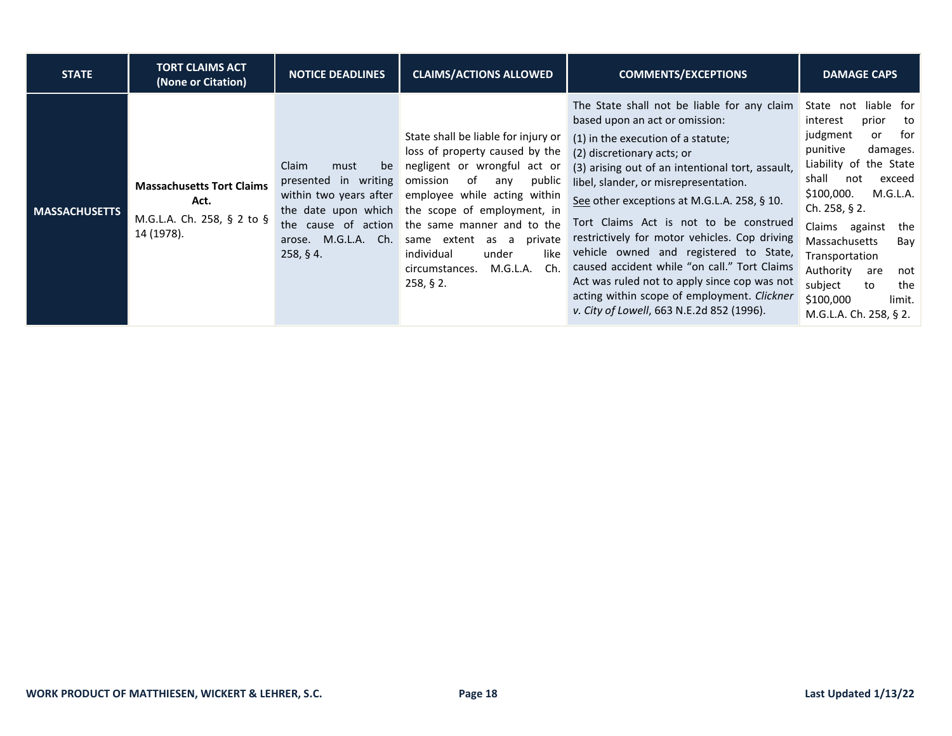| <b>STATE</b>         | <b>TORT CLAIMS ACT</b><br>(None or Citation)                                         | <b>NOTICE DEADLINES</b>                                                                                                             | <b>CLAIMS/ACTIONS ALLOWED</b>                                                                                                                                                                                                                                                                                                                                             | <b>COMMENTS/EXCEPTIONS</b>                                                                                                                                                                                                                                                                                                                                                                                                                                                                                                                                                                                                     | <b>DAMAGE CAPS</b>                                                                                                                                                                                                                                                                                                                                                        |
|----------------------|--------------------------------------------------------------------------------------|-------------------------------------------------------------------------------------------------------------------------------------|---------------------------------------------------------------------------------------------------------------------------------------------------------------------------------------------------------------------------------------------------------------------------------------------------------------------------------------------------------------------------|--------------------------------------------------------------------------------------------------------------------------------------------------------------------------------------------------------------------------------------------------------------------------------------------------------------------------------------------------------------------------------------------------------------------------------------------------------------------------------------------------------------------------------------------------------------------------------------------------------------------------------|---------------------------------------------------------------------------------------------------------------------------------------------------------------------------------------------------------------------------------------------------------------------------------------------------------------------------------------------------------------------------|
| <b>MASSACHUSETTS</b> | <b>Massachusetts Tort Claims</b><br>Act.<br>M.G.L.A. Ch. 258, § 2 to §<br>14 (1978). | Claim<br>must<br>be<br>presented in writing<br>within two years after<br>the cause of action<br>M.G.L.A. Ch.<br>arose.<br>258, § 4. | State shall be liable for injury or<br>loss of property caused by the<br>negligent or wrongful act or<br>of<br>omission<br>public<br>any<br>employee while acting within<br>the date upon which the scope of employment, in<br>the same manner and to the<br>same extent as a<br>private<br>like<br>individual<br>under<br>M.G.L.A.<br>Ch.<br>circumstances.<br>258, § 2. | The State shall not be liable for any claim<br>based upon an act or omission:<br>(1) in the execution of a statute;<br>(2) discretionary acts; or<br>(3) arising out of an intentional tort, assault,<br>libel, slander, or misrepresentation.<br>See other exceptions at M.G.L.A. 258, § 10.<br>Tort Claims Act is not to be construed<br>restrictively for motor vehicles. Cop driving<br>vehicle owned and registered to State,<br>caused accident while "on call." Tort Claims<br>Act was ruled not to apply since cop was not<br>acting within scope of employment. Clickner<br>v. City of Lowell, 663 N.E.2d 852 (1996). | State not liable for<br>prior<br>interest<br>to<br>for<br>judgment<br>or<br>punitive<br>damages.<br>Liability of the State<br>shall<br>not<br>exceed<br>M.G.L.A.<br>\$100,000.<br>Ch. $258, § 2$ .<br>Claims against<br>the<br>Massachusetts<br>Bay<br>Transportation<br>Authority<br>are<br>not<br>subject<br>the<br>to<br>\$100,000<br>limit.<br>M.G.L.A. Ch. 258, § 2. |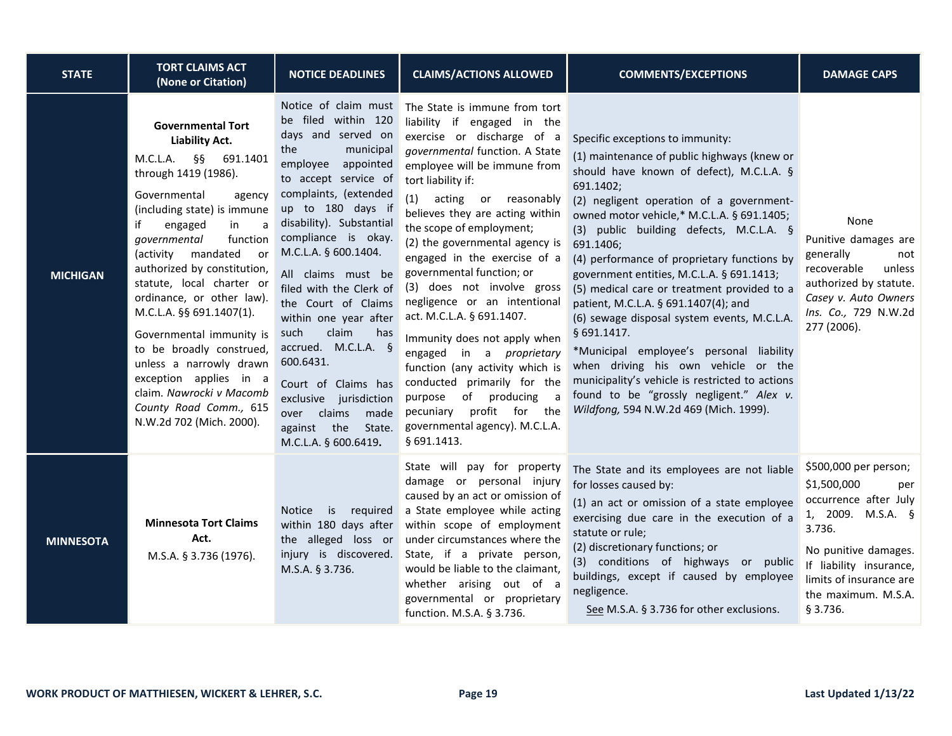| <b>STATE</b>     | <b>TORT CLAIMS ACT</b><br>(None or Citation)                                                                                                                                                                                                                                                                                                                                                                                                                                                                                                                               | <b>NOTICE DEADLINES</b>                                                                                                                                                                                                                                                                                                                                                                                                                                                                                                                            | <b>CLAIMS/ACTIONS ALLOWED</b>                                                                                                                                                                                                                                                                                                                                                                                                                                                                                                                                                                                                                                                                                                | <b>COMMENTS/EXCEPTIONS</b>                                                                                                                                                                                                                                                                                                                                                                                                                                                                                                                                                                                                                                                                                                                                              | <b>DAMAGE CAPS</b>                                                                                                                                                                                                   |
|------------------|----------------------------------------------------------------------------------------------------------------------------------------------------------------------------------------------------------------------------------------------------------------------------------------------------------------------------------------------------------------------------------------------------------------------------------------------------------------------------------------------------------------------------------------------------------------------------|----------------------------------------------------------------------------------------------------------------------------------------------------------------------------------------------------------------------------------------------------------------------------------------------------------------------------------------------------------------------------------------------------------------------------------------------------------------------------------------------------------------------------------------------------|------------------------------------------------------------------------------------------------------------------------------------------------------------------------------------------------------------------------------------------------------------------------------------------------------------------------------------------------------------------------------------------------------------------------------------------------------------------------------------------------------------------------------------------------------------------------------------------------------------------------------------------------------------------------------------------------------------------------------|-------------------------------------------------------------------------------------------------------------------------------------------------------------------------------------------------------------------------------------------------------------------------------------------------------------------------------------------------------------------------------------------------------------------------------------------------------------------------------------------------------------------------------------------------------------------------------------------------------------------------------------------------------------------------------------------------------------------------------------------------------------------------|----------------------------------------------------------------------------------------------------------------------------------------------------------------------------------------------------------------------|
| <b>MICHIGAN</b>  | <b>Governmental Tort</b><br><b>Liability Act.</b><br>$M.C.L.A.$ §§<br>691.1401<br>through 1419 (1986).<br>Governmental<br>agency<br>(including state) is immune<br>engaged<br>a<br>if<br>in<br>function<br>governmental<br>(activity<br>mandated<br>or<br>authorized by constitution,<br>statute, local charter or<br>ordinance, or other law).<br>M.C.L.A. §§ 691.1407(1).<br>Governmental immunity is<br>to be broadly construed,<br>unless a narrowly drawn<br>exception applies in a<br>claim. Nawrocki v Macomb<br>County Road Comm., 615<br>N.W.2d 702 (Mich. 2000). | Notice of claim must<br>be filed within 120<br>days and served on<br>municipal<br>the<br>employee appointed<br>to accept service of<br>complaints, (extended<br>up to 180 days if<br>disability). Substantial<br>compliance is okay.<br>M.C.L.A. § 600.1404.<br>All claims must be<br>filed with the Clerk of<br>the Court of Claims<br>within one year after<br>such<br>claim<br>has<br>accrued. M.C.L.A. §<br>600.6431.<br>Court of Claims has<br>exclusive jurisdiction<br>over claims<br>made<br>against the<br>State.<br>M.C.L.A. § 600.6419. | The State is immune from tort<br>liability if engaged in the<br>exercise or discharge of a<br>governmental function. A State<br>employee will be immune from<br>tort liability if:<br>(1)<br>acting or reasonably<br>believes they are acting within<br>the scope of employment;<br>(2) the governmental agency is<br>engaged in the exercise of a<br>governmental function; or<br>(3) does not involve gross<br>negligence or an intentional<br>act. M.C.L.A. § 691.1407.<br>Immunity does not apply when<br>engaged in a <i>proprietary</i><br>function (any activity which is<br>conducted primarily for the<br>of producing<br>purpose<br>a<br>pecuniary profit for the<br>governmental agency). M.C.L.A.<br>§ 691.1413. | Specific exceptions to immunity:<br>(1) maintenance of public highways (knew or<br>should have known of defect), M.C.L.A. §<br>691.1402;<br>(2) negligent operation of a government-<br>owned motor vehicle,* M.C.L.A. § 691.1405;<br>(3) public building defects, M.C.L.A. §<br>691.1406;<br>(4) performance of proprietary functions by<br>government entities, M.C.L.A. § 691.1413;<br>(5) medical care or treatment provided to a<br>patient, M.C.L.A. § 691.1407(4); and<br>(6) sewage disposal system events, M.C.L.A.<br>§ 691.1417.<br>*Municipal employee's personal liability<br>when driving his own vehicle or the<br>municipality's vehicle is restricted to actions<br>found to be "grossly negligent." Alex v.<br>Wildfong, 594 N.W.2d 469 (Mich. 1999). | None<br>Punitive damages are<br>generally<br>not<br>recoverable<br>unless<br>authorized by statute.<br>Casey v. Auto Owners<br>Ins. Co., 729 N.W.2d<br>277 (2006).                                                   |
| <b>MINNESOTA</b> | <b>Minnesota Tort Claims</b><br>Act.<br>M.S.A. § 3.736 (1976).                                                                                                                                                                                                                                                                                                                                                                                                                                                                                                             | Notice is<br>required<br>within 180 days after<br>injury is discovered.<br>M.S.A. § 3.736.                                                                                                                                                                                                                                                                                                                                                                                                                                                         | State will pay for property<br>damage or personal injury<br>caused by an act or omission of<br>a State employee while acting<br>within scope of employment<br>the alleged loss or under circumstances where the<br>State, if a private person,<br>would be liable to the claimant,<br>whether arising out of a<br>governmental or proprietary<br>function. M.S.A. § 3.736.                                                                                                                                                                                                                                                                                                                                                   | The State and its employees are not liable<br>for losses caused by:<br>(1) an act or omission of a state employee<br>exercising due care in the execution of a<br>statute or rule;<br>(2) discretionary functions; or<br>(3) conditions of highways or public<br>buildings, except if caused by employee<br>negligence.<br>See M.S.A. § 3.736 for other exclusions.                                                                                                                                                                                                                                                                                                                                                                                                     | \$500,000 per person;<br>\$1,500,000<br>per<br>occurrence after July<br>1, 2009. M.S.A. §<br>3.736.<br>No punitive damages.<br>If liability insurance,<br>limits of insurance are<br>the maximum. M.S.A.<br>§ 3.736. |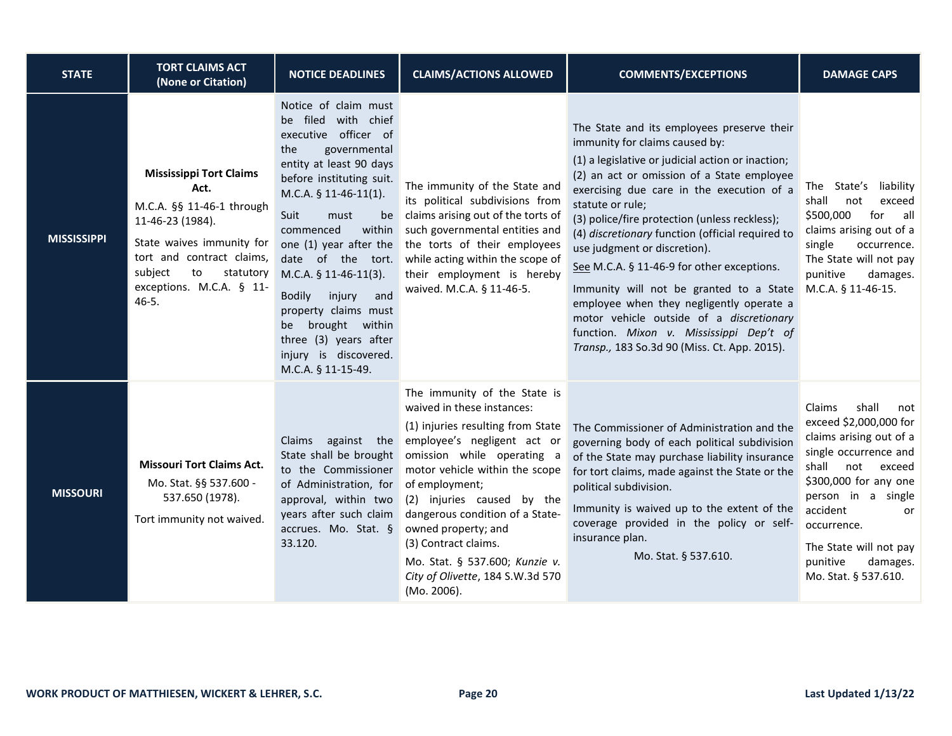| <b>STATE</b>       | <b>TORT CLAIMS ACT</b><br>(None or Citation)                                                                                                                                                                             | <b>NOTICE DEADLINES</b>                                                                                                                                                                                                                                                                                                                                                                                                               | <b>CLAIMS/ACTIONS ALLOWED</b>                                                                                                                                                                                                                                                                                                                                                                                          | <b>COMMENTS/EXCEPTIONS</b>                                                                                                                                                                                                                                                                                                                                                                                                                                                                                                                                                                                                                                        | <b>DAMAGE CAPS</b>                                                                                                                                                                                                                                                                       |
|--------------------|--------------------------------------------------------------------------------------------------------------------------------------------------------------------------------------------------------------------------|---------------------------------------------------------------------------------------------------------------------------------------------------------------------------------------------------------------------------------------------------------------------------------------------------------------------------------------------------------------------------------------------------------------------------------------|------------------------------------------------------------------------------------------------------------------------------------------------------------------------------------------------------------------------------------------------------------------------------------------------------------------------------------------------------------------------------------------------------------------------|-------------------------------------------------------------------------------------------------------------------------------------------------------------------------------------------------------------------------------------------------------------------------------------------------------------------------------------------------------------------------------------------------------------------------------------------------------------------------------------------------------------------------------------------------------------------------------------------------------------------------------------------------------------------|------------------------------------------------------------------------------------------------------------------------------------------------------------------------------------------------------------------------------------------------------------------------------------------|
| <b>MISSISSIPPI</b> | <b>Mississippi Tort Claims</b><br>Act.<br>M.C.A. §§ 11-46-1 through<br>11-46-23 (1984).<br>State waives immunity for<br>tort and contract claims,<br>subject<br>to<br>statutory<br>exceptions. M.C.A. § 11-<br>$46 - 5.$ | Notice of claim must<br>be filed with chief<br>executive officer of<br>the<br>governmental<br>entity at least 90 days<br>before instituting suit.<br>$M.C.A. § 11-46-11(1).$<br>Suit<br>must<br>be<br>commenced<br>within<br>one (1) year after the<br>$M.C.A. § 11-46-11(3).$<br><b>Bodily</b><br>injury<br>and<br>property claims must<br>be brought within<br>three (3) years after<br>injury is discovered.<br>M.C.A. § 11-15-49. | The immunity of the State and<br>its political subdivisions from<br>claims arising out of the torts of<br>such governmental entities and<br>the torts of their employees<br>date of the tort. while acting within the scope of<br>their employment is hereby<br>waived. M.C.A. § 11-46-5.                                                                                                                              | The State and its employees preserve their<br>immunity for claims caused by:<br>(1) a legislative or judicial action or inaction;<br>(2) an act or omission of a State employee<br>exercising due care in the execution of a<br>statute or rule;<br>(3) police/fire protection (unless reckless);<br>(4) discretionary function (official required to<br>use judgment or discretion).<br>See M.C.A. § 11-46-9 for other exceptions.<br>Immunity will not be granted to a State<br>employee when they negligently operate a<br>motor vehicle outside of a discretionary<br>function. Mixon v. Mississippi Dep't of<br>Transp., 183 So.3d 90 (Miss. Ct. App. 2015). | The State's liability<br>shall<br>not<br>exceed<br>\$500,000<br>for<br>all<br>claims arising out of a<br>single<br>occurrence.<br>The State will not pay<br>punitive<br>damages.<br>M.C.A. § 11-46-15.                                                                                   |
| <b>MISSOURI</b>    | <b>Missouri Tort Claims Act.</b><br>Mo. Stat. §§ 537.600 -<br>537.650 (1978).<br>Tort immunity not waived.                                                                                                               | State shall be brought<br>to the Commissioner<br>of Administration, for of employment;<br>approval, within two<br>years after such claim<br>accrues. Mo. Stat. §<br>33.120.                                                                                                                                                                                                                                                           | The immunity of the State is<br>waived in these instances:<br>(1) injuries resulting from State<br>Claims against the employee's negligent act or<br>omission while operating a<br>motor vehicle within the scope<br>(2) injuries caused by the<br>dangerous condition of a State-<br>owned property; and<br>(3) Contract claims.<br>Mo. Stat. § 537.600; Kunzie v.<br>City of Olivette, 184 S.W.3d 570<br>(Mo. 2006). | The Commissioner of Administration and the<br>governing body of each political subdivision<br>of the State may purchase liability insurance<br>for tort claims, made against the State or the<br>political subdivision.<br>Immunity is waived up to the extent of the<br>coverage provided in the policy or self-<br>insurance plan.<br>Mo. Stat. § 537.610.                                                                                                                                                                                                                                                                                                      | Claims<br>shall<br>not<br>exceed \$2,000,000 for<br>claims arising out of a<br>single occurrence and<br>shall<br>not<br>exceed<br>\$300,000 for any one<br>person in a single<br>accident<br>or<br>occurrence.<br>The State will not pay<br>punitive<br>damages.<br>Mo. Stat. § 537.610. |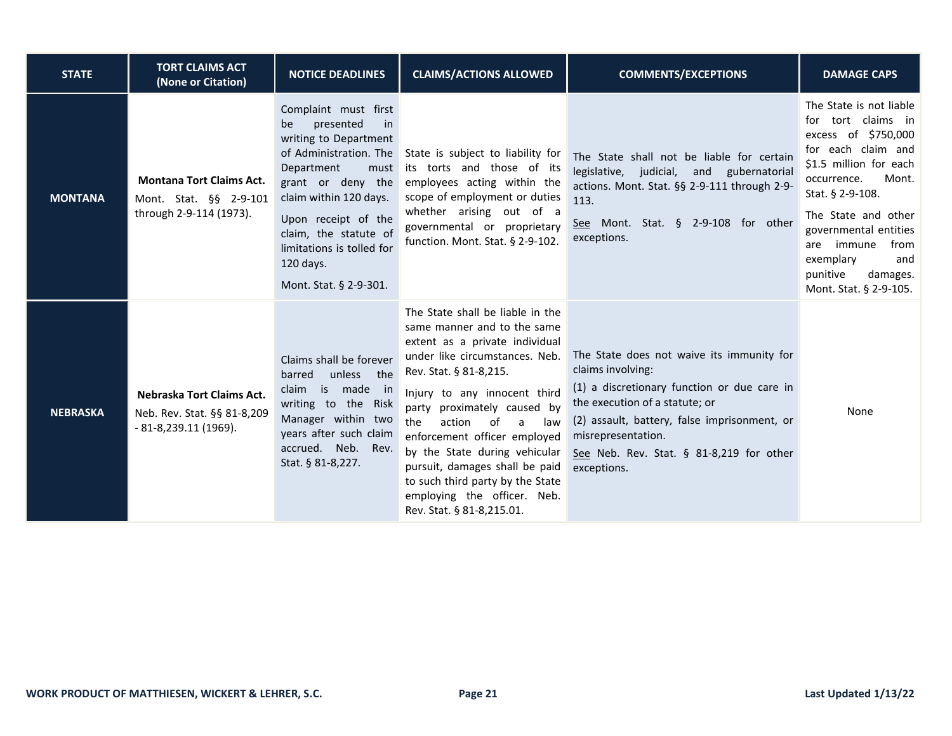| <b>STATE</b>    | <b>TORT CLAIMS ACT</b><br>(None or Citation)                                         | <b>NOTICE DEADLINES</b>                                                                                                                                                                                                                                                                   | <b>CLAIMS/ACTIONS ALLOWED</b>                                                                                                                                                                                                                                                                                                                                                                                                                                      | <b>COMMENTS/EXCEPTIONS</b>                                                                                                                                                                                                                                                       | <b>DAMAGE CAPS</b>                                                                                                                                                                                                                                                                                              |
|-----------------|--------------------------------------------------------------------------------------|-------------------------------------------------------------------------------------------------------------------------------------------------------------------------------------------------------------------------------------------------------------------------------------------|--------------------------------------------------------------------------------------------------------------------------------------------------------------------------------------------------------------------------------------------------------------------------------------------------------------------------------------------------------------------------------------------------------------------------------------------------------------------|----------------------------------------------------------------------------------------------------------------------------------------------------------------------------------------------------------------------------------------------------------------------------------|-----------------------------------------------------------------------------------------------------------------------------------------------------------------------------------------------------------------------------------------------------------------------------------------------------------------|
| <b>MONTANA</b>  | <b>Montana Tort Claims Act.</b><br>Mont. Stat. §§ 2-9-101<br>through 2-9-114 (1973). | Complaint must first<br>presented<br>be<br>in<br>writing to Department<br>of Administration. The<br>Department<br>must<br>grant or deny the<br>claim within 120 days.<br>Upon receipt of the<br>claim, the statute of<br>limitations is tolled for<br>120 days.<br>Mont. Stat. § 2-9-301. | State is subject to liability for<br>its torts and those of its<br>employees acting within the<br>scope of employment or duties<br>whether arising out of a<br>governmental or proprietary<br>function. Mont. Stat. § 2-9-102.                                                                                                                                                                                                                                     | The State shall not be liable for certain<br>legislative, judicial, and gubernatorial<br>actions. Mont. Stat. §§ 2-9-111 through 2-9-<br>113.<br>See Mont. Stat. § 2-9-108 for other<br>exceptions.                                                                              | The State is not liable<br>for tort claims in<br>excess of \$750,000<br>for each claim and<br>\$1.5 million for each<br>Mont.<br>occurrence.<br>Stat. § 2-9-108.<br>The State and other<br>governmental entities<br>immune<br>from<br>are<br>exemplary<br>and<br>punitive<br>damages.<br>Mont. Stat. § 2-9-105. |
| <b>NEBRASKA</b> | Nebraska Tort Claims Act.<br>Neb. Rev. Stat. §§ 81-8,209<br>$-81-8,239.11(1969).$    | Claims shall be forever<br>unless the<br>barred<br>claim is made in<br>writing to the Risk<br>Manager within two<br>years after such claim<br>accrued. Neb. Rev.<br>Stat. § 81-8,227.                                                                                                     | The State shall be liable in the<br>same manner and to the same<br>extent as a private individual<br>under like circumstances. Neb.<br>Rev. Stat. § 81-8,215.<br>Injury to any innocent third<br>party proximately caused by<br>the<br>action<br>of<br>law<br>a<br>enforcement officer employed<br>by the State during vehicular<br>pursuit, damages shall be paid<br>to such third party by the State<br>employing the officer. Neb.<br>Rev. Stat. § 81-8,215.01. | The State does not waive its immunity for<br>claims involving:<br>(1) a discretionary function or due care in<br>the execution of a statute; or<br>(2) assault, battery, false imprisonment, or<br>misrepresentation.<br>See Neb. Rev. Stat. § 81-8,219 for other<br>exceptions. | None                                                                                                                                                                                                                                                                                                            |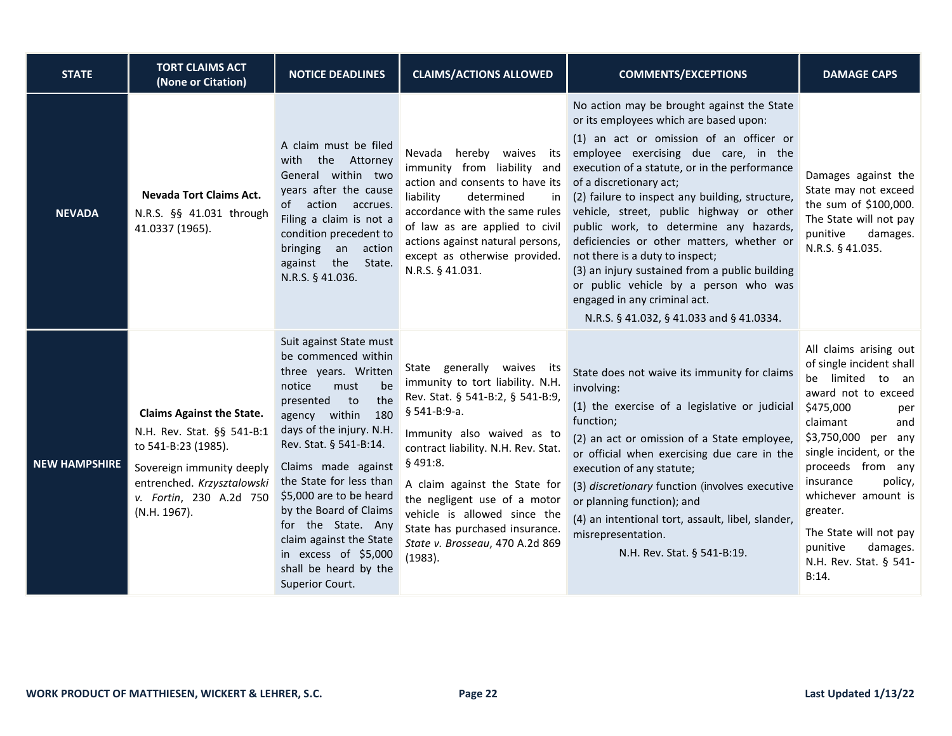| <b>STATE</b>         | <b>TORT CLAIMS ACT</b><br>(None or Citation)                                                                                                                                                | <b>NOTICE DEADLINES</b>                                                                                                                                                                                                                                                                                                                                                                                                         | <b>CLAIMS/ACTIONS ALLOWED</b>                                                                                                                                                                                                                                                                                                                                                        | <b>COMMENTS/EXCEPTIONS</b>                                                                                                                                                                                                                                                                                                                                                                                                                                                                                                                                                                                                                          | <b>DAMAGE CAPS</b>                                                                                                                                                                                                                                                                                                                                          |
|----------------------|---------------------------------------------------------------------------------------------------------------------------------------------------------------------------------------------|---------------------------------------------------------------------------------------------------------------------------------------------------------------------------------------------------------------------------------------------------------------------------------------------------------------------------------------------------------------------------------------------------------------------------------|--------------------------------------------------------------------------------------------------------------------------------------------------------------------------------------------------------------------------------------------------------------------------------------------------------------------------------------------------------------------------------------|-----------------------------------------------------------------------------------------------------------------------------------------------------------------------------------------------------------------------------------------------------------------------------------------------------------------------------------------------------------------------------------------------------------------------------------------------------------------------------------------------------------------------------------------------------------------------------------------------------------------------------------------------------|-------------------------------------------------------------------------------------------------------------------------------------------------------------------------------------------------------------------------------------------------------------------------------------------------------------------------------------------------------------|
| <b>NEVADA</b>        | <b>Nevada Tort Claims Act.</b><br>N.R.S. §§ 41.031 through<br>41.0337 (1965).                                                                                                               | A claim must be filed<br>with the Attorney<br>General within two<br>years after the cause<br>of action accrues.<br>Filing a claim is not a<br>condition precedent to<br>bringing an<br>action<br>against the State.<br>N.R.S. § 41.036.                                                                                                                                                                                         | Nevada hereby waives its<br>immunity from liability and<br>action and consents to have its<br>liability<br>determined<br>in<br>accordance with the same rules<br>of law as are applied to civil<br>actions against natural persons,<br>except as otherwise provided.<br>N.R.S. § 41.031.                                                                                             | No action may be brought against the State<br>or its employees which are based upon:<br>(1) an act or omission of an officer or<br>employee exercising due care, in the<br>execution of a statute, or in the performance<br>of a discretionary act;<br>(2) failure to inspect any building, structure,<br>vehicle, street, public highway or other<br>public work, to determine any hazards,<br>deficiencies or other matters, whether or<br>not there is a duty to inspect;<br>(3) an injury sustained from a public building<br>or public vehicle by a person who was<br>engaged in any criminal act.<br>N.R.S. § 41.032, § 41.033 and § 41.0334. | Damages against the<br>State may not exceed<br>the sum of \$100,000.<br>The State will not pay<br>punitive<br>damages.<br>N.R.S. § 41.035.                                                                                                                                                                                                                  |
| <b>NEW HAMPSHIRE</b> | <b>Claims Against the State.</b><br>N.H. Rev. Stat. §§ 541-B:1<br>to 541-B:23 (1985).<br>Sovereign immunity deeply<br>entrenched. Krzysztalowski<br>v. Fortin, 230 A.2d 750<br>(N.H. 1967). | Suit against State must<br>be commenced within<br>three years. Written<br>be<br>notice<br>must<br>the<br>presented to<br>180<br>agency within<br>days of the injury. N.H.<br>Rev. Stat. § 541-B:14.<br>Claims made against<br>the State for less than<br>\$5,000 are to be heard<br>by the Board of Claims<br>for the State. Any<br>claim against the State<br>in excess of \$5,000<br>shall be heard by the<br>Superior Court. | State generally waives its<br>immunity to tort liability. N.H.<br>Rev. Stat. § 541-B:2, § 541-B:9,<br>§ 541-B:9-a.<br>Immunity also waived as to<br>contract liability. N.H. Rev. Stat.<br>§ 491:8.<br>A claim against the State for<br>the negligent use of a motor<br>vehicle is allowed since the<br>State has purchased insurance.<br>State v. Brosseau, 470 A.2d 869<br>(1983). | State does not waive its immunity for claims<br>involving:<br>(1) the exercise of a legislative or judicial<br>function;<br>(2) an act or omission of a State employee,<br>or official when exercising due care in the<br>execution of any statute;<br>(3) discretionary function (involves executive<br>or planning function); and<br>(4) an intentional tort, assault, libel, slander,<br>misrepresentation.<br>N.H. Rev. Stat. § 541-B:19.                                                                                                                                                                                                       | All claims arising out<br>of single incident shall<br>be limited to an<br>award not to exceed<br>\$475,000<br>per<br>claimant<br>and<br>\$3,750,000 per any<br>single incident, or the<br>proceeds from any<br>insurance<br>policy,<br>whichever amount is<br>greater.<br>The State will not pay<br>punitive<br>damages.<br>N.H. Rev. Stat. § 541-<br>B:14. |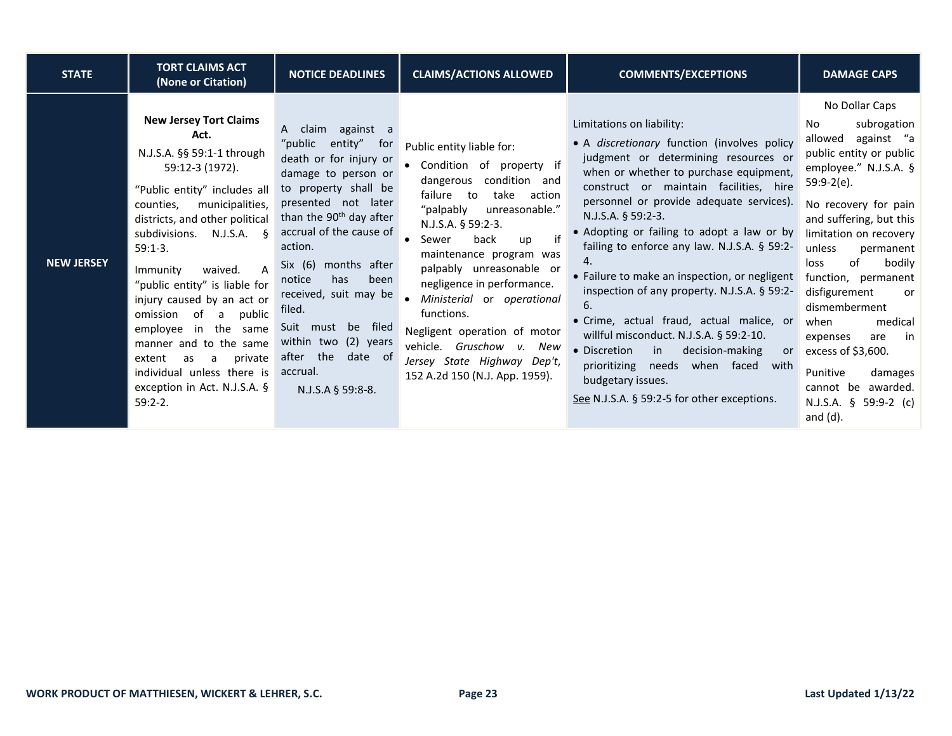| <b>STATE</b>      | <b>TORT CLAIMS ACT</b><br>(None or Citation)                                                                                                                                                                                                                                                                                                                                                                                                                                                                                                    | <b>NOTICE DEADLINES</b>                                                                                                                                                                                                                                                                                                                                                                                                        | <b>CLAIMS/ACTIONS ALLOWED</b>                                                                                                                                                                                                                                                                                                                                                                                                                                             | <b>COMMENTS/EXCEPTIONS</b>                                                                                                                                                                                                                                                                                                                                                                                                                                                                                                                                                                                                                                                                                                                            | <b>DAMAGE CAPS</b>                                                                                                                                                                                                                                                                                                                                                                                                                                                                      |
|-------------------|-------------------------------------------------------------------------------------------------------------------------------------------------------------------------------------------------------------------------------------------------------------------------------------------------------------------------------------------------------------------------------------------------------------------------------------------------------------------------------------------------------------------------------------------------|--------------------------------------------------------------------------------------------------------------------------------------------------------------------------------------------------------------------------------------------------------------------------------------------------------------------------------------------------------------------------------------------------------------------------------|---------------------------------------------------------------------------------------------------------------------------------------------------------------------------------------------------------------------------------------------------------------------------------------------------------------------------------------------------------------------------------------------------------------------------------------------------------------------------|-------------------------------------------------------------------------------------------------------------------------------------------------------------------------------------------------------------------------------------------------------------------------------------------------------------------------------------------------------------------------------------------------------------------------------------------------------------------------------------------------------------------------------------------------------------------------------------------------------------------------------------------------------------------------------------------------------------------------------------------------------|-----------------------------------------------------------------------------------------------------------------------------------------------------------------------------------------------------------------------------------------------------------------------------------------------------------------------------------------------------------------------------------------------------------------------------------------------------------------------------------------|
| <b>NEW JERSEY</b> | <b>New Jersey Tort Claims</b><br>Act.<br>N.J.S.A. §§ 59:1-1 through<br>59:12-3 (1972).<br>"Public entity" includes all<br>municipalities,<br>counties,<br>districts, and other political<br>subdivisions.<br>$N.J.S.A.$ §<br>$59:1-3.$<br>$\overline{A}$<br>Immunity<br>waived.<br>"public entity" is liable for<br>injury caused by an act or<br>of<br>public<br>omission<br>a<br>in the same<br>employee<br>manner and to the same<br>private<br>extent<br>as<br>a<br>individual unless there is<br>exception in Act. N.J.S.A. §<br>$59:2-2.$ | A claim against a<br>"public<br>entity" for<br>death or for injury or<br>damage to person or<br>to property shall be<br>presented not later<br>than the 90 <sup>th</sup> day after<br>accrual of the cause of<br>action.<br>Six $(6)$<br>months after<br>been<br>notice<br>has<br>received, suit may be<br>filed.<br>Suit must<br>filed<br>be<br>within two (2) years<br>after the<br>date of<br>accrual.<br>N.J.S.A § 59:8-8. | Public entity liable for:<br>Condition of property if<br>condition and<br>dangerous<br>failure<br>take<br>to<br>action<br>"palpably<br>unreasonable."<br>N.J.S.A. § 59:2-3.<br>if<br>back<br>Sewer<br>up<br>maintenance program was<br>palpably unreasonable or<br>negligence in performance.<br>Ministerial or operational<br>functions.<br>Negligent operation of motor<br>vehicle.<br>Gruschow v. New<br>Jersey State Highway Dep't,<br>152 A.2d 150 (N.J. App. 1959). | Limitations on liability:<br>• A discretionary function (involves policy<br>judgment or determining resources or<br>when or whether to purchase equipment,<br>construct or maintain facilities, hire<br>personnel or provide adequate services).<br>N.J.S.A. $§$ 59:2-3.<br>• Adopting or failing to adopt a law or by<br>failing to enforce any law. N.J.S.A. § 59:2-<br>$\mathbf{4}$ .<br>• Failure to make an inspection, or negligent<br>inspection of any property. N.J.S.A. § 59:2-<br>6.<br>· Crime, actual fraud, actual malice, or<br>willful misconduct. N.J.S.A. § 59:2-10.<br>• Discretion<br>in<br>decision-making<br>or<br>prioritizing<br>when faced with<br>needs<br>budgetary issues.<br>See N.J.S.A. § 59:2-5 for other exceptions. | No Dollar Caps<br>subrogation<br>No.<br>against "a<br>allowed<br>public entity or public<br>employee." N.J.S.A. §<br>59:9-2(e).<br>No recovery for pain<br>and suffering, but this<br>limitation on recovery<br>unless<br>permanent<br>0f<br>loss<br>bodily<br>function, permanent<br>disfigurement<br>or<br>dismemberment<br>medical<br>when<br>expenses<br>in<br>are<br>excess of \$3,600.<br>Punitive<br>damages<br>cannot<br>be awarded.<br>N.J.S.A. $\S$ 59:9-2 (c)<br>and $(d)$ . |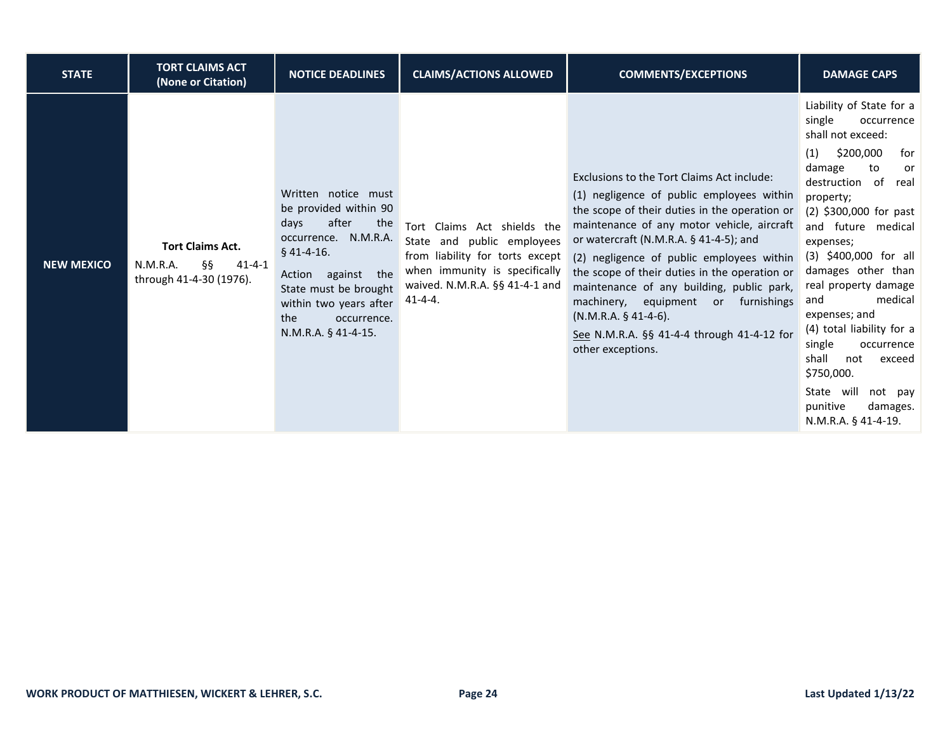| <b>STATE</b>      | <b>TORT CLAIMS ACT</b><br>(None or Citation)                                         | <b>NOTICE DEADLINES</b>                                                                                                                                                                                                                 | <b>CLAIMS/ACTIONS ALLOWED</b>                                                                                                                                                     | <b>COMMENTS/EXCEPTIONS</b>                                                                                                                                                                                                                                                                                                                                                                                                                                                                                             | <b>DAMAGE CAPS</b>                                                                                                                                                                                                                                                                                                                                                                                                                                                                                       |
|-------------------|--------------------------------------------------------------------------------------|-----------------------------------------------------------------------------------------------------------------------------------------------------------------------------------------------------------------------------------------|-----------------------------------------------------------------------------------------------------------------------------------------------------------------------------------|------------------------------------------------------------------------------------------------------------------------------------------------------------------------------------------------------------------------------------------------------------------------------------------------------------------------------------------------------------------------------------------------------------------------------------------------------------------------------------------------------------------------|----------------------------------------------------------------------------------------------------------------------------------------------------------------------------------------------------------------------------------------------------------------------------------------------------------------------------------------------------------------------------------------------------------------------------------------------------------------------------------------------------------|
| <b>NEW MEXICO</b> | <b>Tort Claims Act.</b><br>§§<br>N.M.R.A.<br>$41 - 4 - 1$<br>through 41-4-30 (1976). | Written notice must<br>be provided within 90<br>after<br>days<br>the<br>occurrence. N.M.R.A.<br>$§$ 41-4-16.<br>against the<br>Action<br>State must be brought<br>within two years after<br>the<br>occurrence.<br>$N.M.R.A.$ § 41-4-15. | Tort Claims Act shields the<br>State and public employees<br>from liability for torts except<br>when immunity is specifically<br>waived. N.M.R.A. §§ 41-4-1 and<br>$41 - 4 - 4$ . | Exclusions to the Tort Claims Act include:<br>(1) negligence of public employees within<br>the scope of their duties in the operation or<br>maintenance of any motor vehicle, aircraft<br>or watercraft (N.M.R.A. $\S$ 41-4-5); and<br>(2) negligence of public employees within<br>the scope of their duties in the operation or<br>maintenance of any building, public park,<br>machinery, equipment<br>or furnishings<br>$(N.M.R.A. § 41-4-6)$ .<br>See N.M.R.A. §§ 41-4-4 through 41-4-12 for<br>other exceptions. | Liability of State for a<br>single<br>occurrence<br>shall not exceed:<br>\$200,000<br>for<br>(1)<br>damage<br>to<br>or<br>destruction of<br>real<br>property;<br>$(2)$ \$300,000 for past<br>and future medical<br>expenses;<br>(3) \$400,000 for all<br>damages other than<br>real property damage<br>medical<br>and<br>expenses; and<br>(4) total liability for a<br>single<br>occurrence<br>shall<br>not<br>exceed<br>\$750,000.<br>State will not pay<br>punitive<br>damages.<br>N.M.R.A. § 41-4-19. |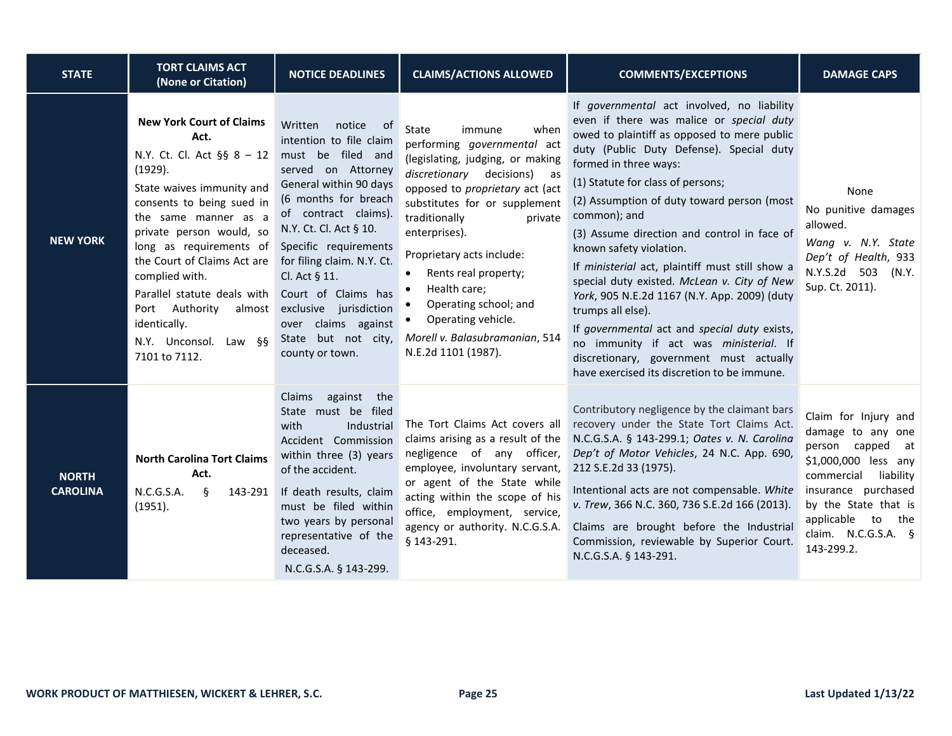| <b>STATE</b>                    | <b>TORT CLAIMS ACT</b><br>(None or Citation)                                                                                                                                                                                                                                                                                                                                                       | <b>NOTICE DEADLINES</b>                                                                                                                                                                                                                                                                                                                                                                       | <b>CLAIMS/ACTIONS ALLOWED</b>                                                                                                                                                                                                                                                                                                                                                                                                  | <b>COMMENTS/EXCEPTIONS</b>                                                                                                                                                                                                                                                                                                                                                                                                                                                                                                                                                                                                                                                                                                                         | <b>DAMAGE CAPS</b>                                                                                                                                                                                                              |
|---------------------------------|----------------------------------------------------------------------------------------------------------------------------------------------------------------------------------------------------------------------------------------------------------------------------------------------------------------------------------------------------------------------------------------------------|-----------------------------------------------------------------------------------------------------------------------------------------------------------------------------------------------------------------------------------------------------------------------------------------------------------------------------------------------------------------------------------------------|--------------------------------------------------------------------------------------------------------------------------------------------------------------------------------------------------------------------------------------------------------------------------------------------------------------------------------------------------------------------------------------------------------------------------------|----------------------------------------------------------------------------------------------------------------------------------------------------------------------------------------------------------------------------------------------------------------------------------------------------------------------------------------------------------------------------------------------------------------------------------------------------------------------------------------------------------------------------------------------------------------------------------------------------------------------------------------------------------------------------------------------------------------------------------------------------|---------------------------------------------------------------------------------------------------------------------------------------------------------------------------------------------------------------------------------|
| <b>NEW YORK</b>                 | <b>New York Court of Claims</b><br>Act.<br>N.Y. Ct. Cl. Act §§ 8 - 12<br>(1929).<br>State waives immunity and<br>consents to being sued in<br>the same manner as a<br>private person would, so<br>long as requirements of<br>the Court of Claims Act are<br>complied with.<br>Parallel statute deals with<br>Authority<br>Port<br>almost<br>identically.<br>N.Y. Unconsol. Law §§<br>7101 to 7112. | Written<br>notice<br>ot o<br>intention to file claim<br>must be filed and<br>served on Attorney<br>General within 90 days<br>(6 months for breach<br>of contract claims).<br>N.Y. Ct. Cl. Act § 10.<br>Specific requirements<br>for filing claim. N.Y. Ct.<br>Cl. Act § 11.<br>Court of Claims has<br>exclusive jurisdiction<br>over claims against<br>State but not city,<br>county or town. | State<br>when<br>immune<br>performing governmental act<br>(legislating, judging, or making<br>discretionary decisions) as<br>opposed to <i>proprietary</i> act (act<br>substitutes for or supplement<br>traditionally<br>private<br>enterprises).<br>Proprietary acts include:<br>Rents real property;<br>Health care;<br>Operating school; and<br>Operating vehicle.<br>Morell v. Balasubramanian, 514<br>N.E.2d 1101 (1987). | If governmental act involved, no liability<br>even if there was malice or special duty<br>owed to plaintiff as opposed to mere public<br>duty (Public Duty Defense). Special duty<br>formed in three ways:<br>(1) Statute for class of persons;<br>(2) Assumption of duty toward person (most<br>common); and<br>(3) Assume direction and control in face of<br>known safety violation.<br>If ministerial act, plaintiff must still show a<br>special duty existed. McLean v. City of New<br>York, 905 N.E.2d 1167 (N.Y. App. 2009) (duty<br>trumps all else).<br>If governmental act and special duty exists,<br>no immunity if act was ministerial. If<br>discretionary, government must actually<br>have exercised its discretion to be immune. | None<br>No punitive damages<br>allowed.<br>Wang v. N.Y. State<br>Dep't of Health, 933<br>N.Y.S.2d 503 (N.Y.<br>Sup. Ct. 2011).                                                                                                  |
| <b>NORTH</b><br><b>CAROLINA</b> | <b>North Carolina Tort Claims</b><br>Act.<br>$\S$<br>N.C.G.S.A.<br>143-291<br>(1951).                                                                                                                                                                                                                                                                                                              | Claims<br>against the<br>State must be filed<br>with<br>Industrial<br>Accident Commission<br>within three (3) years<br>of the accident.<br>If death results, claim<br>must be filed within<br>two years by personal<br>representative of the<br>deceased.<br>N.C.G.S.A. § 143-299.                                                                                                            | The Tort Claims Act covers all<br>claims arising as a result of the<br>negligence of any officer,<br>employee, involuntary servant,<br>or agent of the State while<br>acting within the scope of his<br>office, employment, service,<br>agency or authority. N.C.G.S.A.<br>§ 143-291.                                                                                                                                          | Contributory negligence by the claimant bars<br>recovery under the State Tort Claims Act.<br>N.C.G.S.A. § 143-299.1; Oates v. N. Carolina<br>Dep't of Motor Vehicles, 24 N.C. App. 690,<br>212 S.E.2d 33 (1975).<br>Intentional acts are not compensable. White<br>v. Trew, 366 N.C. 360, 736 S.E.2d 166 (2013).<br>Claims are brought before the Industrial<br>Commission, reviewable by Superior Court.<br>N.C.G.S.A. § 143-291.                                                                                                                                                                                                                                                                                                                 | Claim for Injury and<br>damage to any one<br>person capped<br>at<br>\$1,000,000 less any<br>commercial<br>liability<br>insurance purchased<br>by the State that is<br>applicable to<br>the<br>claim. N.C.G.S.A. §<br>143-299.2. |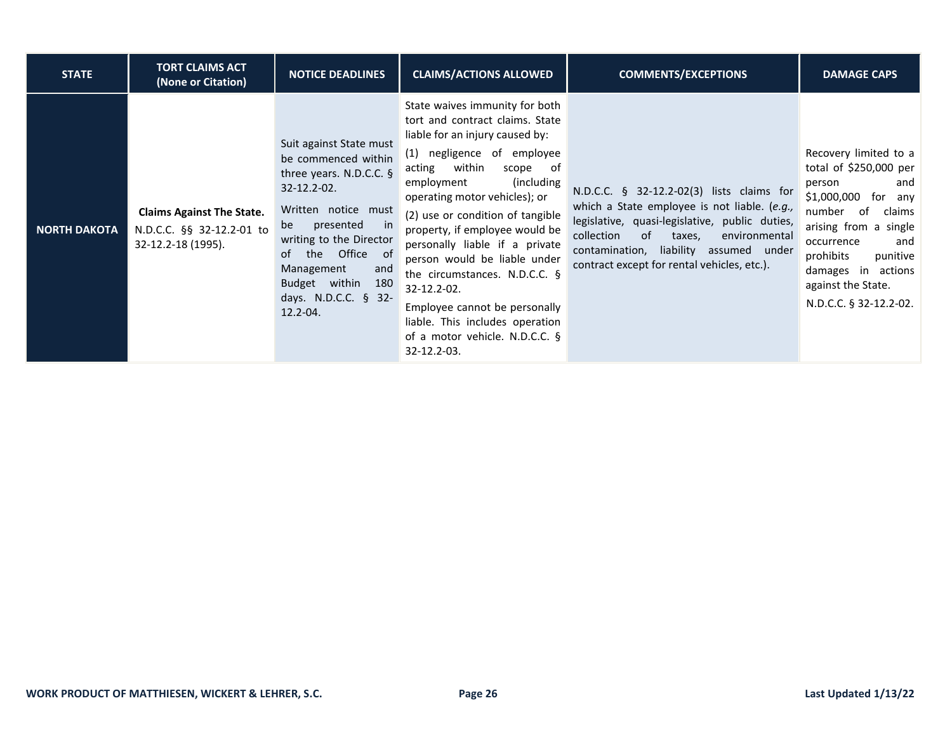| <b>STATE</b>        | <b>TORT CLAIMS ACT</b><br>(None or Citation)                                        | <b>NOTICE DEADLINES</b>                                                                                                                                                                                                                                                                       | <b>CLAIMS/ACTIONS ALLOWED</b>                                                                                                                                                                                                                                                                                                                                                                                                                                                                                                                       | <b>COMMENTS/EXCEPTIONS</b>                                                                                                                                                                                                                                                          | <b>DAMAGE CAPS</b>                                                                                                                                                                                                                                                   |
|---------------------|-------------------------------------------------------------------------------------|-----------------------------------------------------------------------------------------------------------------------------------------------------------------------------------------------------------------------------------------------------------------------------------------------|-----------------------------------------------------------------------------------------------------------------------------------------------------------------------------------------------------------------------------------------------------------------------------------------------------------------------------------------------------------------------------------------------------------------------------------------------------------------------------------------------------------------------------------------------------|-------------------------------------------------------------------------------------------------------------------------------------------------------------------------------------------------------------------------------------------------------------------------------------|----------------------------------------------------------------------------------------------------------------------------------------------------------------------------------------------------------------------------------------------------------------------|
| <b>NORTH DAKOTA</b> | <b>Claims Against The State.</b><br>N.D.C.C. §§ 32-12.2-01 to<br>32-12.2-18 (1995). | Suit against State must<br>be commenced within<br>three years. N.D.C.C. $\S$<br>$32 - 12.2 - 02.$<br>Written notice must<br>presented<br>in<br>be<br>writing to the Director<br>Office of<br>the<br>of<br>Management<br>and<br>Budget within<br>180<br>days. N.D.C.C. $§$ 32-<br>$12.2 - 04.$ | State waives immunity for both<br>tort and contract claims. State<br>liable for an injury caused by:<br>(1) negligence of employee<br>within<br>scope<br>of<br>acting<br>(including)<br>employment<br>operating motor vehicles); or<br>(2) use or condition of tangible<br>property, if employee would be<br>personally liable if a private<br>person would be liable under<br>the circumstances. N.D.C.C. $\S$<br>32-12.2-02.<br>Employee cannot be personally<br>liable. This includes operation<br>of a motor vehicle. N.D.C.C. §<br>32-12.2-03. | N.D.C.C. § 32-12.2-02(3) lists claims for<br>which a State employee is not liable. (e.g.,<br>legislative, quasi-legislative, public duties,<br>collection<br>of<br>environmental<br>taxes,<br>contamination, liability assumed under<br>contract except for rental vehicles, etc.). | Recovery limited to a<br>total of \$250,000 per<br>person<br>and<br>\$1,000,000<br>for<br>any<br>number<br>of<br>claims<br>arising from a single<br>occurrence<br>and<br>prohibits<br>punitive<br>damages in actions<br>against the State.<br>N.D.C.C. § 32-12.2-02. |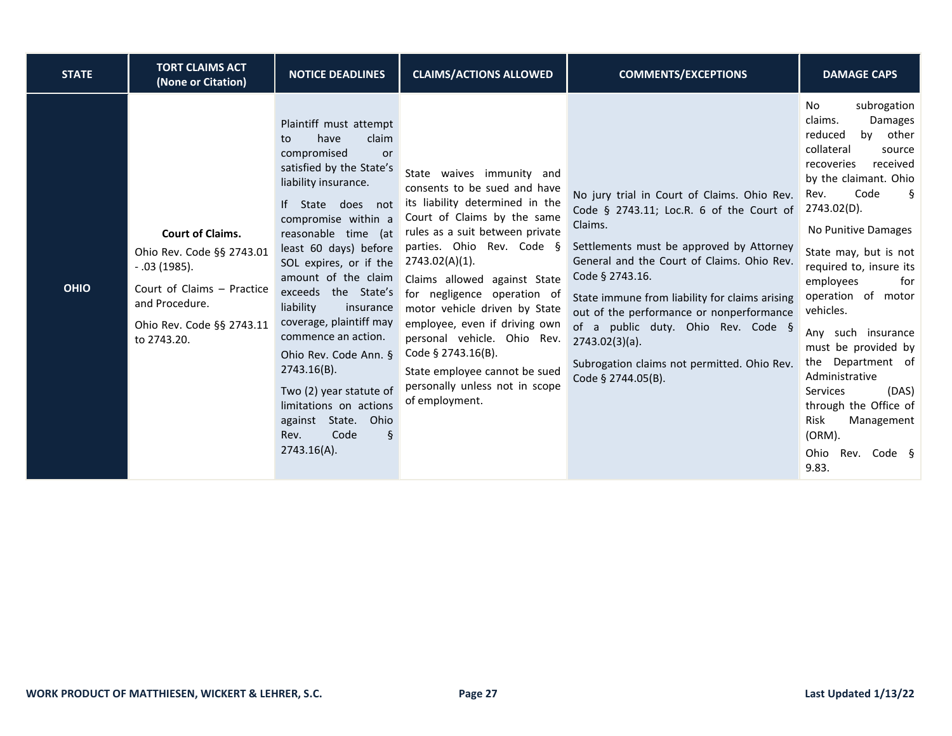| <b>STATE</b> | <b>TORT CLAIMS ACT</b><br>(None or Citation)                                                                                                                      | <b>NOTICE DEADLINES</b>                                                                                                                                                                                                                                                                                                                                                                                                                                                                                                                              | <b>CLAIMS/ACTIONS ALLOWED</b>                                                                                                                                                                                                                                                                                                                                                                                                                                                               | <b>COMMENTS/EXCEPTIONS</b>                                                                                                                                                                                                                                                                                                                                                                                                                    | <b>DAMAGE CAPS</b>                                                                                                                                                                                                                                                                                                                                                                                                                                                                                                          |
|--------------|-------------------------------------------------------------------------------------------------------------------------------------------------------------------|------------------------------------------------------------------------------------------------------------------------------------------------------------------------------------------------------------------------------------------------------------------------------------------------------------------------------------------------------------------------------------------------------------------------------------------------------------------------------------------------------------------------------------------------------|---------------------------------------------------------------------------------------------------------------------------------------------------------------------------------------------------------------------------------------------------------------------------------------------------------------------------------------------------------------------------------------------------------------------------------------------------------------------------------------------|-----------------------------------------------------------------------------------------------------------------------------------------------------------------------------------------------------------------------------------------------------------------------------------------------------------------------------------------------------------------------------------------------------------------------------------------------|-----------------------------------------------------------------------------------------------------------------------------------------------------------------------------------------------------------------------------------------------------------------------------------------------------------------------------------------------------------------------------------------------------------------------------------------------------------------------------------------------------------------------------|
| <b>OHIO</b>  | <b>Court of Claims.</b><br>Ohio Rev. Code §§ 2743.01<br>$-.03(1985).$<br>Court of Claims - Practice<br>and Procedure.<br>Ohio Rev. Code §§ 2743.11<br>to 2743.20. | Plaintiff must attempt<br>claim<br>have<br>to<br>compromised<br><b>or</b><br>satisfied by the State's<br>liability insurance.<br>If State does not<br>compromise within a<br>reasonable time (at<br>least 60 days) before<br>SOL expires, or if the<br>amount of the claim<br>exceeds the State's<br>liability<br>insurance<br>coverage, plaintiff may<br>commence an action.<br>Ohio Rev. Code Ann. §<br>$2743.16(B)$ .<br>Two (2) year statute of<br>limitations on actions<br>against State. Ohio<br>$\mathcal{S}$<br>Code<br>Rev.<br>2743.16(A). | State waives immunity and<br>consents to be sued and have<br>its liability determined in the<br>Court of Claims by the same<br>rules as a suit between private<br>parties. Ohio Rev. Code §<br>$2743.02(A)(1)$ .<br>Claims allowed against State<br>for negligence operation of<br>motor vehicle driven by State<br>employee, even if driving own<br>personal vehicle. Ohio Rev.<br>Code § 2743.16(B).<br>State employee cannot be sued<br>personally unless not in scope<br>of employment. | No jury trial in Court of Claims. Ohio Rev.<br>Code § 2743.11; Loc.R. 6 of the Court of<br>Claims.<br>Settlements must be approved by Attorney<br>General and the Court of Claims. Ohio Rev.<br>Code § 2743.16.<br>State immune from liability for claims arising<br>out of the performance or nonperformance<br>of a public duty. Ohio Rev. Code §<br>$2743.02(3)(a)$ .<br>Subrogation claims not permitted. Ohio Rev.<br>Code § 2744.05(B). | subrogation<br>No<br>claims.<br>Damages<br>other<br>reduced<br>by<br>collateral<br>source<br>received<br>recoveries<br>by the claimant. Ohio<br>Code<br>Ş<br>Rev.<br>2743.02(D).<br>No Punitive Damages<br>State may, but is not<br>required to, insure its<br>employees<br>for<br>operation of motor<br>vehicles.<br>Any such insurance<br>must be provided by<br>the Department of<br>Administrative<br>(DAS)<br><b>Services</b><br>through the Office of<br>Risk<br>Management<br>(ORM).<br>Ohio<br>Rev. Code §<br>9.83. |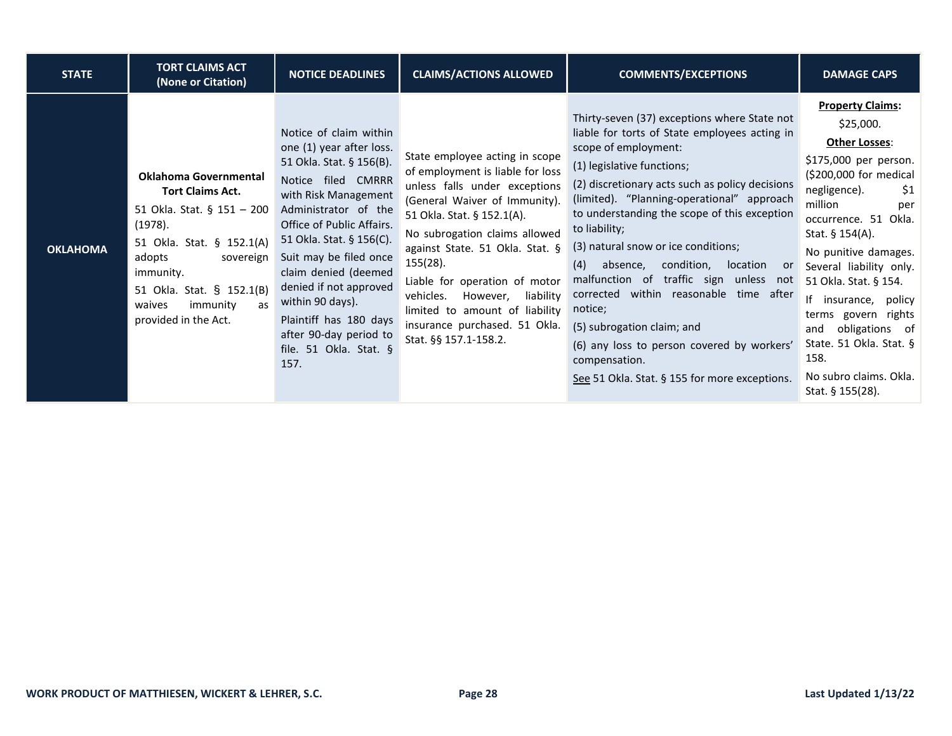| <b>STATE</b>    | <b>TORT CLAIMS ACT</b><br>(None or Citation)                                                                                                                                                                                                       | <b>NOTICE DEADLINES</b>                                                                                                                                                                                                                                                                                                                                                                             | <b>CLAIMS/ACTIONS ALLOWED</b>                                                                                                                                                                                                                                                                                                                                                                                         | <b>COMMENTS/EXCEPTIONS</b>                                                                                                                                                                                                                                                                                                                                                                                                                                                                                                                                                                                                                                   | <b>DAMAGE CAPS</b>                                                                                                                                                                                                                                                                                                                                                                                                                  |
|-----------------|----------------------------------------------------------------------------------------------------------------------------------------------------------------------------------------------------------------------------------------------------|-----------------------------------------------------------------------------------------------------------------------------------------------------------------------------------------------------------------------------------------------------------------------------------------------------------------------------------------------------------------------------------------------------|-----------------------------------------------------------------------------------------------------------------------------------------------------------------------------------------------------------------------------------------------------------------------------------------------------------------------------------------------------------------------------------------------------------------------|--------------------------------------------------------------------------------------------------------------------------------------------------------------------------------------------------------------------------------------------------------------------------------------------------------------------------------------------------------------------------------------------------------------------------------------------------------------------------------------------------------------------------------------------------------------------------------------------------------------------------------------------------------------|-------------------------------------------------------------------------------------------------------------------------------------------------------------------------------------------------------------------------------------------------------------------------------------------------------------------------------------------------------------------------------------------------------------------------------------|
| <b>OKLAHOMA</b> | <b>Oklahoma Governmental</b><br><b>Tort Claims Act.</b><br>51 Okla. Stat. § 151 - 200<br>(1978).<br>51 Okla. Stat. § 152.1(A)<br>adopts<br>sovereign<br>immunity.<br>51 Okla. Stat. § 152.1(B)<br>immunity<br>waives<br>as<br>provided in the Act. | Notice of claim within<br>one (1) year after loss.<br>51 Okla. Stat. § 156(B).<br>Notice filed CMRRR<br>with Risk Management<br>Administrator of the<br>Office of Public Affairs.<br>51 Okla. Stat. § 156(C).<br>Suit may be filed once<br>claim denied (deemed<br>denied if not approved<br>within 90 days).<br>Plaintiff has 180 days<br>after 90-day period to<br>file. 51 Okla. Stat. §<br>157. | State employee acting in scope<br>of employment is liable for loss<br>unless falls under exceptions<br>(General Waiver of Immunity).<br>51 Okla. Stat. § 152.1(A).<br>No subrogation claims allowed<br>against State. 51 Okla. Stat. §<br>155(28).<br>Liable for operation of motor<br>vehicles.<br>However,<br>liability<br>limited to amount of liability<br>insurance purchased. 51 Okla.<br>Stat. §§ 157.1-158.2. | Thirty-seven (37) exceptions where State not<br>liable for torts of State employees acting in<br>scope of employment:<br>(1) legislative functions;<br>(2) discretionary acts such as policy decisions<br>(limited). "Planning-operational" approach<br>to understanding the scope of this exception<br>to liability;<br>(3) natural snow or ice conditions;<br>absence,<br>condition,<br>(4)<br>location<br>or<br>malfunction of traffic sign unless not<br>corrected within reasonable time after<br>notice;<br>(5) subrogation claim; and<br>(6) any loss to person covered by workers'<br>compensation.<br>See 51 Okla. Stat. § 155 for more exceptions. | <b>Property Claims:</b><br>\$25,000.<br>Other Losses:<br>\$175,000 per person.<br>(\$200,000 for medical<br>negligence).<br>\$1<br>million<br>per<br>occurrence. 51 Okla.<br>Stat. $§$ 154(A).<br>No punitive damages.<br>Several liability only.<br>51 Okla. Stat. § 154.<br>If insurance, policy<br>terms govern rights<br>obligations of<br>and<br>State. 51 Okla. Stat. §<br>158.<br>No subro claims. Okla.<br>Stat. § 155(28). |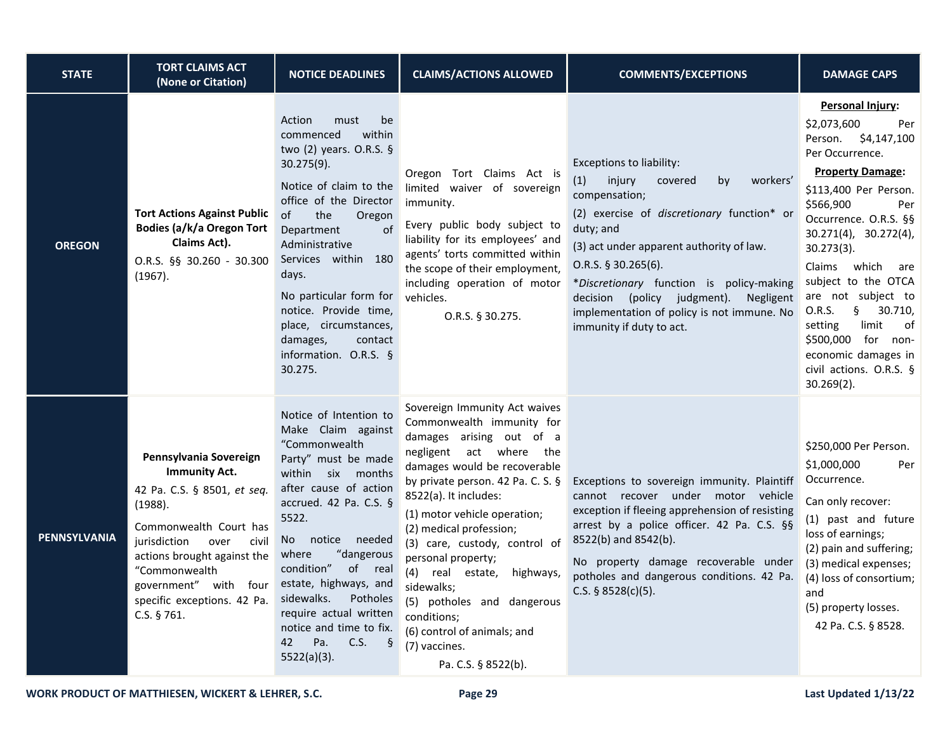| <b>STATE</b>  | <b>TORT CLAIMS ACT</b><br>(None or Citation)                                                                                                                                                                                                                               | <b>NOTICE DEADLINES</b>                                                                                                                                                                                                                                                                                                                                                                        | <b>CLAIMS/ACTIONS ALLOWED</b>                                                                                                                                                                                                                                                                                                                                                                                                                                                                        | <b>COMMENTS/EXCEPTIONS</b>                                                                                                                                                                                                                                                                                                                                                                    | <b>DAMAGE CAPS</b>                                                                                                                                                                                                                                                                                                                                                                                                                                    |
|---------------|----------------------------------------------------------------------------------------------------------------------------------------------------------------------------------------------------------------------------------------------------------------------------|------------------------------------------------------------------------------------------------------------------------------------------------------------------------------------------------------------------------------------------------------------------------------------------------------------------------------------------------------------------------------------------------|------------------------------------------------------------------------------------------------------------------------------------------------------------------------------------------------------------------------------------------------------------------------------------------------------------------------------------------------------------------------------------------------------------------------------------------------------------------------------------------------------|-----------------------------------------------------------------------------------------------------------------------------------------------------------------------------------------------------------------------------------------------------------------------------------------------------------------------------------------------------------------------------------------------|-------------------------------------------------------------------------------------------------------------------------------------------------------------------------------------------------------------------------------------------------------------------------------------------------------------------------------------------------------------------------------------------------------------------------------------------------------|
| <b>OREGON</b> | <b>Tort Actions Against Public</b><br><b>Bodies (a/k/a Oregon Tort</b><br>Claims Act).<br>O.R.S. §§ 30.260 - 30.300<br>(1967).                                                                                                                                             | Action<br>must<br>be<br>commenced<br>within<br>two (2) years. O.R.S. §<br>$30.275(9)$ .<br>Notice of claim to the<br>office of the Director<br>the<br>of<br>Oregon<br>$\Omega$<br>Department<br>Administrative<br>Services within 180<br>days.<br>No particular form for<br>notice. Provide time,<br>place, circumstances,<br>damages,<br>contact<br>information. O.R.S. §<br>30.275.          | Oregon Tort Claims Act is<br>limited waiver of sovereign<br>immunity.<br>Every public body subject to<br>liability for its employees' and<br>agents' torts committed within<br>the scope of their employment,<br>including operation of motor<br>vehicles.<br>O.R.S. § 30.275.                                                                                                                                                                                                                       | <b>Exceptions to liability:</b><br>(1)<br>injury<br>covered<br>workers'<br>by<br>compensation;<br>(2) exercise of discretionary function* or<br>duty; and<br>(3) act under apparent authority of law.<br>$O.R.S.$ § 30.265(6).<br>*Discretionary function is policy-making<br>decision (policy judgment). Negligent<br>implementation of policy is not immune. No<br>immunity if duty to act. | Personal Injury:<br>\$2,073,600<br>Per<br>\$4,147,100<br>Person.<br>Per Occurrence.<br><b>Property Damage:</b><br>\$113,400 Per Person.<br>\$566,900<br>Per<br>Occurrence. O.R.S. §§<br>$30.271(4)$ , $30.272(4)$ ,<br>$30.273(3)$ .<br>Claims which are<br>subject to the OTCA<br>are not subject to<br>30.710,<br>0.R.S.<br>$\S$<br>limit<br>setting<br>of<br>\$500,000 for non-<br>economic damages in<br>civil actions. O.R.S. §<br>$30.269(2)$ . |
| PENNSYLVANIA  | Pennsylvania Sovereign<br><b>Immunity Act.</b><br>42 Pa. C.S. § 8501, et seq.<br>(1988).<br>Commonwealth Court has<br>jurisdiction<br>over<br>civil<br>actions brought against the<br>"Commonwealth<br>government" with four<br>specific exceptions. 42 Pa.<br>C.S. § 761. | Notice of Intention to<br>Make Claim against<br>"Commonwealth<br>Party" must be made<br>within six months<br>after cause of action<br>accrued. 42 Pa. C.S. §<br>5522.<br>No notice needed<br>where<br>"dangerous<br>condition"<br>of real<br>estate, highways, and<br>sidewalks.<br>Potholes<br>require actual written<br>notice and time to fix.<br>Pa.<br>C.S.<br>42<br>Š.<br>$5522(a)(3)$ . | Sovereign Immunity Act waives<br>Commonwealth immunity for<br>damages arising out of a<br>negligent act where the<br>damages would be recoverable<br>by private person. 42 Pa. C. S. §<br>8522(a). It includes:<br>(1) motor vehicle operation;<br>(2) medical profession;<br>(3) care, custody, control of<br>personal property;<br>(4) real estate,<br>highways,<br>sidewalks;<br>(5) potholes and dangerous<br>conditions;<br>(6) control of animals; and<br>(7) vaccines.<br>Pa. C.S. § 8522(b). | Exceptions to sovereign immunity. Plaintiff<br>cannot recover under motor vehicle<br>exception if fleeing apprehension of resisting<br>arrest by a police officer. 42 Pa. C.S. §§<br>8522(b) and 8542(b).<br>No property damage recoverable under<br>potholes and dangerous conditions. 42 Pa.<br>C.S. $§ 8528(c)(5)$ .                                                                       | \$250,000 Per Person.<br>\$1,000,000<br>Per<br>Occurrence.<br>Can only recover:<br>(1) past and future<br>loss of earnings;<br>(2) pain and suffering;<br>(3) medical expenses;<br>(4) loss of consortium;<br>and<br>(5) property losses.<br>42 Pa. C.S. § 8528.                                                                                                                                                                                      |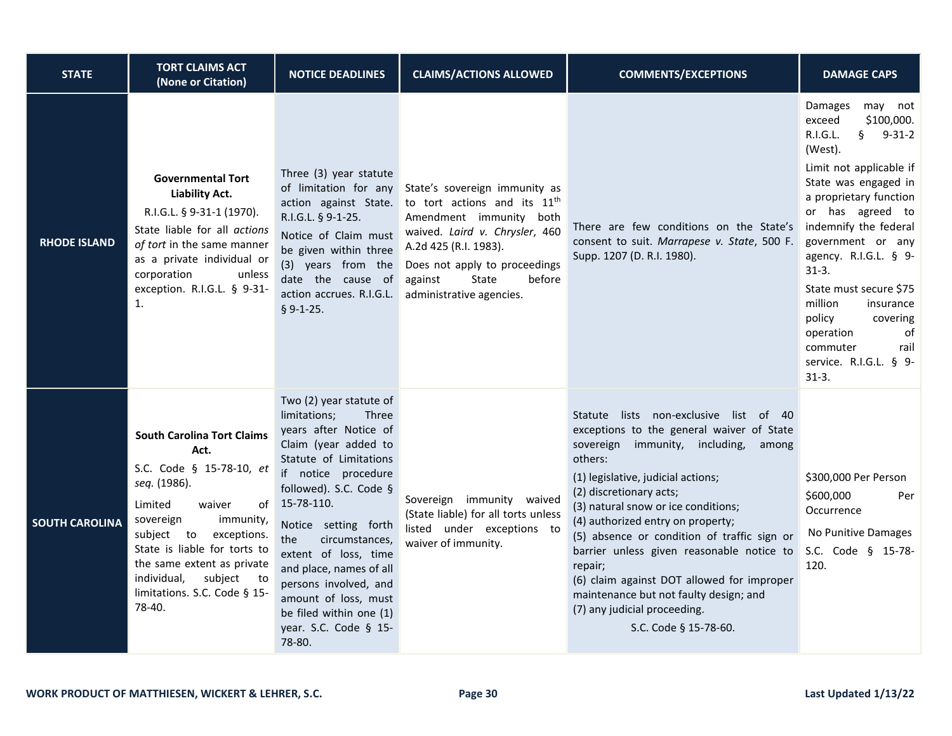| <b>STATE</b>          | <b>TORT CLAIMS ACT</b><br>(None or Citation)                                                                                                                                                                                                                                                                 | <b>NOTICE DEADLINES</b>                                                                                                                                                                                                                                                                                                                                                                                       | <b>CLAIMS/ACTIONS ALLOWED</b>                                                                                                                                                                                                                              | <b>COMMENTS/EXCEPTIONS</b>                                                                                                                                                                                                                                                                                                                                                                                                                                                                                                                     | <b>DAMAGE CAPS</b>                                                                                                                                                                                                                                                                                                                                                                                                                    |
|-----------------------|--------------------------------------------------------------------------------------------------------------------------------------------------------------------------------------------------------------------------------------------------------------------------------------------------------------|---------------------------------------------------------------------------------------------------------------------------------------------------------------------------------------------------------------------------------------------------------------------------------------------------------------------------------------------------------------------------------------------------------------|------------------------------------------------------------------------------------------------------------------------------------------------------------------------------------------------------------------------------------------------------------|------------------------------------------------------------------------------------------------------------------------------------------------------------------------------------------------------------------------------------------------------------------------------------------------------------------------------------------------------------------------------------------------------------------------------------------------------------------------------------------------------------------------------------------------|---------------------------------------------------------------------------------------------------------------------------------------------------------------------------------------------------------------------------------------------------------------------------------------------------------------------------------------------------------------------------------------------------------------------------------------|
| <b>RHODE ISLAND</b>   | <b>Governmental Tort</b><br><b>Liability Act.</b><br>R.I.G.L. § 9-31-1 (1970).<br>State liable for all actions<br>of tort in the same manner<br>as a private individual or<br>corporation<br>unless<br>exception. R.I.G.L. § 9-31-<br>$\mathbf{1}$ .                                                         | Three (3) year statute<br>of limitation for any<br>action against State.<br>R.I.G.L. § 9-1-25.<br>Notice of Claim must<br>be given within three<br>(3) years from the<br>date the cause of<br>action accrues. R.I.G.L.<br>$$9-1-25.$                                                                                                                                                                          | State's sovereign immunity as<br>to tort actions and its 11 <sup>th</sup><br>Amendment immunity both<br>waived. Laird v. Chrysler, 460<br>A.2d 425 (R.I. 1983).<br>Does not apply to proceedings<br>against<br>State<br>before<br>administrative agencies. | There are few conditions on the State's<br>consent to suit. Marrapese v. State, 500 F.<br>Supp. 1207 (D. R.I. 1980).                                                                                                                                                                                                                                                                                                                                                                                                                           | Damages<br>may<br>not<br>\$100,000.<br>exceed<br>R.I.G.L.<br>$\S$<br>$9 - 31 - 2$<br>(West).<br>Limit not applicable if<br>State was engaged in<br>a proprietary function<br>or has agreed to<br>indemnify the federal<br>government or any<br>agency. R.I.G.L. § 9-<br>$31-3.$<br>State must secure \$75<br>million<br>insurance<br>policy<br>covering<br>operation<br>of<br>commuter<br>rail<br>service. R.I.G.L. § 9-<br>$31 - 3.$ |
| <b>SOUTH CAROLINA</b> | <b>South Carolina Tort Claims</b><br>Act.<br>S.C. Code § 15-78-10, et<br>seq. (1986).<br>Limited<br>waiver<br>οf<br>sovereign<br>immunity,<br>subject to<br>exceptions.<br>State is liable for torts to<br>the same extent as private<br>individual,<br>subject to<br>limitations. S.C. Code § 15-<br>78-40. | Two (2) year statute of<br>limitations;<br>Three<br>years after Notice of<br>Claim (year added to<br>Statute of Limitations<br>if notice procedure<br>followed). S.C. Code §<br>15-78-110.<br>Notice setting forth<br>the<br>circumstances,<br>extent of loss, time<br>and place, names of all<br>persons involved, and<br>amount of loss, must<br>be filed within one (1)<br>year. S.C. Code § 15-<br>78-80. | Sovereign immunity waived<br>(State liable) for all torts unless<br>listed under exceptions to<br>waiver of immunity.                                                                                                                                      | Statute lists non-exclusive list of 40<br>exceptions to the general waiver of State<br>sovereign immunity, including,<br>among<br>others:<br>(1) legislative, judicial actions;<br>(2) discretionary acts;<br>(3) natural snow or ice conditions;<br>(4) authorized entry on property;<br>(5) absence or condition of traffic sign or<br>barrier unless given reasonable notice to<br>repair;<br>(6) claim against DOT allowed for improper<br>maintenance but not faulty design; and<br>(7) any judicial proceeding.<br>S.C. Code § 15-78-60. | \$300,000 Per Person<br>\$600,000<br>Per<br>Occurrence<br>No Punitive Damages<br>S.C. Code § 15-78-<br>120.                                                                                                                                                                                                                                                                                                                           |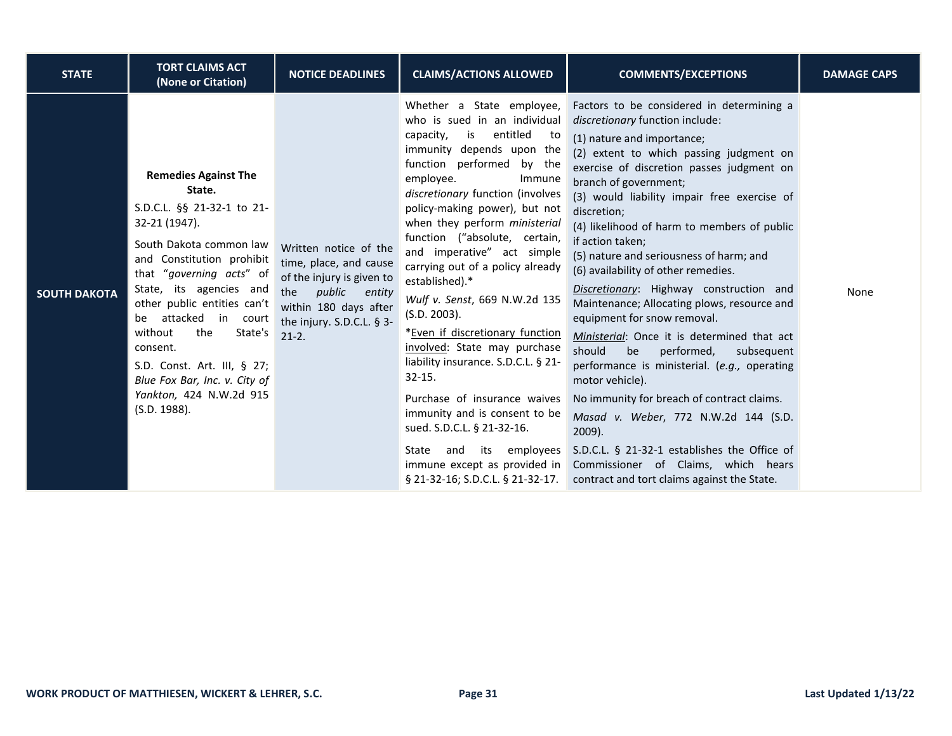| <b>STATE</b>        | <b>TORT CLAIMS ACT</b><br>(None or Citation)                                                                                                                                                                                                                                                                                                                                                                   | <b>NOTICE DEADLINES</b>                                                                                                                                                     | <b>CLAIMS/ACTIONS ALLOWED</b>                                                                                                                                                                                                                                                                                                                                                                                                                                                                                                                                                                                                                                                                                                                           | <b>COMMENTS/EXCEPTIONS</b>                                                                                                                                                                                                                                                                                                                                                                                                                                                                                                                                                                                                                                                                                                                                                                                                                                                                                                                                                                                  | <b>DAMAGE CAPS</b> |
|---------------------|----------------------------------------------------------------------------------------------------------------------------------------------------------------------------------------------------------------------------------------------------------------------------------------------------------------------------------------------------------------------------------------------------------------|-----------------------------------------------------------------------------------------------------------------------------------------------------------------------------|---------------------------------------------------------------------------------------------------------------------------------------------------------------------------------------------------------------------------------------------------------------------------------------------------------------------------------------------------------------------------------------------------------------------------------------------------------------------------------------------------------------------------------------------------------------------------------------------------------------------------------------------------------------------------------------------------------------------------------------------------------|-------------------------------------------------------------------------------------------------------------------------------------------------------------------------------------------------------------------------------------------------------------------------------------------------------------------------------------------------------------------------------------------------------------------------------------------------------------------------------------------------------------------------------------------------------------------------------------------------------------------------------------------------------------------------------------------------------------------------------------------------------------------------------------------------------------------------------------------------------------------------------------------------------------------------------------------------------------------------------------------------------------|--------------------|
| <b>SOUTH DAKOTA</b> | <b>Remedies Against The</b><br>State.<br>S.D.C.L. §§ 21-32-1 to 21-<br>32-21 (1947).<br>South Dakota common law<br>and Constitution prohibit<br>that "governing acts" of<br>State, its agencies and<br>other public entities can't<br>be attacked in court<br>without<br>the<br>State's<br>consent.<br>S.D. Const. Art. III, § 27;<br>Blue Fox Bar, Inc. v. City of<br>Yankton, 424 N.W.2d 915<br>(S.D. 1988). | Written notice of the<br>time, place, and cause<br>of the injury is given to<br>the<br>public<br>entity<br>within 180 days after<br>the injury. S.D.C.L. § 3-<br>$21 - 2$ . | Whether a State employee,<br>who is sued in an individual<br>entitled<br>capacity,<br>is<br>to to<br>immunity depends upon the<br>function performed<br>by the<br>employee.<br>Immune<br>discretionary function (involves<br>policy-making power), but not<br>when they perform ministerial<br>function ("absolute, certain,<br>and imperative" act simple<br>carrying out of a policy already<br>established).*<br>Wulf v. Senst, 669 N.W.2d 135<br>(S.D. 2003).<br>*Even if discretionary function<br>involved: State may purchase<br>liability insurance. S.D.C.L. § 21-<br>$32 - 15.$<br>Purchase of insurance waives<br>immunity and is consent to be<br>sued. S.D.C.L. § 21-32-16.<br>State and its employees<br>§ 21-32-16; S.D.C.L. § 21-32-17. | Factors to be considered in determining a<br>discretionary function include:<br>(1) nature and importance;<br>(2) extent to which passing judgment on<br>exercise of discretion passes judgment on<br>branch of government;<br>(3) would liability impair free exercise of<br>discretion;<br>(4) likelihood of harm to members of public<br>if action taken;<br>(5) nature and seriousness of harm; and<br>(6) availability of other remedies.<br>Discretionary: Highway construction and<br>Maintenance; Allocating plows, resource and<br>equipment for snow removal.<br>Ministerial: Once it is determined that act<br>should<br>be<br>performed,<br>subsequent<br>performance is ministerial. (e.g., operating<br>motor vehicle).<br>No immunity for breach of contract claims.<br>Masad v. Weber, 772 N.W.2d 144 (S.D.<br>2009).<br>S.D.C.L. $\S$ 21-32-1 establishes the Office of<br>immune except as provided in Commissioner of Claims, which hears<br>contract and tort claims against the State. | None               |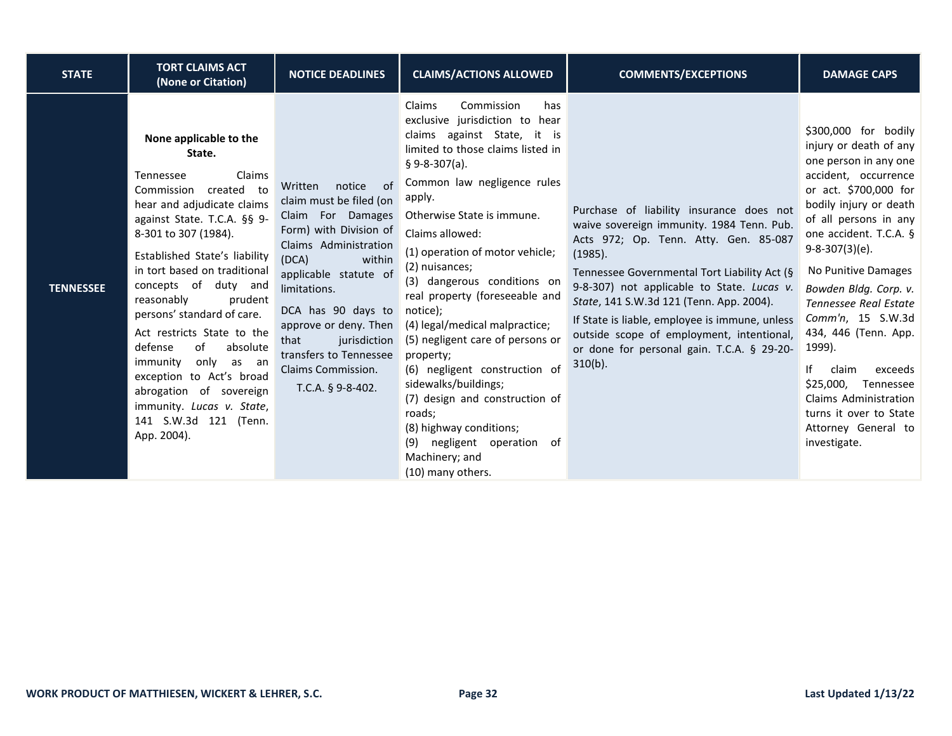| <b>STATE</b>     | <b>TORT CLAIMS ACT</b><br>(None or Citation)                                                                                                                                                                                                                                                                                                                                                                                                                                                                                           | <b>NOTICE DEADLINES</b>                                                                                                                                                                                                                                                                                                            | <b>CLAIMS/ACTIONS ALLOWED</b>                                                                                                                                                                                                                                                                                                                                                                                                                                                                                                                                                                                                                                                | <b>COMMENTS/EXCEPTIONS</b>                                                                                                                                                                                                                                                                                                                                                                                                                     | <b>DAMAGE CAPS</b>                                                                                                                                                                                                                                                                                                                                                                                                                                                                                              |
|------------------|----------------------------------------------------------------------------------------------------------------------------------------------------------------------------------------------------------------------------------------------------------------------------------------------------------------------------------------------------------------------------------------------------------------------------------------------------------------------------------------------------------------------------------------|------------------------------------------------------------------------------------------------------------------------------------------------------------------------------------------------------------------------------------------------------------------------------------------------------------------------------------|------------------------------------------------------------------------------------------------------------------------------------------------------------------------------------------------------------------------------------------------------------------------------------------------------------------------------------------------------------------------------------------------------------------------------------------------------------------------------------------------------------------------------------------------------------------------------------------------------------------------------------------------------------------------------|------------------------------------------------------------------------------------------------------------------------------------------------------------------------------------------------------------------------------------------------------------------------------------------------------------------------------------------------------------------------------------------------------------------------------------------------|-----------------------------------------------------------------------------------------------------------------------------------------------------------------------------------------------------------------------------------------------------------------------------------------------------------------------------------------------------------------------------------------------------------------------------------------------------------------------------------------------------------------|
| <b>TENNESSEE</b> | None applicable to the<br>State.<br>Claims<br>Tennessee<br>Commission created to<br>hear and adjudicate claims<br>against State. T.C.A. §§ 9-<br>8-301 to 307 (1984).<br>Established State's liability<br>in tort based on traditional<br>concepts of duty and<br>reasonably<br>prudent<br>persons' standard of care.<br>Act restricts State to the<br>of<br>defense<br>absolute<br>immunity<br>only as an<br>exception to Act's broad<br>abrogation of sovereign<br>immunity. Lucas v. State,<br>141 S.W.3d 121 (Tenn.<br>App. 2004). | notice<br>Written<br>0f<br>claim must be filed (on<br>Claim For Damages<br>Form) with Division of<br>Claims Administration<br>(DCA)<br>within<br>applicable statute of<br>limitations.<br>DCA has 90 days to<br>approve or deny. Then<br>jurisdiction<br>that<br>transfers to Tennessee<br>Claims Commission.<br>T.C.A. § 9-8-402. | Claims<br>Commission<br>has<br>exclusive jurisdiction to hear<br>claims against State, it is<br>limited to those claims listed in<br>$§ 9 - 8 - 307(a).$<br>Common law negligence rules<br>apply.<br>Otherwise State is immune.<br>Claims allowed:<br>(1) operation of motor vehicle;<br>(2) nuisances;<br>(3) dangerous conditions on<br>real property (foreseeable and<br>notice);<br>(4) legal/medical malpractice;<br>(5) negligent care of persons or<br>property;<br>(6) negligent construction of<br>sidewalks/buildings;<br>(7) design and construction of<br>roads:<br>(8) highway conditions;<br>(9) negligent operation of<br>Machinery; and<br>(10) many others. | Purchase of liability insurance does not<br>waive sovereign immunity. 1984 Tenn. Pub.<br>Acts 972; Op. Tenn. Atty. Gen. 85-087<br>(1985).<br>Tennessee Governmental Tort Liability Act (§<br>9-8-307) not applicable to State. Lucas v.<br>State, 141 S.W.3d 121 (Tenn. App. 2004).<br>If State is liable, employee is immune, unless<br>outside scope of employment, intentional,<br>or done for personal gain. T.C.A. § 29-20-<br>$310(b)$ . | \$300,000 for bodily<br>injury or death of any<br>one person in any one<br>accident, occurrence<br>or act. \$700,000 for<br>bodily injury or death<br>of all persons in any<br>one accident. T.C.A. §<br>$9-8-307(3)(e)$ .<br>No Punitive Damages<br>Bowden Bldg. Corp. v.<br><b>Tennessee Real Estate</b><br>Comm'n, 15 S.W.3d<br>434, 446 (Tenn. App.<br>1999).<br>١f<br>exceeds<br>claim<br>\$25,000,<br>Tennessee<br>Claims Administration<br>turns it over to State<br>Attorney General to<br>investigate. |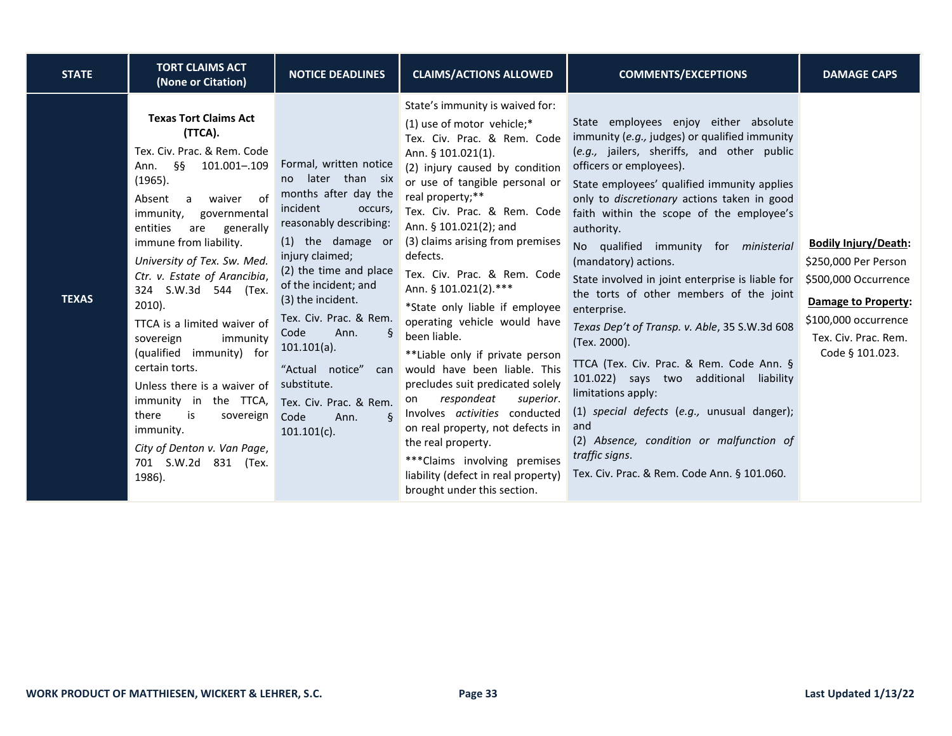| <b>STATE</b> | <b>TORT CLAIMS ACT</b><br>(None or Citation)                                                                                                                                                                                                                                                                                                                                                                                                                                                                                                                                                                  | <b>NOTICE DEADLINES</b>                                                                                                                                                                                                                                                                                                                                                                                   | <b>CLAIMS/ACTIONS ALLOWED</b>                                                                                                                                                                                                                                                                                                                                                                                                                                                                                                                                                                                                                                                                                                                                                                            | <b>COMMENTS/EXCEPTIONS</b>                                                                                                                                                                                                                                                                                                                                                                                                                                                                                                                                                                                                                                                                                                                                                                                                                                    | <b>DAMAGE CAPS</b>                                                                                                                                                           |
|--------------|---------------------------------------------------------------------------------------------------------------------------------------------------------------------------------------------------------------------------------------------------------------------------------------------------------------------------------------------------------------------------------------------------------------------------------------------------------------------------------------------------------------------------------------------------------------------------------------------------------------|-----------------------------------------------------------------------------------------------------------------------------------------------------------------------------------------------------------------------------------------------------------------------------------------------------------------------------------------------------------------------------------------------------------|----------------------------------------------------------------------------------------------------------------------------------------------------------------------------------------------------------------------------------------------------------------------------------------------------------------------------------------------------------------------------------------------------------------------------------------------------------------------------------------------------------------------------------------------------------------------------------------------------------------------------------------------------------------------------------------------------------------------------------------------------------------------------------------------------------|---------------------------------------------------------------------------------------------------------------------------------------------------------------------------------------------------------------------------------------------------------------------------------------------------------------------------------------------------------------------------------------------------------------------------------------------------------------------------------------------------------------------------------------------------------------------------------------------------------------------------------------------------------------------------------------------------------------------------------------------------------------------------------------------------------------------------------------------------------------|------------------------------------------------------------------------------------------------------------------------------------------------------------------------------|
| <b>TEXAS</b> | <b>Texas Tort Claims Act</b><br>(TTCA).<br>Tex. Civ. Prac. & Rem. Code<br>- 88<br>101.001-.109<br>Ann.<br>(1965).<br>waiver of<br>Absent a<br>immunity,<br>governmental<br>entities<br>are<br>generally<br>immune from liability.<br>University of Tex. Sw. Med.<br>Ctr. v. Estate of Arancibia,<br>324 S.W.3d 544 (Tex.<br>$2010$ ).<br>TTCA is a limited waiver of<br>sovereign<br>immunity<br>(qualified immunity) for<br>certain torts.<br>Unless there is a waiver of<br>immunity in the TTCA,<br>there<br>is<br>sovereign<br>immunity.<br>City of Denton v. Van Page,<br>701 S.W.2d 831 (Tex.<br>1986). | Formal, written notice<br>no later than six<br>months after day the<br>incident<br>occurs,<br>reasonably describing:<br>(1) the damage or<br>injury claimed;<br>(2) the time and place<br>of the incident; and<br>(3) the incident.<br>Tex. Civ. Prac. & Rem.<br>Ann.<br>Code<br>$101.101(a)$ .<br>"Actual notice"<br>can<br>substitute.<br>Tex. Civ. Prac. & Rem.<br>δ<br>Code<br>Ann.<br>$101.101(c)$ . | State's immunity is waived for:<br>$(1)$ use of motor vehicle;*<br>Tex. Civ. Prac. & Rem. Code<br>Ann. § 101.021(1).<br>(2) injury caused by condition<br>or use of tangible personal or<br>real property;**<br>Tex. Civ. Prac. & Rem. Code<br>Ann. § 101.021(2); and<br>(3) claims arising from premises<br>defects.<br>Tex. Civ. Prac. & Rem. Code<br>Ann. § 101.021(2).***<br>*State only liable if employee<br>operating vehicle would have<br>been liable.<br>**Liable only if private person<br>would have been liable. This<br>precludes suit predicated solely<br>respondeat<br>superior.<br>on<br>Involves activities conducted<br>on real property, not defects in<br>the real property.<br>***Claims involving premises<br>liability (defect in real property)<br>brought under this section. | State employees enjoy either absolute<br>immunity (e.g., judges) or qualified immunity<br>(e.g., jailers, sheriffs, and other public<br>officers or employees).<br>State employees' qualified immunity applies<br>only to discretionary actions taken in good<br>faith within the scope of the employee's<br>authority.<br>No qualified immunity for <i>ministerial</i><br>(mandatory) actions.<br>State involved in joint enterprise is liable for<br>the torts of other members of the joint<br>enterprise.<br>Texas Dep't of Transp. v. Able, 35 S.W.3d 608<br>(Tex. 2000).<br>TTCA (Tex. Civ. Prac. & Rem. Code Ann. §<br>101.022) says two additional liability<br>limitations apply:<br>(1) special defects (e.g., unusual danger);<br>and<br>(2) Absence, condition or malfunction of<br>traffic signs.<br>Tex. Civ. Prac. & Rem. Code Ann. § 101.060. | <b>Bodily Injury/Death:</b><br>\$250,000 Per Person<br>\$500,000 Occurrence<br><b>Damage to Property:</b><br>\$100,000 occurrence<br>Tex. Civ. Prac. Rem.<br>Code § 101.023. |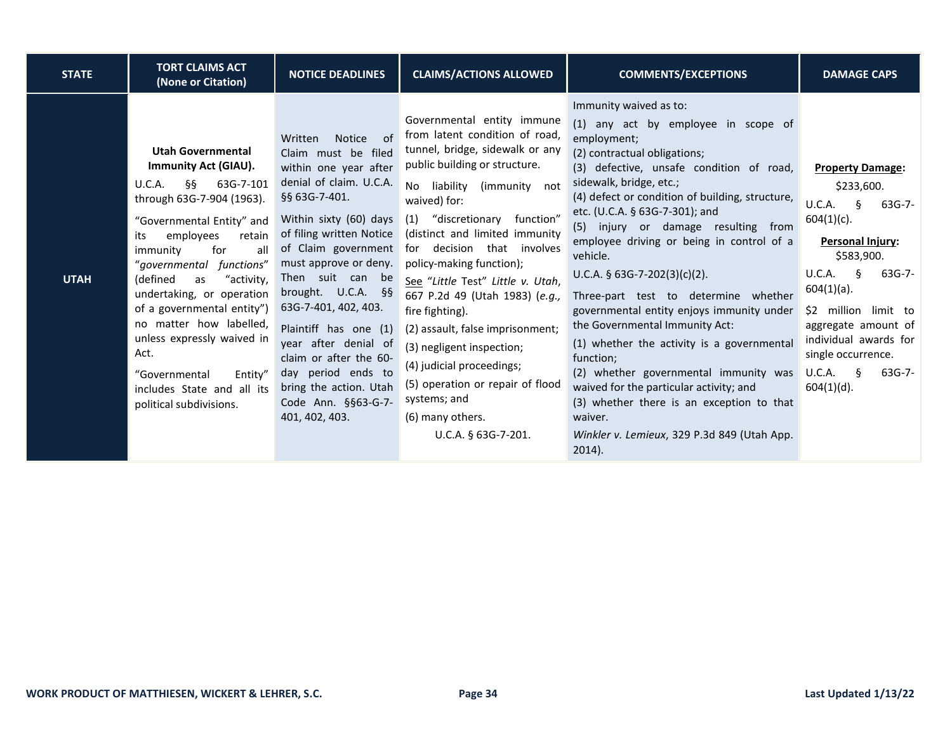| <b>STATE</b> | <b>TORT CLAIMS ACT</b><br>(None or Citation)                                                                                                                                                                                                                                                                                                                                                                                                                                          | <b>NOTICE DEADLINES</b>                                                                                                                                                                                                                                                                                                                                                                                                                                                  | <b>CLAIMS/ACTIONS ALLOWED</b>                                                                                                                                                                                                                                                                                                                                                                                                                                                                                                                                                                               | <b>COMMENTS/EXCEPTIONS</b>                                                                                                                                                                                                                                                                                                                                                                                                                                                                                                                                                                                                                                                                                                                                                                                     | <b>DAMAGE CAPS</b>                                                                                                                                                                                                                                                                                                      |
|--------------|---------------------------------------------------------------------------------------------------------------------------------------------------------------------------------------------------------------------------------------------------------------------------------------------------------------------------------------------------------------------------------------------------------------------------------------------------------------------------------------|--------------------------------------------------------------------------------------------------------------------------------------------------------------------------------------------------------------------------------------------------------------------------------------------------------------------------------------------------------------------------------------------------------------------------------------------------------------------------|-------------------------------------------------------------------------------------------------------------------------------------------------------------------------------------------------------------------------------------------------------------------------------------------------------------------------------------------------------------------------------------------------------------------------------------------------------------------------------------------------------------------------------------------------------------------------------------------------------------|----------------------------------------------------------------------------------------------------------------------------------------------------------------------------------------------------------------------------------------------------------------------------------------------------------------------------------------------------------------------------------------------------------------------------------------------------------------------------------------------------------------------------------------------------------------------------------------------------------------------------------------------------------------------------------------------------------------------------------------------------------------------------------------------------------------|-------------------------------------------------------------------------------------------------------------------------------------------------------------------------------------------------------------------------------------------------------------------------------------------------------------------------|
| <b>UTAH</b>  | <b>Utah Governmental</b><br><b>Immunity Act (GIAU).</b><br>- 66<br>63G-7-101<br>U.C.A.<br>through 63G-7-904 (1963).<br>"Governmental Entity" and<br>employees<br>retain<br>its<br>for<br>all<br>immunity<br>"governmental functions"<br>(defined<br>"activity,<br>as<br>undertaking, or operation<br>of a governmental entity")<br>no matter how labelled,<br>unless expressly waived in<br>Act.<br>"Governmental<br>Entity"<br>includes State and all its<br>political subdivisions. | Written<br><b>Notice</b><br>of<br>Claim must be filed<br>within one year after<br>denial of claim. U.C.A.<br>§§ 63G-7-401.<br>Within sixty (60) days<br>of filing written Notice<br>of Claim government<br>must approve or deny.<br>Then suit can be<br>brought. $U.C.A.$ §§<br>63G-7-401, 402, 403.<br>Plaintiff has one (1)<br>year after denial of<br>claim or after the 60-<br>day period ends to<br>bring the action. Utah<br>Code Ann. §§63-G-7-<br>401, 402, 403. | Governmental entity immune<br>from latent condition of road,<br>tunnel, bridge, sidewalk or any<br>public building or structure.<br>liability (immunity<br>No.<br>not<br>waived) for:<br>"discretionary function"<br>(1)<br>(distinct and limited immunity<br>for decision that involves<br>policy-making function);<br>See "Little Test" Little v. Utah,<br>667 P.2d 49 (Utah 1983) (e.g.,<br>fire fighting).<br>(2) assault, false imprisonment;<br>(3) negligent inspection;<br>(4) judicial proceedings;<br>(5) operation or repair of flood<br>systems; and<br>(6) many others.<br>U.C.A. § 63G-7-201. | Immunity waived as to:<br>(1) any act by employee in scope of<br>employment;<br>(2) contractual obligations;<br>(3) defective, unsafe condition of road,<br>sidewalk, bridge, etc.;<br>(4) defect or condition of building, structure,<br>etc. (U.C.A. § 63G-7-301); and<br>(5) injury or damage resulting from<br>employee driving or being in control of a<br>vehicle.<br>U.C.A. $\frac{5}{9}$ 63G-7-202(3)(c)(2).<br>Three-part test to determine whether<br>governmental entity enjoys immunity under<br>the Governmental Immunity Act:<br>(1) whether the activity is a governmental<br>function;<br>(2) whether governmental immunity was<br>waived for the particular activity; and<br>(3) whether there is an exception to that<br>waiver.<br>Winkler v. Lemieux, 329 P.3d 849 (Utah App.<br>$2014$ ). | <b>Property Damage:</b><br>\$233,600.<br>U.C.A.<br>$\delta$<br>$63G-7-$<br>$604(1)(c)$ .<br><b>Personal Injury:</b><br>\$583,900.<br>$63G-7-$<br>U.C.A.<br>Ş<br>$604(1)(a)$ .<br>\$2 million limit to<br>aggregate amount of<br>individual awards for<br>single occurrence.<br>$63G-7-$<br>U.C.A.<br>ξ<br>$604(1)(d)$ . |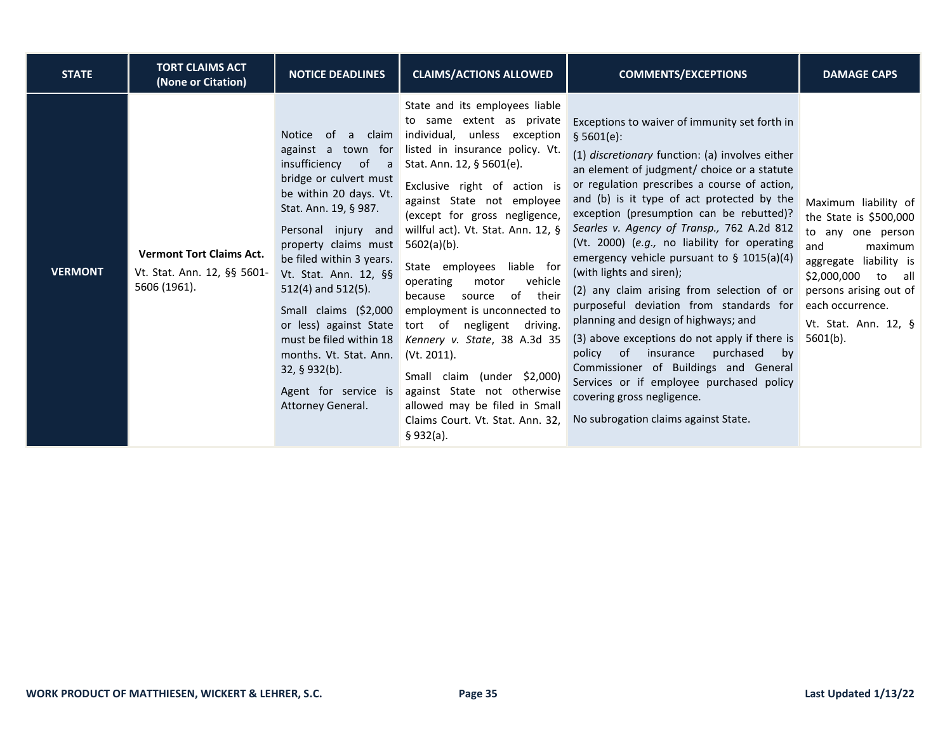| <b>STATE</b>   | <b>TORT CLAIMS ACT</b><br>(None or Citation)                                   | <b>NOTICE DEADLINES</b>                                                                                                                                                                                                                                                                                                                                                                                                                                  | <b>CLAIMS/ACTIONS ALLOWED</b>                                                                                                                                                                                                                                                                                                                                                                                                                                                                                                                                                                                                                                                         | <b>COMMENTS/EXCEPTIONS</b>                                                                                                                                                                                                                                                                                                                                                                                                                                                                                                                                                                                                                                                                                                                                                                                                                                                      | <b>DAMAGE CAPS</b>                                                                                                                                                                                                                     |
|----------------|--------------------------------------------------------------------------------|----------------------------------------------------------------------------------------------------------------------------------------------------------------------------------------------------------------------------------------------------------------------------------------------------------------------------------------------------------------------------------------------------------------------------------------------------------|---------------------------------------------------------------------------------------------------------------------------------------------------------------------------------------------------------------------------------------------------------------------------------------------------------------------------------------------------------------------------------------------------------------------------------------------------------------------------------------------------------------------------------------------------------------------------------------------------------------------------------------------------------------------------------------|---------------------------------------------------------------------------------------------------------------------------------------------------------------------------------------------------------------------------------------------------------------------------------------------------------------------------------------------------------------------------------------------------------------------------------------------------------------------------------------------------------------------------------------------------------------------------------------------------------------------------------------------------------------------------------------------------------------------------------------------------------------------------------------------------------------------------------------------------------------------------------|----------------------------------------------------------------------------------------------------------------------------------------------------------------------------------------------------------------------------------------|
| <b>VERMONT</b> | <b>Vermont Tort Claims Act.</b><br>Vt. Stat. Ann. 12, §§ 5601-<br>5606 (1961). | Notice of<br>claim<br>a<br>against a town for<br>insufficiency<br>of<br>a a<br>bridge or culvert must<br>be within 20 days. Vt.<br>Stat. Ann. 19, § 987.<br>Personal injury and<br>property claims must<br>be filed within 3 years.<br>Vt. Stat. Ann. 12, §§<br>512(4) and 512(5).<br>Small claims (\$2,000<br>or less) against State<br>must be filed within 18<br>months. Vt. Stat. Ann.<br>32, § 932(b).<br>Agent for service is<br>Attorney General. | State and its employees liable<br>to same extent as private<br>individual, unless exception<br>listed in insurance policy. Vt.<br>Stat. Ann. 12, § 5601(e).<br>Exclusive right of action is<br>against State not employee<br>(except for gross negligence,<br>willful act). Vt. Stat. Ann. 12, §<br>$5602(a)(b)$ .<br>State employees liable for<br>operating<br>vehicle<br>motor<br>of<br>their<br>because<br>source<br>employment is unconnected to<br>tort of<br>negligent driving.<br>Kennery v. State, 38 A.3d 35<br>(Vt. 2011).<br>Small claim (under \$2,000)<br>against State not otherwise<br>allowed may be filed in Small<br>Claims Court. Vt. Stat. Ann. 32,<br>§ 932(a). | Exceptions to waiver of immunity set forth in<br>\$5601(e):<br>(1) discretionary function: (a) involves either<br>an element of judgment/ choice or a statute<br>or regulation prescribes a course of action,<br>and (b) is it type of act protected by the<br>exception (presumption can be rebutted)?<br>Searles v. Agency of Transp., 762 A.2d 812<br>(Vt. 2000) (e.g., no liability for operating<br>emergency vehicle pursuant to $\S$ 1015(a)(4)<br>(with lights and siren);<br>(2) any claim arising from selection of or<br>purposeful deviation from standards for<br>planning and design of highways; and<br>(3) above exceptions do not apply if there is<br>of<br>insurance<br>purchased<br>policy<br>by<br>Commissioner of Buildings and General<br>Services or if employee purchased policy<br>covering gross negligence.<br>No subrogation claims against State. | Maximum liability of<br>the State is $$500,000$<br>to any one person<br>and<br>maximum<br>liability is<br>aggregate<br>\$2,000,000<br>to<br>all a<br>persons arising out of<br>each occurrence.<br>Vt. Stat. Ann. 12, §<br>$5601(b)$ . |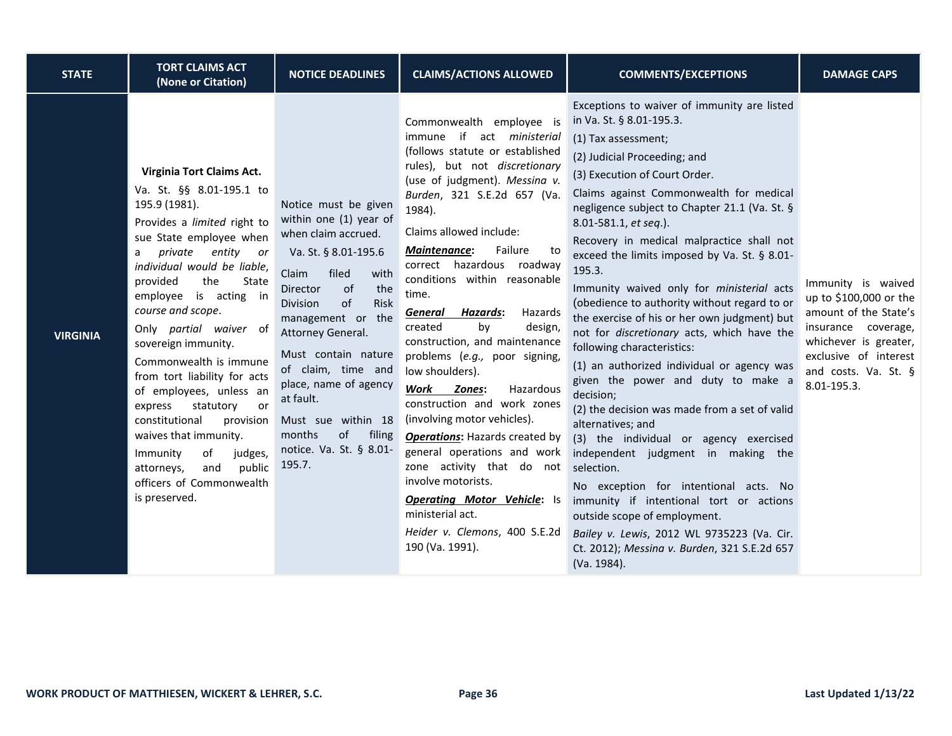| <b>STATE</b>    | <b>TORT CLAIMS ACT</b><br>(None or Citation)                                                                                                                                                                                                                                                                                                                                                                                                                                                                                                                                                             | <b>NOTICE DEADLINES</b>                                                                                                                                                                                                                                                                                                                                                                      | <b>CLAIMS/ACTIONS ALLOWED</b>                                                                                                                                                                                                                                                                                                                                                                                                                                                                                                                                                                                                                                                                                                                                                                                                                       | <b>COMMENTS/EXCEPTIONS</b>                                                                                                                                                                                                                                                                                                                                                                                                                                                                                                                                                                                                                                                                                                                                                                                                                                                                                                                                                                                                                                                                                                 | <b>DAMAGE CAPS</b>                                                                                                                                                                    |
|-----------------|----------------------------------------------------------------------------------------------------------------------------------------------------------------------------------------------------------------------------------------------------------------------------------------------------------------------------------------------------------------------------------------------------------------------------------------------------------------------------------------------------------------------------------------------------------------------------------------------------------|----------------------------------------------------------------------------------------------------------------------------------------------------------------------------------------------------------------------------------------------------------------------------------------------------------------------------------------------------------------------------------------------|-----------------------------------------------------------------------------------------------------------------------------------------------------------------------------------------------------------------------------------------------------------------------------------------------------------------------------------------------------------------------------------------------------------------------------------------------------------------------------------------------------------------------------------------------------------------------------------------------------------------------------------------------------------------------------------------------------------------------------------------------------------------------------------------------------------------------------------------------------|----------------------------------------------------------------------------------------------------------------------------------------------------------------------------------------------------------------------------------------------------------------------------------------------------------------------------------------------------------------------------------------------------------------------------------------------------------------------------------------------------------------------------------------------------------------------------------------------------------------------------------------------------------------------------------------------------------------------------------------------------------------------------------------------------------------------------------------------------------------------------------------------------------------------------------------------------------------------------------------------------------------------------------------------------------------------------------------------------------------------------|---------------------------------------------------------------------------------------------------------------------------------------------------------------------------------------|
| <b>VIRGINIA</b> | Virginia Tort Claims Act.<br>Va. St. §§ 8.01-195.1 to<br>195.9 (1981).<br>Provides a limited right to<br>sue State employee when<br>private entity or<br>a<br>individual would be liable,<br>provided<br>the<br>State<br>employee is acting in<br>course and scope.<br>Only partial waiver of<br>sovereign immunity.<br>Commonwealth is immune<br>from tort liability for acts<br>of employees, unless an<br>statutory<br>express<br>or<br>constitutional<br>provision<br>waives that immunity.<br>Immunity<br>of<br>judges,<br>public<br>and<br>attorneys,<br>officers of Commonwealth<br>is preserved. | Notice must be given<br>within one (1) year of<br>when claim accrued.<br>Va. St. § 8.01-195.6<br>Claim<br>filed<br>with<br>of<br>the<br>Director<br>of<br>Risk<br>Division<br>management or the<br>Attorney General.<br>Must contain nature<br>of claim, time and<br>place, name of agency<br>at fault.<br>Must sue within 18<br>months<br>of<br>filing<br>notice. Va. St. § 8.01-<br>195.7. | Commonwealth employee is<br>immune if act ministerial<br>(follows statute or established<br>rules), but not discretionary<br>(use of judgment). Messina v.<br>Burden, 321 S.E.2d 657 (Va.<br>1984).<br>Claims allowed include:<br>Failure<br><b>Maintenance:</b><br>to<br>correct hazardous roadway<br>conditions within reasonable<br>time.<br><b>Hazards:</b><br>Hazards<br><u>General</u><br>by<br>created<br>design,<br>construction, and maintenance<br>problems (e.g., poor signing,<br>low shoulders).<br>Work<br>Hazardous<br>Zones:<br>construction and work zones<br>(involving motor vehicles).<br><b>Operations: Hazards created by</b><br>general operations and work<br>zone activity that do not<br>involve motorists.<br><b>Operating Motor Vehicle:</b> Is<br>ministerial act.<br>Heider v. Clemons, 400 S.E.2d<br>190 (Va. 1991). | Exceptions to waiver of immunity are listed<br>in Va. St. § 8.01-195.3.<br>(1) Tax assessment;<br>(2) Judicial Proceeding; and<br>(3) Execution of Court Order.<br>Claims against Commonwealth for medical<br>negligence subject to Chapter 21.1 (Va. St. §<br>8.01-581.1, et seq.).<br>Recovery in medical malpractice shall not<br>exceed the limits imposed by Va. St. § 8.01-<br>195.3.<br>Immunity waived only for ministerial acts<br>(obedience to authority without regard to or<br>the exercise of his or her own judgment) but<br>not for discretionary acts, which have the<br>following characteristics:<br>(1) an authorized individual or agency was<br>given the power and duty to make a<br>decision;<br>(2) the decision was made from a set of valid<br>alternatives; and<br>(3) the individual or agency exercised<br>independent judgment in making the<br>selection.<br>No exception for intentional acts. No<br>immunity if intentional tort or actions<br>outside scope of employment.<br>Bailey v. Lewis, 2012 WL 9735223 (Va. Cir.<br>Ct. 2012); Messina v. Burden, 321 S.E.2d 657<br>(Va. 1984). | Immunity is waived<br>up to \$100,000 or the<br>amount of the State's<br>insurance coverage,<br>whichever is greater,<br>exclusive of interest<br>and costs. Va. St. §<br>8.01-195.3. |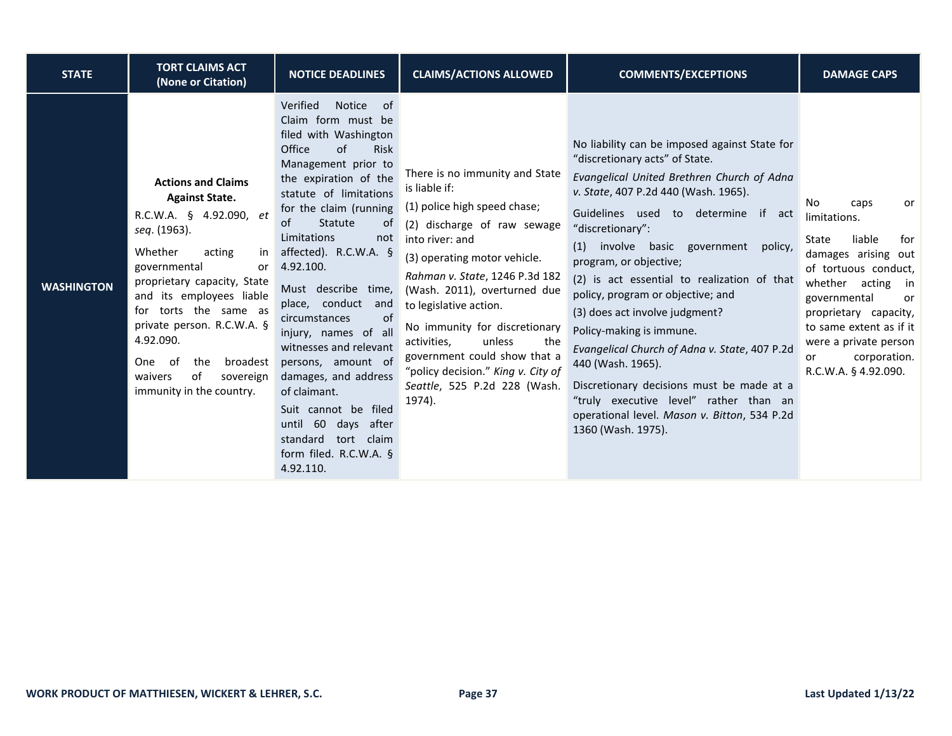| <b>STATE</b>      | <b>TORT CLAIMS ACT</b><br>(None or Citation)                                                                                                                                                                                                                                                                                                                              | <b>NOTICE DEADLINES</b>                                                                                                                                                                                                                                                                                                                                                                                                                                                                                                                                                                                       | <b>CLAIMS/ACTIONS ALLOWED</b>                                                                                                                                                                                                                                                                                                                                                                                                                  | <b>COMMENTS/EXCEPTIONS</b>                                                                                                                                                                                                                                                                                                                                                                                                                                                                                                                                                                                                                                                                       | <b>DAMAGE CAPS</b>                                                                                                                                                                                                                                                                     |
|-------------------|---------------------------------------------------------------------------------------------------------------------------------------------------------------------------------------------------------------------------------------------------------------------------------------------------------------------------------------------------------------------------|---------------------------------------------------------------------------------------------------------------------------------------------------------------------------------------------------------------------------------------------------------------------------------------------------------------------------------------------------------------------------------------------------------------------------------------------------------------------------------------------------------------------------------------------------------------------------------------------------------------|------------------------------------------------------------------------------------------------------------------------------------------------------------------------------------------------------------------------------------------------------------------------------------------------------------------------------------------------------------------------------------------------------------------------------------------------|--------------------------------------------------------------------------------------------------------------------------------------------------------------------------------------------------------------------------------------------------------------------------------------------------------------------------------------------------------------------------------------------------------------------------------------------------------------------------------------------------------------------------------------------------------------------------------------------------------------------------------------------------------------------------------------------------|----------------------------------------------------------------------------------------------------------------------------------------------------------------------------------------------------------------------------------------------------------------------------------------|
| <b>WASHINGTON</b> | <b>Actions and Claims</b><br><b>Against State.</b><br>R.C.W.A. § 4.92.090, et<br>seq. (1963).<br>Whether<br>acting<br>in<br>governmental<br>or<br>proprietary capacity, State<br>and its employees liable<br>for torts the same as<br>private person. R.C.W.A. §<br>4.92.090.<br>broadest<br>- of<br>the<br>One<br>sovereign<br>waivers<br>of<br>immunity in the country. | Verified<br><b>Notice</b><br>0f<br>Claim form must be<br>filed with Washington<br>of<br>Office<br><b>Risk</b><br>Management prior to<br>the expiration of the<br>statute of limitations<br>for the claim (running<br>Statute<br>of<br>0f<br>Limitations<br>not<br>affected). $R.C.W.A.$ §<br>4.92.100.<br>Must describe time,<br>place, conduct<br>and<br>of<br>circumstances<br>injury, names of all<br>witnesses and relevant<br>persons, amount of<br>damages, and address<br>of claimant.<br>Suit cannot be filed<br>until 60 days after<br>standard<br>tort claim<br>form filed. R.C.W.A. §<br>4.92.110. | There is no immunity and State<br>is liable if:<br>(1) police high speed chase;<br>(2) discharge of raw sewage<br>into river: and<br>(3) operating motor vehicle.<br>Rahman v. State, 1246 P.3d 182<br>(Wash. 2011), overturned due<br>to legislative action.<br>No immunity for discretionary<br>activities.<br>unless<br>the<br>government could show that a<br>"policy decision." King v. City of<br>Seattle, 525 P.2d 228 (Wash.<br>1974). | No liability can be imposed against State for<br>"discretionary acts" of State.<br>Evangelical United Brethren Church of Adna<br>v. State, 407 P.2d 440 (Wash. 1965).<br>Guidelines used to determine if<br>act<br>"discretionary":<br>involve basic government<br>(1)<br>policy,<br>program, or objective;<br>(2) is act essential to realization of that<br>policy, program or objective; and<br>(3) does act involve judgment?<br>Policy-making is immune.<br>Evangelical Church of Adna v. State, 407 P.2d<br>440 (Wash. 1965).<br>Discretionary decisions must be made at a<br>"truly executive level" rather than an<br>operational level. Mason v. Bitton, 534 P.2d<br>1360 (Wash. 1975). | No<br>caps<br>or<br>limitations.<br>liable<br>State<br>for<br>damages arising out<br>of tortuous conduct,<br>whether acting in<br>governmental<br><b>or</b><br>proprietary capacity,<br>to same extent as if it<br>were a private person<br>corporation.<br>or<br>R.C.W.A. § 4.92.090. |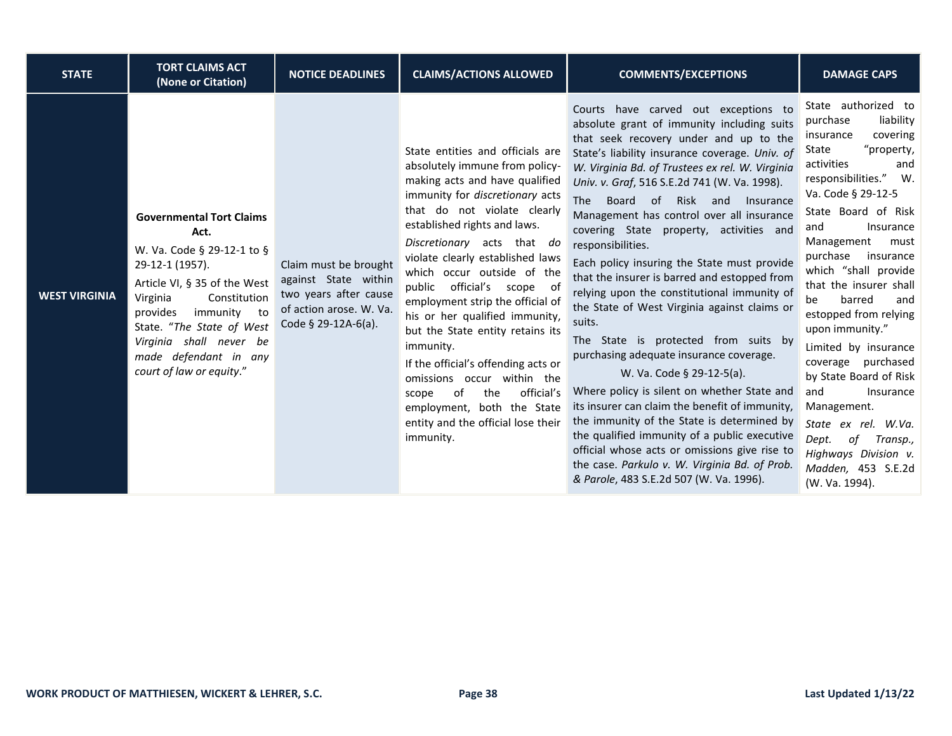| <b>STATE</b>         | <b>TORT CLAIMS ACT</b><br>(None or Citation)                                                                                                                                                                                                                                                 | <b>NOTICE DEADLINES</b>                                                                                                  | <b>CLAIMS/ACTIONS ALLOWED</b>                                                                                                                                                                                                                                                                                                                                                                                                                                                                                                                                                                                                                         | <b>COMMENTS/EXCEPTIONS</b>                                                                                                                                                                                                                                                                                                                                                                                                                                                                                                                                                                                                                                                                                                                                                                                                                                                                                                                                                                                                                                                                                  | <b>DAMAGE CAPS</b>                                                                                                                                                                                                                                                                                                                                                                                                                                                                                                                                                                                           |
|----------------------|----------------------------------------------------------------------------------------------------------------------------------------------------------------------------------------------------------------------------------------------------------------------------------------------|--------------------------------------------------------------------------------------------------------------------------|-------------------------------------------------------------------------------------------------------------------------------------------------------------------------------------------------------------------------------------------------------------------------------------------------------------------------------------------------------------------------------------------------------------------------------------------------------------------------------------------------------------------------------------------------------------------------------------------------------------------------------------------------------|-------------------------------------------------------------------------------------------------------------------------------------------------------------------------------------------------------------------------------------------------------------------------------------------------------------------------------------------------------------------------------------------------------------------------------------------------------------------------------------------------------------------------------------------------------------------------------------------------------------------------------------------------------------------------------------------------------------------------------------------------------------------------------------------------------------------------------------------------------------------------------------------------------------------------------------------------------------------------------------------------------------------------------------------------------------------------------------------------------------|--------------------------------------------------------------------------------------------------------------------------------------------------------------------------------------------------------------------------------------------------------------------------------------------------------------------------------------------------------------------------------------------------------------------------------------------------------------------------------------------------------------------------------------------------------------------------------------------------------------|
| <b>WEST VIRGINIA</b> | <b>Governmental Tort Claims</b><br>Act.<br>W. Va. Code § 29-12-1 to §<br>29-12-1 (1957).<br>Article VI, § 35 of the West<br>Virginia<br>Constitution<br>immunity to<br>provides<br>State. "The State of West<br>Virginia shall never be<br>made defendant in any<br>court of law or equity." | Claim must be brought<br>against State within<br>two years after cause<br>of action arose. W. Va.<br>Code § 29-12A-6(a). | State entities and officials are<br>absolutely immune from policy-<br>making acts and have qualified<br>immunity for discretionary acts<br>that do not violate clearly<br>established rights and laws.<br>Discretionary acts that do<br>violate clearly established laws<br>which occur outside of the<br>public official's scope of<br>employment strip the official of<br>his or her qualified immunity,<br>but the State entity retains its<br>immunity.<br>If the official's offending acts or<br>omissions occur within the<br>official's<br>of<br>the<br>scope<br>employment, both the State<br>entity and the official lose their<br>immunity. | Courts have carved out exceptions to<br>absolute grant of immunity including suits<br>that seek recovery under and up to the<br>State's liability insurance coverage. Univ. of<br>W. Virginia Bd. of Trustees ex rel. W. Virginia<br>Univ. v. Graf, 516 S.E.2d 741 (W. Va. 1998).<br>Board of Risk and<br>The<br>Insurance<br>Management has control over all insurance<br>covering State property, activities and<br>responsibilities.<br>Each policy insuring the State must provide<br>that the insurer is barred and estopped from<br>relying upon the constitutional immunity of<br>the State of West Virginia against claims or<br>suits.<br>The State is protected from suits by<br>purchasing adequate insurance coverage.<br>W. Va. Code § 29-12-5(a).<br>Where policy is silent on whether State and<br>its insurer can claim the benefit of immunity,<br>the immunity of the State is determined by<br>the qualified immunity of a public executive<br>official whose acts or omissions give rise to<br>the case. Parkulo v. W. Virginia Bd. of Prob.<br>& Parole, 483 S.E.2d 507 (W. Va. 1996). | State authorized to<br>liability<br>purchase<br>covering<br>insurance<br>"property,<br>State<br>activities<br>and<br>responsibilities." W.<br>Va. Code § 29-12-5<br>State Board of Risk<br>Insurance<br>and<br>Management<br>must<br>purchase<br>insurance<br>which "shall provide<br>that the insurer shall<br>barred<br>and<br>be<br>estopped from relying<br>upon immunity."<br>Limited by insurance<br>coverage purchased<br>by State Board of Risk<br>and<br>Insurance<br>Management.<br>State ex rel. W.Va.<br>Dept.<br>of<br>Transp.,<br>Highways Division v.<br>Madden, 453 S.E.2d<br>(W. Va. 1994). |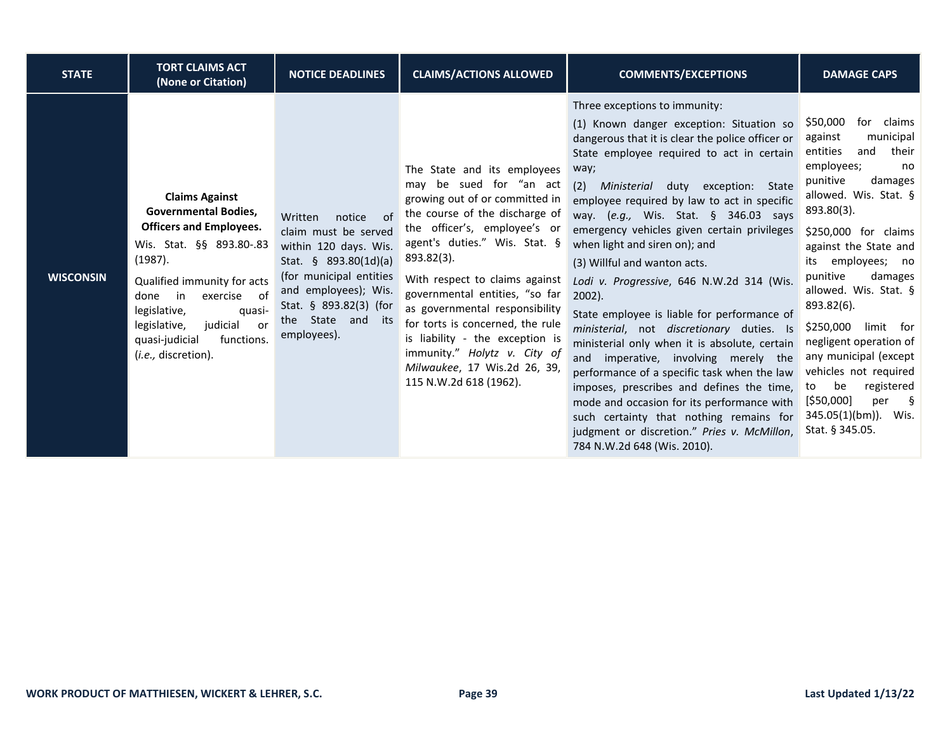| <b>STATE</b>     | <b>TORT CLAIMS ACT</b><br>(None or Citation)                                                                                                                                                                                                                                                                 | <b>NOTICE DEADLINES</b>                                                                                                                                                                                            | <b>CLAIMS/ACTIONS ALLOWED</b>                                                                                                                                                                                                                                                                                                                                                                                                                                                    | <b>COMMENTS/EXCEPTIONS</b>                                                                                                                                                                                                                                                                                                                                                                                                                                                                                                                                                                                                                                                                                                                                                                                                                                                                                                                                 | <b>DAMAGE CAPS</b>                                                                                                                                                                                                                                                                                                                                                                                                                                                                                            |
|------------------|--------------------------------------------------------------------------------------------------------------------------------------------------------------------------------------------------------------------------------------------------------------------------------------------------------------|--------------------------------------------------------------------------------------------------------------------------------------------------------------------------------------------------------------------|----------------------------------------------------------------------------------------------------------------------------------------------------------------------------------------------------------------------------------------------------------------------------------------------------------------------------------------------------------------------------------------------------------------------------------------------------------------------------------|------------------------------------------------------------------------------------------------------------------------------------------------------------------------------------------------------------------------------------------------------------------------------------------------------------------------------------------------------------------------------------------------------------------------------------------------------------------------------------------------------------------------------------------------------------------------------------------------------------------------------------------------------------------------------------------------------------------------------------------------------------------------------------------------------------------------------------------------------------------------------------------------------------------------------------------------------------|---------------------------------------------------------------------------------------------------------------------------------------------------------------------------------------------------------------------------------------------------------------------------------------------------------------------------------------------------------------------------------------------------------------------------------------------------------------------------------------------------------------|
| <b>WISCONSIN</b> | <b>Claims Against</b><br><b>Governmental Bodies,</b><br><b>Officers and Employees.</b><br>Wis. Stat. §§ 893.80-.83<br>(1987).<br>Qualified immunity for acts<br>exercise of<br>done<br>in<br>legislative,<br>quasi-<br>judicial<br>legislative,<br>or<br>quasi-judicial<br>functions.<br>(i.e., discretion). | of<br>Written<br>notice<br>claim must be served<br>within 120 days. Wis.<br>Stat. § 893.80(1d)(a)<br>(for municipal entities<br>and employees); Wis.<br>Stat. § 893.82(3) (for<br>the State and its<br>employees). | The State and its employees<br>may be sued for "an act<br>growing out of or committed in<br>the course of the discharge of<br>the officer's, employee's or<br>agent's duties." Wis. Stat. §<br>893.82(3).<br>With respect to claims against<br>governmental entities, "so far<br>as governmental responsibility<br>for torts is concerned, the rule<br>is liability - the exception is<br>immunity." Holytz v. City of<br>Milwaukee, 17 Wis.2d 26, 39,<br>115 N.W.2d 618 (1962). | Three exceptions to immunity:<br>(1) Known danger exception: Situation so<br>dangerous that it is clear the police officer or<br>State employee required to act in certain<br>way;<br>Ministerial duty exception: State<br>(2)<br>employee required by law to act in specific<br>way. (e.g., Wis. Stat. § 346.03 says<br>emergency vehicles given certain privileges<br>when light and siren on); and<br>(3) Willful and wanton acts.<br>Lodi v. Progressive, 646 N.W.2d 314 (Wis.<br>$2002$ ).<br>State employee is liable for performance of<br>ministerial, not discretionary duties. Is<br>ministerial only when it is absolute, certain<br>imperative, involving merely the<br>and<br>performance of a specific task when the law<br>imposes, prescribes and defines the time,<br>mode and occasion for its performance with<br>such certainty that nothing remains for<br>judgment or discretion." Pries v. McMillon,<br>784 N.W.2d 648 (Wis. 2010). | \$50,000<br>for claims<br>municipal<br>against<br>entities<br>their<br>and<br>employees;<br>no<br>punitive<br>damages<br>allowed. Wis. Stat. §<br>$893.80(3)$ .<br>\$250,000 for claims<br>against the State and<br>employees; no<br>its<br>punitive<br>damages<br>allowed. Wis. Stat. §<br>893.82(6).<br>\$250,000<br>limit for<br>negligent operation of<br>any municipal (except<br>vehicles not required<br>be<br>registered<br>to<br>[\$50,000]<br>per<br>∫ s<br>345.05(1)(bm)). Wis.<br>Stat. § 345.05. |